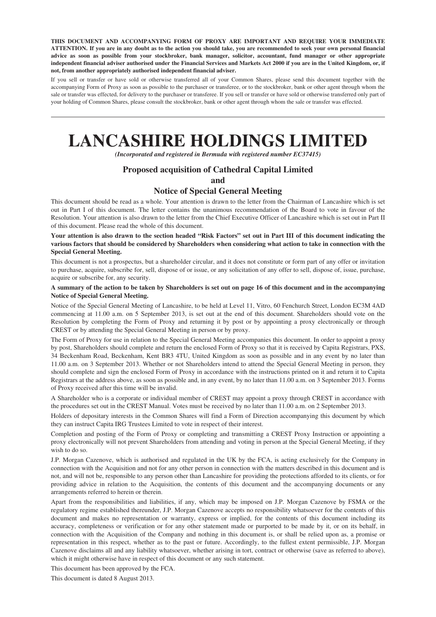**THIS DOCUMENT AND ACCOMPANYING FORM OF PROXY ARE IMPORTANT AND REQUIRE YOUR IMMEDIATE ATTENTION. If you are in any doubt as to the action you should take, you are recommended to seek your own personal financial advice as soon as possible from your stockbroker, bank manager, solicitor, accountant, fund manager or other appropriate independent financial adviser authorised under the Financial Services and Markets Act 2000 if you are in the United Kingdom, or, if not, from another appropriately authorised independent financial adviser.**

If you sell or transfer or have sold or otherwise transferred all of your Common Shares, please send this document together with the accompanying Form of Proxy as soon as possible to the purchaser or transferee, or to the stockbroker, bank or other agent through whom the sale or transfer was effected, for delivery to the purchaser or transferee. If you sell or transfer or have sold or otherwise transferred only part of your holding of Common Shares, please consult the stockbroker, bank or other agent through whom the sale or transfer was effected.

# **LANCASHIRE HOLDINGS LIMITED**

*(Incorporated and registered in Bermuda with registered number EC37415)*

## **Proposed acquisition of Cathedral Capital Limited**

**and**

## **Notice of Special General Meeting**

This document should be read as a whole. Your attention is drawn to the letter from the Chairman of Lancashire which is set out in Part I of this document. The letter contains the unanimous recommendation of the Board to vote in favour of the Resolution. Your attention is also drawn to the letter from the Chief Executive Officer of Lancashire which is set out in Part II of this document. Please read the whole of this document.

## **Your attention is also drawn to the section headed "Risk Factors" set out in Part III of this document indicating the various factors that should be considered by Shareholders when considering what action to take in connection with the Special General Meeting.**

This document is not a prospectus, but a shareholder circular, and it does not constitute or form part of any offer or invitation to purchase, acquire, subscribe for, sell, dispose of or issue, or any solicitation of any offer to sell, dispose of, issue, purchase, acquire or subscribe for, any security.

#### **A summary of the action to be taken by Shareholders is set out on page 16 of this document and in the accompanying Notice of Special General Meeting.**

Notice of the Special General Meeting of Lancashire, to be held at Level 11, Vitro, 60 Fenchurch Street, London EC3M 4AD commencing at 11.00 a.m. on 5 September 2013, is set out at the end of this document. Shareholders should vote on the Resolution by completing the Form of Proxy and returning it by post or by appointing a proxy electronically or through CREST or by attending the Special General Meeting in person or by proxy.

The Form of Proxy for use in relation to the Special General Meeting accompanies this document. In order to appoint a proxy by post, Shareholders should complete and return the enclosed Form of Proxy so that it is received by Capita Registrars, PXS, 34 Beckenham Road, Beckenham, Kent BR3 4TU, United Kingdom as soon as possible and in any event by no later than 11.00 a.m. on 3 September 2013. Whether or not Shareholders intend to attend the Special General Meeting in person, they should complete and sign the enclosed Form of Proxy in accordance with the instructions printed on it and return it to Capita Registrars at the address above, as soon as possible and, in any event, by no later than 11.00 a.m. on 3 September 2013. Forms of Proxy received after this time will be invalid.

A Shareholder who is a corporate or individual member of CREST may appoint a proxy through CREST in accordance with the procedures set out in the CREST Manual. Votes must be received by no later than 11.00 a.m. on 2 September 2013.

Holders of depositary interests in the Common Shares will find a Form of Direction accompanying this document by which they can instruct Capita IRG Trustees Limited to vote in respect of their interest.

Completion and posting of the Form of Proxy or completing and transmitting a CREST Proxy Instruction or appointing a proxy electronically will not prevent Shareholders from attending and voting in person at the Special General Meeting, if they wish to do so.

J.P. Morgan Cazenove, which is authorised and regulated in the UK by the FCA, is acting exclusively for the Company in connection with the Acquisition and not for any other person in connection with the matters described in this document and is not, and will not be, responsible to any person other than Lancashire for providing the protections afforded to its clients, or for providing advice in relation to the Acquisition, the contents of this document and the accompanying documents or any arrangements referred to herein or therein.

Apart from the responsibilities and liabilities, if any, which may be imposed on J.P. Morgan Cazenove by FSMA or the regulatory regime established thereunder, J.P. Morgan Cazenove accepts no responsibility whatsoever for the contents of this document and makes no representation or warranty, express or implied, for the contents of this document including its accuracy, completeness or verification or for any other statement made or purported to be made by it, or on its behalf, in connection with the Acquisition of the Company and nothing in this document is, or shall be relied upon as, a promise or representation in this respect, whether as to the past or future. Accordingly, to the fullest extent permissible, J.P. Morgan Cazenove disclaims all and any liability whatsoever, whether arising in tort, contract or otherwise (save as referred to above), which it might otherwise have in respect of this document or any such statement.

This document has been approved by the FCA.

This document is dated 8 August 2013.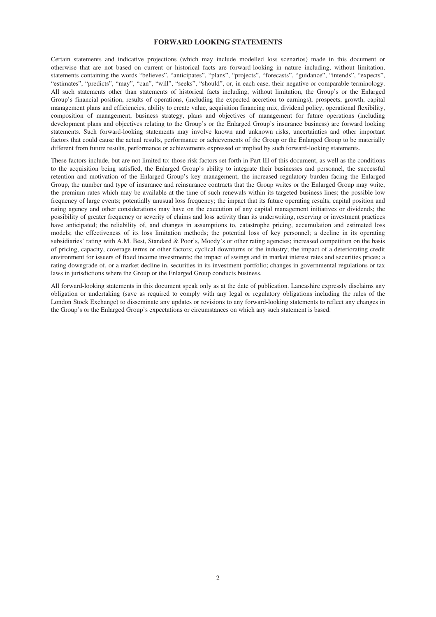#### **FORWARD LOOKING STATEMENTS**

Certain statements and indicative projections (which may include modelled loss scenarios) made in this document or otherwise that are not based on current or historical facts are forward-looking in nature including, without limitation, statements containing the words "believes", "anticipates", "plans", "projects", "forecasts", "guidance", "intends", "expects", "estimates", "predicts", "may", "can", "will", "seeks", "should", or, in each case, their negative or comparable terminology. All such statements other than statements of historical facts including, without limitation, the Group's or the Enlarged Group's financial position, results of operations, (including the expected accretion to earnings), prospects, growth, capital management plans and efficiencies, ability to create value, acquisition financing mix, dividend policy, operational flexibility, composition of management, business strategy, plans and objectives of management for future operations (including development plans and objectives relating to the Group's or the Enlarged Group's insurance business) are forward looking statements. Such forward-looking statements may involve known and unknown risks, uncertainties and other important factors that could cause the actual results, performance or achievements of the Group or the Enlarged Group to be materially different from future results, performance or achievements expressed or implied by such forward-looking statements.

These factors include, but are not limited to: those risk factors set forth in Part III of this document, as well as the conditions to the acquisition being satisfied, the Enlarged Group's ability to integrate their businesses and personnel, the successful retention and motivation of the Enlarged Group's key management, the increased regulatory burden facing the Enlarged Group, the number and type of insurance and reinsurance contracts that the Group writes or the Enlarged Group may write; the premium rates which may be available at the time of such renewals within its targeted business lines; the possible low frequency of large events; potentially unusual loss frequency; the impact that its future operating results, capital position and rating agency and other considerations may have on the execution of any capital management initiatives or dividends; the possibility of greater frequency or severity of claims and loss activity than its underwriting, reserving or investment practices have anticipated; the reliability of, and changes in assumptions to, catastrophe pricing, accumulation and estimated loss models; the effectiveness of its loss limitation methods; the potential loss of key personnel; a decline in its operating subsidiaries' rating with A.M. Best, Standard & Poor's, Moody's or other rating agencies; increased competition on the basis of pricing, capacity, coverage terms or other factors; cyclical downturns of the industry; the impact of a deteriorating credit environment for issuers of fixed income investments; the impact of swings and in market interest rates and securities prices; a rating downgrade of, or a market decline in, securities in its investment portfolio; changes in governmental regulations or tax laws in jurisdictions where the Group or the Enlarged Group conducts business.

All forward-looking statements in this document speak only as at the date of publication. Lancashire expressly disclaims any obligation or undertaking (save as required to comply with any legal or regulatory obligations including the rules of the London Stock Exchange) to disseminate any updates or revisions to any forward-looking statements to reflect any changes in the Group's or the Enlarged Group's expectations or circumstances on which any such statement is based.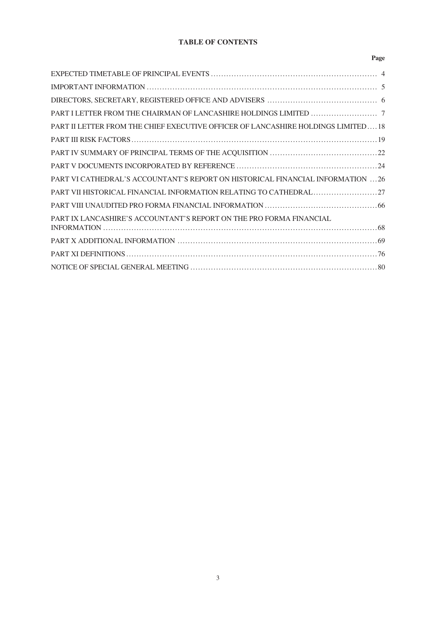## **TABLE OF CONTENTS**

## **Page**

| PART II LETTER FROM THE CHIEF EXECUTIVE OFFICER OF LANCASHIRE HOLDINGS LIMITED18 |  |
|----------------------------------------------------------------------------------|--|
|                                                                                  |  |
|                                                                                  |  |
|                                                                                  |  |
| PART VI CATHEDRAL'S ACCOUNTANT'S REPORT ON HISTORICAL FINANCIAL INFORMATION 26   |  |
|                                                                                  |  |
|                                                                                  |  |
| PART IX LANCASHIRE'S ACCOUNTANT'S REPORT ON THE PRO FORMA FINANCIAL              |  |
|                                                                                  |  |
|                                                                                  |  |
|                                                                                  |  |
|                                                                                  |  |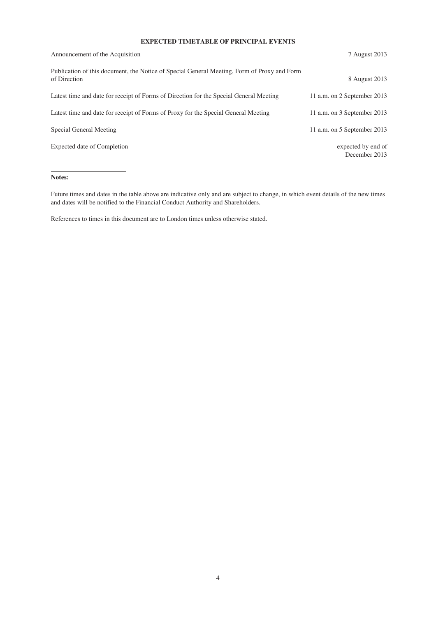## **EXPECTED TIMETABLE OF PRINCIPAL EVENTS**

| Announcement of the Acquisition                                                                             | 7 August 2013                       |
|-------------------------------------------------------------------------------------------------------------|-------------------------------------|
| Publication of this document, the Notice of Special General Meeting, Form of Proxy and Form<br>of Direction | 8 August 2013                       |
| Latest time and date for receipt of Forms of Direction for the Special General Meeting                      | 11 a.m. on 2 September 2013         |
| Latest time and date for receipt of Forms of Proxy for the Special General Meeting                          | 11 a.m. on 3 September 2013         |
| Special General Meeting                                                                                     | 11 a.m. on 5 September 2013         |
| Expected date of Completion                                                                                 | expected by end of<br>December 2013 |

#### **Notes:**

Future times and dates in the table above are indicative only and are subject to change, in which event details of the new times and dates will be notified to the Financial Conduct Authority and Shareholders.

References to times in this document are to London times unless otherwise stated.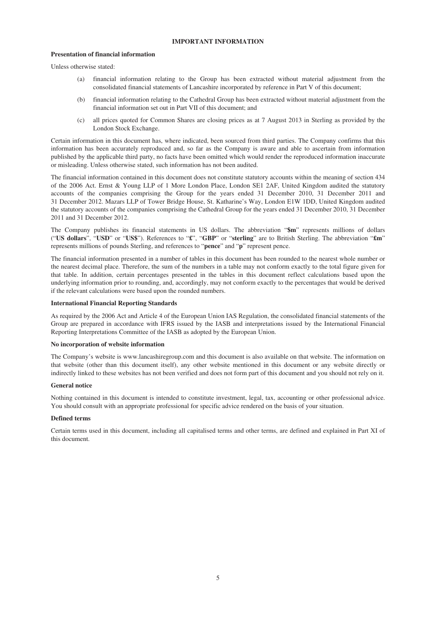## **IMPORTANT INFORMATION**

#### **Presentation of financial information**

Unless otherwise stated:

- (a) financial information relating to the Group has been extracted without material adjustment from the consolidated financial statements of Lancashire incorporated by reference in Part V of this document;
- (b) financial information relating to the Cathedral Group has been extracted without material adjustment from the financial information set out in Part VII of this document; and
- (c) all prices quoted for Common Shares are closing prices as at 7 August 2013 in Sterling as provided by the London Stock Exchange.

Certain information in this document has, where indicated, been sourced from third parties. The Company confirms that this information has been accurately reproduced and, so far as the Company is aware and able to ascertain from information published by the applicable third party, no facts have been omitted which would render the reproduced information inaccurate or misleading. Unless otherwise stated, such information has not been audited.

The financial information contained in this document does not constitute statutory accounts within the meaning of section 434 of the 2006 Act. Ernst & Young LLP of 1 More London Place, London SE1 2AF, United Kingdom audited the statutory accounts of the companies comprising the Group for the years ended 31 December 2010, 31 December 2011 and 31 December 2012. Mazars LLP of Tower Bridge House, St. Katharine's Way, London E1W 1DD, United Kingdom audited the statutory accounts of the companies comprising the Cathedral Group for the years ended 31 December 2010, 31 December 2011 and 31 December 2012.

The Company publishes its financial statements in US dollars. The abbreviation "**\$m**" represents millions of dollars ("**US dollars**", "**USD**" or "**US\$**"). References to "**£**", "**GBP**" or "**sterling**" are to British Sterling. The abbreviation "**£m**" represents millions of pounds Sterling, and references to "**pence**" and "**p**" represent pence.

The financial information presented in a number of tables in this document has been rounded to the nearest whole number or the nearest decimal place. Therefore, the sum of the numbers in a table may not conform exactly to the total figure given for that table. In addition, certain percentages presented in the tables in this document reflect calculations based upon the underlying information prior to rounding, and, accordingly, may not conform exactly to the percentages that would be derived if the relevant calculations were based upon the rounded numbers.

#### **International Financial Reporting Standards**

As required by the 2006 Act and Article 4 of the European Union IAS Regulation, the consolidated financial statements of the Group are prepared in accordance with IFRS issued by the IASB and interpretations issued by the International Financial Reporting Interpretations Committee of the IASB as adopted by the European Union.

#### **No incorporation of website information**

The Company's website is www.lancashiregroup.com and this document is also available on that website. The information on that website (other than this document itself), any other website mentioned in this document or any website directly or indirectly linked to these websites has not been verified and does not form part of this document and you should not rely on it.

#### **General notice**

Nothing contained in this document is intended to constitute investment, legal, tax, accounting or other professional advice. You should consult with an appropriate professional for specific advice rendered on the basis of your situation.

#### **Defined terms**

Certain terms used in this document, including all capitalised terms and other terms, are defined and explained in Part XI of this document.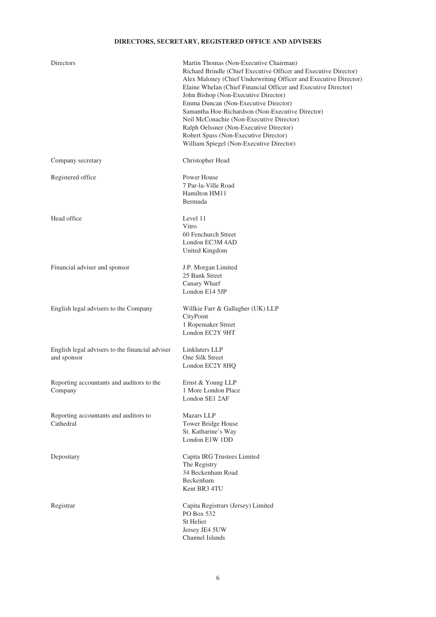## **DIRECTORS, SECRETARY, REGISTERED OFFICE AND ADVISERS**

| Directors                                                      | Martin Thomas (Non-Executive Chairman)<br>Richard Brindle (Chief Executive Officer and Executive Director)<br>Alex Maloney (Chief Underwriting Officer and Executive Director)<br>Elaine Whelan (Chief Financial Officer and Executive Director)<br>John Bishop (Non-Executive Director)<br>Emma Duncan (Non-Executive Director)<br>Samantha Hoe-Richardson (Non-Executive Director)<br>Neil McConachie (Non-Executive Director)<br>Ralph Oelssner (Non-Executive Director)<br>Robert Spass (Non-Executive Director)<br>William Spiegel (Non-Executive Director) |
|----------------------------------------------------------------|------------------------------------------------------------------------------------------------------------------------------------------------------------------------------------------------------------------------------------------------------------------------------------------------------------------------------------------------------------------------------------------------------------------------------------------------------------------------------------------------------------------------------------------------------------------|
| Company secretary                                              | Christopher Head                                                                                                                                                                                                                                                                                                                                                                                                                                                                                                                                                 |
| Registered office                                              | Power House<br>7 Par-la-Ville Road<br>Hamilton HM11<br>Bermuda                                                                                                                                                                                                                                                                                                                                                                                                                                                                                                   |
| Head office                                                    | Level 11<br>Vitro<br>60 Fenchurch Street<br>London EC3M 4AD<br>United Kingdom                                                                                                                                                                                                                                                                                                                                                                                                                                                                                    |
| Financial adviser and sponsor                                  | J.P. Morgan Limited<br>25 Bank Street<br>Canary Wharf<br>London E14 5JP                                                                                                                                                                                                                                                                                                                                                                                                                                                                                          |
| English legal advisers to the Company                          | Willkie Farr & Gallagher (UK) LLP<br>CityPoint<br>1 Ropemaker Street<br>London EC2Y 9HT                                                                                                                                                                                                                                                                                                                                                                                                                                                                          |
| English legal advisers to the financial adviser<br>and sponsor | Linklaters LLP<br>One Silk Street<br>London EC2Y 8HQ                                                                                                                                                                                                                                                                                                                                                                                                                                                                                                             |
| Reporting accountants and auditors to the<br>Company           | Ernst & Young LLP<br>1 More London Place<br>London SE1 2AF                                                                                                                                                                                                                                                                                                                                                                                                                                                                                                       |
| Reporting accountants and auditors to<br>Cathedral             | Mazars LLP<br>Tower Bridge House<br>St. Katharine's Way<br>London E1W 1DD                                                                                                                                                                                                                                                                                                                                                                                                                                                                                        |
| Depositary                                                     | Capita IRG Trustees Limited<br>The Registry<br>34 Beckenham Road<br>Beckenham<br>Kent BR3 4TU                                                                                                                                                                                                                                                                                                                                                                                                                                                                    |
| Registrar                                                      | Capita Registrars (Jersey) Limited<br>PO Box 532<br>St Helier<br>Jersey JE4 5UW<br>Channel Islands                                                                                                                                                                                                                                                                                                                                                                                                                                                               |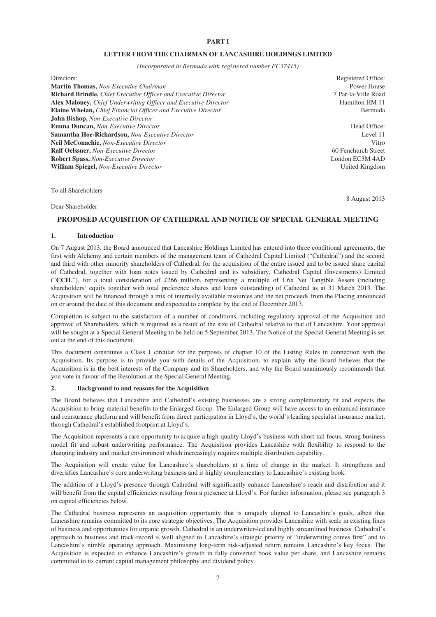#### **PART I**

## **LETTER FROM THE CHAIRMAN OF LANCASHIRE HOLDINGS LIMITED**

*(Incorporated in Bermuda with registered number EC37415)*

Directors: Registered Office: **Martin Thomas,** *Non-Executive Chairman* Power House **Power House** Power House **Richard Brindle,** *Chief Executive Officer and Executive Director* 7 Par-la-Ville Road<br>Alex Maloney *Chief Underwriting Officer and Executive Director* 7 Par-la-Ville Road **Alex Maloney,** *Chief Underwriting Officer and Executive Director* **Elaine Whelan,** *Chief Financial Officer and Executive Director* Bermuda **John Bishop,** *Non-Executive Director* **Emma Duncan,** *Non-Executive Director*<br> **Example 11**<br> **Example 11**<br> **Example 11**<br> **Example 11 Samantha Hoe-Richardson**, *Non-Executive Director* **Neil McConachie,** *Non-Executive Director* Vitro **Ralf Oelssner,** *Non-Executive Director* **Robert Spass,** *Non-Executive Director* London EC3M 4AD **William Spiegel,** *Non-Executive Director* United Kingdom

To all Shareholders

Dear Shareholder

8 August 2013

#### **PROPOSED ACQUISITION OF CATHEDRAL AND NOTICE OF SPECIAL GENERAL MEETING**

#### **1. Introduction**

On 7 August 2013, the Board announced that Lancashire Holdings Limited has entered into three conditional agreements, the first with Alchemy and certain members of the management team of Cathedral Capital Limited ("Cathedral") and the second and third with other minority shareholders of Cathedral, for the acquisition of the entire issued and to be issued share capital of Cathedral, together with loan notes issued by Cathedral and its subsidiary, Cathedral Capital (Investments) Limited ("**CCIL**"), for a total consideration of £266 million, representing a multiple of 1.6x Net Tangible Assets (including shareholders' equity together with total preference shares and loans outstanding) of Cathedral as at 31 March 2013. The Acquisition will be financed through a mix of internally available resources and the net proceeds from the Placing announced on or around the date of this document and expected to complete by the end of December 2013.

Completion is subject to the satisfaction of a number of conditions, including regulatory approval of the Acquisition and approval of Shareholders, which is required as a result of the size of Cathedral relative to that of Lancashire. Your approval will be sought at a Special General Meeting to be held on 5 September 2013. The Notice of the Special General Meeting is set out at the end of this document.

This document constitutes a Class 1 circular for the purposes of chapter 10 of the Listing Rules in connection with the Acquisition. Its purpose is to provide you with details of the Acquisition, to explain why the Board believes that the Acquisition is in the best interests of the Company and its Shareholders, and why the Board unanimously recommends that you vote in favour of the Resolution at the Special General Meeting.

#### **2. Background to and reasons for the Acquisition**

The Board believes that Lancashire and Cathedral's existing businesses are a strong complementary fit and expects the Acquisition to bring material benefits to the Enlarged Group. The Enlarged Group will have access to an enhanced insurance and reinsurance platform and will benefit from direct participation in Lloyd's, the world's leading specialist insurance market, through Cathedral's established footprint at Lloyd's.

The Acquisition represents a rare opportunity to acquire a high-quality Lloyd's business with short-tail focus, strong business model fit and robust underwriting performance. The Acquisition provides Lancashire with flexibility to respond to the changing industry and market environment which increasingly requires multiple distribution capability.

The Acquisition will create value for Lancashire's shareholders at a time of change in the market. It strengthens and diversifies Lancashire's core underwriting business and is highly complementary to Lancashire's existing book.

The addition of a Lloyd's presence through Cathedral will significantly enhance Lancashire's reach and distribution and it will benefit from the capital efficiencies resulting from a presence at Lloyd's. For further information, please see paragraph 3 on capital efficiencies below.

The Cathedral business represents an acquisition opportunity that is uniquely aligned to Lancashire's goals, albeit that Lancashire remains committed to its core strategic objectives. The Acquisition provides Lancashire with scale in existing lines of business and opportunities for organic growth. Cathedral is an underwriter-led and highly streamlined business. Cathedral's approach to business and track-record is well aligned to Lancashire's strategic priority of "underwriting comes first" and to Lancashire's nimble operating approach. Maximising long-term risk-adjusted return remains Lancashire's key focus. The Acquisition is expected to enhance Lancashire's growth in fully-converted book value per share, and Lancashire remains committed to its current capital management philosophy and dividend policy.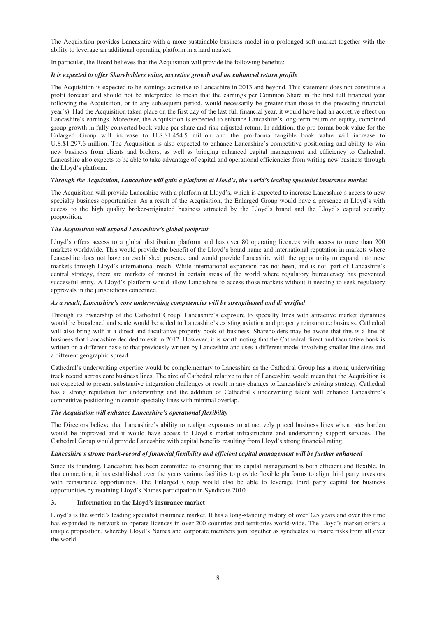The Acquisition provides Lancashire with a more sustainable business model in a prolonged soft market together with the ability to leverage an additional operating platform in a hard market.

In particular, the Board believes that the Acquisition will provide the following benefits:

#### *It is expected to offer Shareholders value, accretive growth and an enhanced return profile*

The Acquisition is expected to be earnings accretive to Lancashire in 2013 and beyond. This statement does not constitute a profit forecast and should not be interpreted to mean that the earnings per Common Share in the first full financial year following the Acquisition, or in any subsequent period, would necessarily be greater than those in the preceding financial year(s). Had the Acquisition taken place on the first day of the last full financial year, it would have had an accretive effect on Lancashire's earnings. Moreover, the Acquisition is expected to enhance Lancashire's long-term return on equity, combined group growth in fully-converted book value per share and risk-adjusted return. In addition, the pro-forma book value for the Enlarged Group will increase to U.S.\$1,454.5 million and the pro-forma tangible book value will increase to U.S.\$1,297.6 million. The Acquisition is also expected to enhance Lancashire's competitive positioning and ability to win new business from clients and brokers, as well as bringing enhanced capital management and efficiency to Cathedral. Lancashire also expects to be able to take advantage of capital and operational efficiencies from writing new business through the Lloyd's platform.

#### *Through the Acquisition, Lancashire will gain a platform at Lloyd's, the world's leading specialist insurance market*

The Acquisition will provide Lancashire with a platform at Lloyd's, which is expected to increase Lancashire's access to new specialty business opportunities. As a result of the Acquisition, the Enlarged Group would have a presence at Lloyd's with access to the high quality broker-originated business attracted by the Lloyd's brand and the Lloyd's capital security proposition.

#### *The Acquisition will expand Lancashire's global footprint*

Lloyd's offers access to a global distribution platform and has over 80 operating licences with access to more than 200 markets worldwide. This would provide the benefit of the Lloyd's brand name and international reputation in markets where Lancashire does not have an established presence and would provide Lancashire with the opportunity to expand into new markets through Lloyd's international reach. While international expansion has not been, and is not, part of Lancashire's central strategy, there are markets of interest in certain areas of the world where regulatory bureaucracy has prevented successful entry. A Lloyd's platform would allow Lancashire to access those markets without it needing to seek regulatory approvals in the jurisdictions concerned.

#### *As a result, Lancashire's core underwriting competencies will be strengthened and diversified*

Through its ownership of the Cathedral Group, Lancashire's exposure to specialty lines with attractive market dynamics would be broadened and scale would be added to Lancashire's existing aviation and property reinsurance business. Cathedral will also bring with it a direct and facultative property book of business. Shareholders may be aware that this is a line of business that Lancashire decided to exit in 2012. However, it is worth noting that the Cathedral direct and facultative book is written on a different basis to that previously written by Lancashire and uses a different model involving smaller line sizes and a different geographic spread.

Cathedral's underwriting expertise would be complementary to Lancashire as the Cathedral Group has a strong underwriting track record across core business lines. The size of Cathedral relative to that of Lancashire would mean that the Acquisition is not expected to present substantive integration challenges or result in any changes to Lancashire's existing strategy. Cathedral has a strong reputation for underwriting and the addition of Cathedral's underwriting talent will enhance Lancashire's competitive positioning in certain specialty lines with minimal overlap.

#### *The Acquisition will enhance Lancashire's operational flexibility*

The Directors believe that Lancashire's ability to realign exposures to attractively priced business lines when rates harden would be improved and it would have access to Lloyd's market infrastructure and underwriting support services. The Cathedral Group would provide Lancashire with capital benefits resulting from Lloyd's strong financial rating.

#### *Lancashire's strong track-record of financial flexibility and efficient capital management will be further enhanced*

Since its founding, Lancashire has been committed to ensuring that its capital management is both efficient and flexible. In that connection, it has established over the years various facilities to provide flexible platforms to align third party investors with reinsurance opportunities. The Enlarged Group would also be able to leverage third party capital for business opportunities by retaining Lloyd's Names participation in Syndicate 2010.

#### **3. Information on the Lloyd's insurance market**

Lloyd's is the world's leading specialist insurance market. It has a long-standing history of over 325 years and over this time has expanded its network to operate licences in over 200 countries and territories world-wide. The Lloyd's market offers a unique proposition, whereby Lloyd's Names and corporate members join together as syndicates to insure risks from all over the world.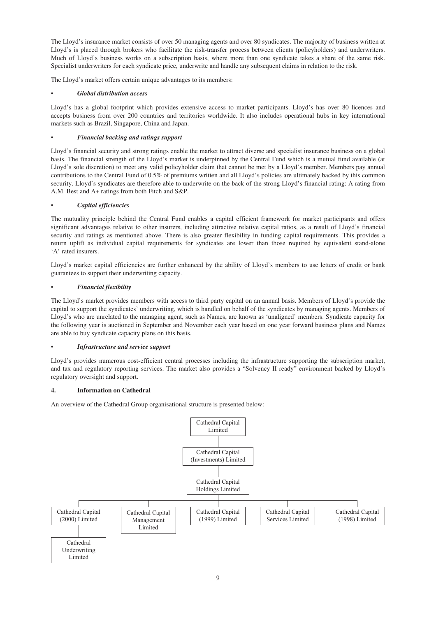The Lloyd's insurance market consists of over 50 managing agents and over 80 syndicates. The majority of business written at Lloyd's is placed through brokers who facilitate the risk-transfer process between clients (policyholders) and underwriters. Much of Lloyd's business works on a subscription basis, where more than one syndicate takes a share of the same risk. Specialist underwriters for each syndicate price, underwrite and handle any subsequent claims in relation to the risk.

The Lloyd's market offers certain unique advantages to its members:

## • *Global distribution access*

Lloyd's has a global footprint which provides extensive access to market participants. Lloyd's has over 80 licences and accepts business from over 200 countries and territories worldwide. It also includes operational hubs in key international markets such as Brazil, Singapore, China and Japan.

## • *Financial backing and ratings support*

Lloyd's financial security and strong ratings enable the market to attract diverse and specialist insurance business on a global basis. The financial strength of the Lloyd's market is underpinned by the Central Fund which is a mutual fund available (at Lloyd's sole discretion) to meet any valid policyholder claim that cannot be met by a Lloyd's member. Members pay annual contributions to the Central Fund of 0.5% of premiums written and all Lloyd's policies are ultimately backed by this common security. Lloyd's syndicates are therefore able to underwrite on the back of the strong Lloyd's financial rating: A rating from A.M. Best and A+ ratings from both Fitch and S&P.

## • *Capital efficiencies*

The mutuality principle behind the Central Fund enables a capital efficient framework for market participants and offers significant advantages relative to other insurers, including attractive relative capital ratios, as a result of Lloyd's financial security and ratings as mentioned above. There is also greater flexibility in funding capital requirements. This provides a return uplift as individual capital requirements for syndicates are lower than those required by equivalent stand-alone 'A' rated insurers.

Lloyd's market capital efficiencies are further enhanced by the ability of Lloyd's members to use letters of credit or bank guarantees to support their underwriting capacity.

## • *Financial flexibility*

The Lloyd's market provides members with access to third party capital on an annual basis. Members of Lloyd's provide the capital to support the syndicates' underwriting, which is handled on behalf of the syndicates by managing agents. Members of Lloyd's who are unrelated to the managing agent, such as Names, are known as 'unaligned' members. Syndicate capacity for the following year is auctioned in September and November each year based on one year forward business plans and Names are able to buy syndicate capacity plans on this basis.

#### • *Infrastructure and service support*

Lloyd's provides numerous cost-efficient central processes including the infrastructure supporting the subscription market, and tax and regulatory reporting services. The market also provides a "Solvency II ready" environment backed by Lloyd's regulatory oversight and support.

#### **4. Information on Cathedral**

An overview of the Cathedral Group organisational structure is presented below:

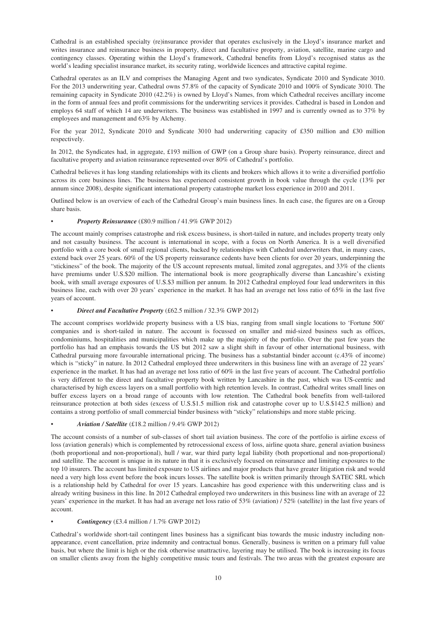Cathedral is an established specialty (re)insurance provider that operates exclusively in the Lloyd's insurance market and writes insurance and reinsurance business in property, direct and facultative property, aviation, satellite, marine cargo and contingency classes. Operating within the Lloyd's framework, Cathedral benefits from Lloyd's recognised status as the world's leading specialist insurance market, its security rating, worldwide licences and attractive capital regime.

Cathedral operates as an ILV and comprises the Managing Agent and two syndicates, Syndicate 2010 and Syndicate 3010. For the 2013 underwriting year, Cathedral owns 57.8% of the capacity of Syndicate 2010 and 100% of Syndicate 3010. The remaining capacity in Syndicate 2010 (42.2%) is owned by Lloyd's Names, from which Cathedral receives ancillary income in the form of annual fees and profit commissions for the underwriting services it provides. Cathedral is based in London and employs 64 staff of which 14 are underwriters. The business was established in 1997 and is currently owned as to 37% by employees and management and 63% by Alchemy.

For the year 2012, Syndicate 2010 and Syndicate 3010 had underwriting capacity of £350 million and £30 million respectively.

In 2012, the Syndicates had, in aggregate, £193 million of GWP (on a Group share basis). Property reinsurance, direct and facultative property and aviation reinsurance represented over 80% of Cathedral's portfolio.

Cathedral believes it has long standing relationships with its clients and brokers which allows it to write a diversified portfolio across its core business lines. The business has experienced consistent growth in book value through the cycle (13% per annum since 2008), despite significant international property catastrophe market loss experience in 2010 and 2011.

Outlined below is an overview of each of the Cathedral Group's main business lines. In each case, the figures are on a Group share basis.

#### • *Property Reinsurance* (£80.9 million / 41.9% GWP 2012)

The account mainly comprises catastrophe and risk excess business, is short-tailed in nature, and includes property treaty only and not casualty business. The account is international in scope, with a focus on North America. It is a well diversified portfolio with a core book of small regional clients, backed by relationships with Cathedral underwriters that, in many cases, extend back over 25 years. 60% of the US property reinsurance cedents have been clients for over 20 years, underpinning the "stickiness" of the book. The majority of the US account represents mutual, limited zonal aggregates, and 33% of the clients have premiums under U.S.\$20 million. The international book is more geographically diverse than Lancashire's existing book, with small average exposures of U.S.\$3 million per annum. In 2012 Cathedral employed four lead underwriters in this business line, each with over 20 years' experience in the market. It has had an average net loss ratio of 65% in the last five years of account.

#### • *Direct and Facultative Property* (£62.5 million / 32.3% GWP 2012)

The account comprises worldwide property business with a US bias, ranging from small single locations to 'Fortune 500' companies and is short-tailed in nature. The account is focussed on smaller and mid-sized business such as offices, condominiums, hospitalities and municipalities which make up the majority of the portfolio. Over the past few years the portfolio has had an emphasis towards the US but 2012 saw a slight shift in favour of other international business, with Cathedral pursuing more favourable international pricing. The business has a substantial binder account (c.43% of income) which is "sticky" in nature. In 2012 Cathedral employed three underwriters in this business line with an average of 22 years' experience in the market. It has had an average net loss ratio of 60% in the last five years of account. The Cathedral portfolio is very different to the direct and facultative property book written by Lancashire in the past, which was US-centric and characterised by high excess layers on a small portfolio with high retention levels. In contrast, Cathedral writes small lines on buffer excess layers on a broad range of accounts with low retention. The Cathedral book benefits from well-tailored reinsurance protection at both sides (excess of U.S.\$1.5 million risk and catastrophe cover up to U.S.\$142.5 million) and contains a strong portfolio of small commercial binder business with "sticky" relationships and more stable pricing.

## • *Aviation / Satellite* (£18.2 million / 9.4% GWP 2012)

The account consists of a number of sub-classes of short tail aviation business. The core of the portfolio is airline excess of loss (aviation generals) which is complemented by retrocessional excess of loss, airline quota share, general aviation business (both proportional and non-proportional), hull / war, war third party legal liability (both proportional and non-proportional) and satellite. The account is unique in its nature in that it is exclusively focused on reinsurance and limiting exposures to the top 10 insurers. The account has limited exposure to US airlines and major products that have greater litigation risk and would need a very high loss event before the book incurs losses. The satellite book is written primarily through SATEC SRL which is a relationship held by Cathedral for over 15 years. Lancashire has good experience with this underwriting class and is already writing business in this line. In 2012 Cathedral employed two underwriters in this business line with an average of 22 years' experience in the market. It has had an average net loss ratio of 53% (aviation) / 52% (satellite) in the last five years of account.

## • *Contingency* (£3.4 million / 1.7% GWP 2012)

Cathedral's worldwide short-tail contingent lines business has a significant bias towards the music industry including nonappearance, event cancellation, prize indemnity and contractual bonus. Generally, business is written on a primary full value basis, but where the limit is high or the risk otherwise unattractive, layering may be utilised. The book is increasing its focus on smaller clients away from the highly competitive music tours and festivals. The two areas with the greatest exposure are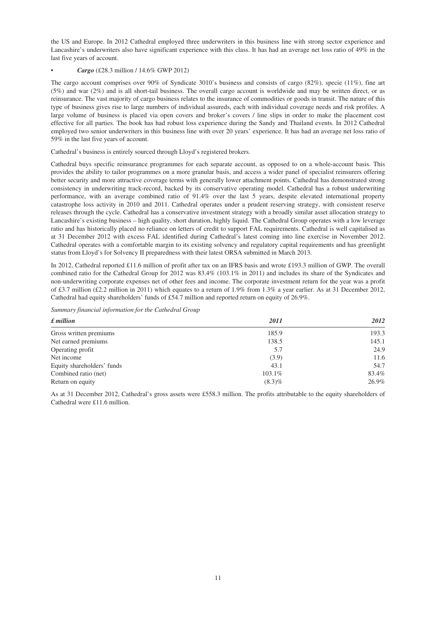the US and Europe. In 2012 Cathedral employed three underwriters in this business line with strong sector experience and Lancashire's underwriters also have significant experience with this class. It has had an average net loss ratio of 49% in the last five years of account.

## • *Cargo* (£28.3 million / 14.6% GWP 2012)

The cargo account comprises over 90% of Syndicate 3010's business and consists of cargo (82%), specie (11%), fine art (5%) and war (2%) and is all short-tail business. The overall cargo account is worldwide and may be written direct, or as reinsurance. The vast majority of cargo business relates to the insurance of commodities or goods in transit. The nature of this type of business gives rise to large numbers of individual assureds, each with individual coverage needs and risk profiles. A large volume of business is placed via open covers and broker's covers / line slips in order to make the placement cost effective for all parties. The book has had robust loss experience during the Sandy and Thailand events. In 2012 Cathedral employed two senior underwriters in this business line with over 20 years' experience. It has had an average net loss ratio of 59% in the last five years of account.

Cathedral's business is entirely sourced through Lloyd's registered brokers.

Cathedral buys specific reinsurance programmes for each separate account, as opposed to on a whole-account basis. This provides the ability to tailor programmes on a more granular basis, and access a wider panel of specialist reinsurers offering better security and more attractive coverage terms with generally lower attachment points. Cathedral has demonstrated strong consistency in underwriting track-record, backed by its conservative operating model. Cathedral has a robust underwriting performance, with an average combined ratio of 91.4% over the last 5 years, despite elevated international property catastrophe loss activity in 2010 and 2011. Cathedral operates under a prudent reserving strategy, with consistent reserve releases through the cycle. Cathedral has a conservative investment strategy with a broadly similar asset allocation strategy to Lancashire's existing business – high quality, short duration, highly liquid. The Cathedral Group operates with a low leverage ratio and has historically placed no reliance on letters of credit to support FAL requirements. Cathedral is well capitalised as at 31 December 2012 with excess FAL identified during Cathedral's latest coming into line exercise in November 2012. Cathedral operates with a comfortable margin to its existing solvency and regulatory capital requirements and has greenlight status from Lloyd's for Solvency II preparedness with their latest ORSA submitted in March 2013.

In 2012, Cathedral reported £11.6 million of profit after tax on an IFRS basis and wrote £193.3 million of GWP. The overall combined ratio for the Cathedral Group for 2012 was 83.4% (103.1% in 2011) and includes its share of the Syndicates and non-underwriting corporate expenses net of other fees and income. The corporate investment return for the year was a profit of £3.7 million (£2.2 million in 2011) which equates to a return of 1.9% from 1.3% a year earlier. As at 31 December 2012, Cathedral had equity shareholders' funds of £54.7 million and reported return on equity of 26.9%.

*Summary financial information for the Cathedral Group*

| $\pounds$ million          | 2011      | 2012  |
|----------------------------|-----------|-------|
| Gross written premiums     | 185.9     | 193.3 |
| Net earned premiums        | 138.5     | 145.1 |
| Operating profit           | 5.7       | 24.9  |
| Net income                 | (3.9)     | 11.6  |
| Equity shareholders' funds | 43.1      | 54.7  |
| Combined ratio (net)       | $103.1\%$ | 83.4% |
| Return on equity           | $(8.3)\%$ | 26.9% |

As at 31 December 2012, Cathedral's gross assets were £558.3 million. The profits attributable to the equity shareholders of Cathedral were £11.6 million.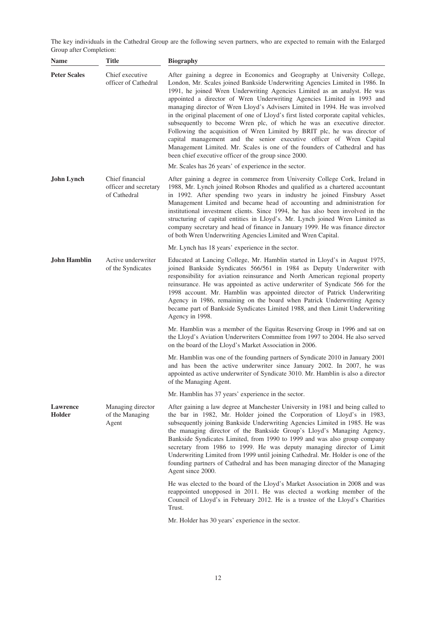The key individuals in the Cathedral Group are the following seven partners, who are expected to remain with the Enlarged Group after Completion:

| Name                | <b>Title</b>                                             | <b>Biography</b>                                                                                                                                                                                                                                                                                                                                                                                                                                                                                                                                                                                                                                                                                                                                                                                                                                            |
|---------------------|----------------------------------------------------------|-------------------------------------------------------------------------------------------------------------------------------------------------------------------------------------------------------------------------------------------------------------------------------------------------------------------------------------------------------------------------------------------------------------------------------------------------------------------------------------------------------------------------------------------------------------------------------------------------------------------------------------------------------------------------------------------------------------------------------------------------------------------------------------------------------------------------------------------------------------|
| <b>Peter Scales</b> | Chief executive<br>officer of Cathedral                  | After gaining a degree in Economics and Geography at University College,<br>London, Mr. Scales joined Bankside Underwriting Agencies Limited in 1986. In<br>1991, he joined Wren Underwriting Agencies Limited as an analyst. He was<br>appointed a director of Wren Underwriting Agencies Limited in 1993 and<br>managing director of Wren Lloyd's Advisers Limited in 1994. He was involved<br>in the original placement of one of Lloyd's first listed corporate capital vehicles,<br>subsequently to become Wren plc, of which he was an executive director.<br>Following the acquisition of Wren Limited by BRIT plc, he was director of<br>capital management and the senior executive officer of Wren Capital<br>Management Limited. Mr. Scales is one of the founders of Cathedral and has<br>been chief executive officer of the group since 2000. |
|                     |                                                          | Mr. Scales has 26 years' of experience in the sector.                                                                                                                                                                                                                                                                                                                                                                                                                                                                                                                                                                                                                                                                                                                                                                                                       |
| <b>John Lynch</b>   | Chief financial<br>officer and secretary<br>of Cathedral | After gaining a degree in commerce from University College Cork, Ireland in<br>1988, Mr. Lynch joined Robson Rhodes and qualified as a chartered accountant<br>in 1992. After spending two years in industry he joined Finsbury Asset<br>Management Limited and became head of accounting and administration for<br>institutional investment clients. Since 1994, he has also been involved in the<br>structuring of capital entities in Lloyd's. Mr. Lynch joined Wren Limited as<br>company secretary and head of finance in January 1999. He was finance director<br>of both Wren Underwriting Agencies Limited and Wren Capital.                                                                                                                                                                                                                        |
|                     |                                                          | Mr. Lynch has 18 years' experience in the sector.                                                                                                                                                                                                                                                                                                                                                                                                                                                                                                                                                                                                                                                                                                                                                                                                           |
| <b>John Hamblin</b> | Active underwriter<br>of the Syndicates                  | Educated at Lancing College, Mr. Hamblin started in Lloyd's in August 1975,<br>joined Bankside Syndicates 566/561 in 1984 as Deputy Underwriter with<br>responsibility for aviation reinsurance and North American regional property<br>reinsurance. He was appointed as active underwriter of Syndicate 566 for the<br>1998 account. Mr. Hamblin was appointed director of Patrick Underwriting<br>Agency in 1986, remaining on the board when Patrick Underwriting Agency<br>became part of Bankside Syndicates Limited 1988, and then Limit Underwriting<br>Agency in 1998.                                                                                                                                                                                                                                                                              |
|                     |                                                          | Mr. Hamblin was a member of the Equitas Reserving Group in 1996 and sat on<br>the Lloyd's Aviation Underwriters Committee from 1997 to 2004. He also served<br>on the board of the Lloyd's Market Association in 2006.                                                                                                                                                                                                                                                                                                                                                                                                                                                                                                                                                                                                                                      |
|                     |                                                          | Mr. Hamblin was one of the founding partners of Syndicate 2010 in January 2001<br>and has been the active underwriter since January 2002. In 2007, he was<br>appointed as active underwriter of Syndicate 3010. Mr. Hamblin is also a director<br>of the Managing Agent.                                                                                                                                                                                                                                                                                                                                                                                                                                                                                                                                                                                    |
|                     |                                                          | Mr. Hamblin has 37 years' experience in the sector.                                                                                                                                                                                                                                                                                                                                                                                                                                                                                                                                                                                                                                                                                                                                                                                                         |
| Lawrence<br>Holder  | Managing director<br>of the Managing<br>Agent            | After gaining a law degree at Manchester University in 1981 and being called to<br>the bar in 1982, Mr. Holder joined the Corporation of Lloyd's in 1983,<br>subsequently joining Bankside Underwriting Agencies Limited in 1985. He was<br>the managing director of the Bankside Group's Lloyd's Managing Agency,<br>Bankside Syndicates Limited, from 1990 to 1999 and was also group company<br>secretary from 1986 to 1999. He was deputy managing director of Limit<br>Underwriting Limited from 1999 until joining Cathedral. Mr. Holder is one of the<br>founding partners of Cathedral and has been managing director of the Managing<br>Agent since 2000.                                                                                                                                                                                          |
|                     |                                                          | He was elected to the board of the Lloyd's Market Association in 2008 and was<br>reappointed unopposed in 2011. He was elected a working member of the<br>Council of Lloyd's in February 2012. He is a trustee of the Lloyd's Charities<br>Trust.                                                                                                                                                                                                                                                                                                                                                                                                                                                                                                                                                                                                           |
|                     |                                                          | Mr. Holder has 30 years' experience in the sector.                                                                                                                                                                                                                                                                                                                                                                                                                                                                                                                                                                                                                                                                                                                                                                                                          |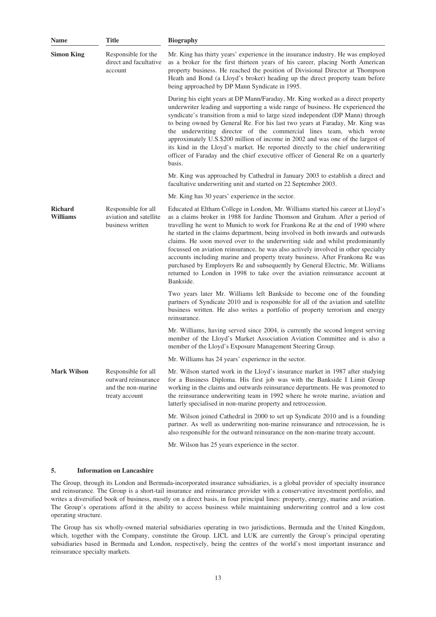| Name                              | <b>Title</b>                                                                       | <b>Biography</b>                                                                                                                                                                                                                                                                                                                                                                                                                                                                                                                                                                                                                                                                                                                                                         |
|-----------------------------------|------------------------------------------------------------------------------------|--------------------------------------------------------------------------------------------------------------------------------------------------------------------------------------------------------------------------------------------------------------------------------------------------------------------------------------------------------------------------------------------------------------------------------------------------------------------------------------------------------------------------------------------------------------------------------------------------------------------------------------------------------------------------------------------------------------------------------------------------------------------------|
| <b>Simon King</b>                 | Responsible for the<br>direct and facultative<br>account                           | Mr. King has thirty years' experience in the insurance industry. He was employed<br>as a broker for the first thirteen years of his career, placing North American<br>property business. He reached the position of Divisional Director at Thompson<br>Heath and Bond (a Lloyd's broker) heading up the direct property team before<br>being approached by DP Mann Syndicate in 1995.                                                                                                                                                                                                                                                                                                                                                                                    |
|                                   |                                                                                    | During his eight years at DP Mann/Faraday, Mr. King worked as a direct property<br>underwriter leading and supporting a wide range of business. He experienced the<br>syndicate's transition from a mid to large sized independent (DP Mann) through<br>to being owned by General Re. For his last two years at Faraday, Mr. King was<br>the underwriting director of the commercial lines team, which wrote<br>approximately U.S.\$200 million of income in 2002 and was one of the largest of<br>its kind in the Lloyd's market. He reported directly to the chief underwriting<br>officer of Faraday and the chief executive officer of General Re on a quarterly<br>basis.                                                                                           |
|                                   |                                                                                    | Mr. King was approached by Cathedral in January 2003 to establish a direct and<br>facultative underwriting unit and started on 22 September 2003.                                                                                                                                                                                                                                                                                                                                                                                                                                                                                                                                                                                                                        |
|                                   |                                                                                    | Mr. King has 30 years' experience in the sector.                                                                                                                                                                                                                                                                                                                                                                                                                                                                                                                                                                                                                                                                                                                         |
| <b>Richard</b><br><b>Williams</b> | Responsible for all<br>aviation and satellite<br>business written                  | Educated at Eltham College in London, Mr. Williams started his career at Lloyd's<br>as a claims broker in 1988 for Jardine Thomson and Graham. After a period of<br>travelling he went to Munich to work for Frankona Re at the end of 1990 where<br>he started in the claims department, being involved in both inwards and outwards<br>claims. He soon moved over to the underwriting side and whilst predominantly<br>focussed on aviation reinsurance, he was also actively involved in other specialty<br>accounts including marine and property treaty business. After Frankona Re was<br>purchased by Employers Re and subsequently by General Electric, Mr. Williams<br>returned to London in 1998 to take over the aviation reinsurance account at<br>Bankside. |
|                                   |                                                                                    | Two years later Mr. Williams left Bankside to become one of the founding<br>partners of Syndicate 2010 and is responsible for all of the aviation and satellite<br>business written. He also writes a portfolio of property terrorism and energy<br>reinsurance.                                                                                                                                                                                                                                                                                                                                                                                                                                                                                                         |
|                                   |                                                                                    | Mr. Williams, having served since 2004, is currently the second longest serving<br>member of the Lloyd's Market Association Aviation Committee and is also a<br>member of the Lloyd's Exposure Management Steering Group.                                                                                                                                                                                                                                                                                                                                                                                                                                                                                                                                                |
|                                   |                                                                                    | Mr. Williams has 24 years' experience in the sector.                                                                                                                                                                                                                                                                                                                                                                                                                                                                                                                                                                                                                                                                                                                     |
| <b>Mark Wilson</b>                | Responsible for all<br>outward reinsurance<br>and the non-marine<br>treaty account | Mr. Wilson started work in the Lloyd's insurance market in 1987 after studying<br>for a Business Diploma. His first job was with the Bankside I Limit Group<br>working in the claims and outwards reinsurance departments. He was promoted to<br>the reinsurance underwriting team in 1992 where he wrote marine, aviation and<br>latterly specialised in non-marine property and retrocession.                                                                                                                                                                                                                                                                                                                                                                          |
|                                   |                                                                                    | Mr. Wilson joined Cathedral in 2000 to set up Syndicate 2010 and is a founding<br>partner. As well as underwriting non-marine reinsurance and retrocession, he is<br>also responsible for the outward reinsurance on the non-marine treaty account.                                                                                                                                                                                                                                                                                                                                                                                                                                                                                                                      |
|                                   |                                                                                    | Mr. Wilson has 25 years experience in the sector.                                                                                                                                                                                                                                                                                                                                                                                                                                                                                                                                                                                                                                                                                                                        |

#### **5. Information on Lancashire**

The Group, through its London and Bermuda-incorporated insurance subsidiaries, is a global provider of specialty insurance and reinsurance. The Group is a short-tail insurance and reinsurance provider with a conservative investment portfolio, and writes a diversified book of business, mostly on a direct basis, in four principal lines: property, energy, marine and aviation. The Group's operations afford it the ability to access business while maintaining underwriting control and a low cost operating structure.

The Group has six wholly-owned material subsidiaries operating in two jurisdictions, Bermuda and the United Kingdom, which, together with the Company, constitute the Group. LICL and LUK are currently the Group's principal operating subsidiaries based in Bermuda and London, respectively, being the centres of the world's most important insurance and reinsurance specialty markets.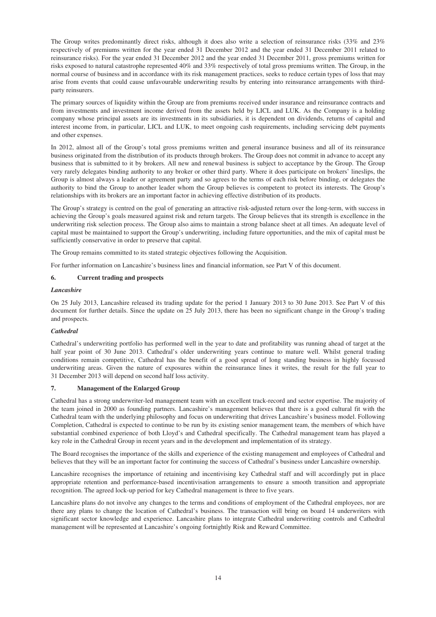The Group writes predominantly direct risks, although it does also write a selection of reinsurance risks (33% and 23% respectively of premiums written for the year ended 31 December 2012 and the year ended 31 December 2011 related to reinsurance risks). For the year ended 31 December 2012 and the year ended 31 December 2011, gross premiums written for risks exposed to natural catastrophe represented 40% and 33% respectively of total gross premiums written. The Group, in the normal course of business and in accordance with its risk management practices, seeks to reduce certain types of loss that may arise from events that could cause unfavourable underwriting results by entering into reinsurance arrangements with thirdparty reinsurers.

The primary sources of liquidity within the Group are from premiums received under insurance and reinsurance contracts and from investments and investment income derived from the assets held by LICL and LUK. As the Company is a holding company whose principal assets are its investments in its subsidiaries, it is dependent on dividends, returns of capital and interest income from, in particular, LICL and LUK, to meet ongoing cash requirements, including servicing debt payments and other expenses.

In 2012, almost all of the Group's total gross premiums written and general insurance business and all of its reinsurance business originated from the distribution of its products through brokers. The Group does not commit in advance to accept any business that is submitted to it by brokers. All new and renewal business is subject to acceptance by the Group. The Group very rarely delegates binding authority to any broker or other third party. Where it does participate on brokers' lineslips, the Group is almost always a leader or agreement party and so agrees to the terms of each risk before binding, or delegates the authority to bind the Group to another leader whom the Group believes is competent to protect its interests. The Group's relationships with its brokers are an important factor in achieving effective distribution of its products.

The Group's strategy is centred on the goal of generating an attractive risk-adjusted return over the long-term, with success in achieving the Group's goals measured against risk and return targets. The Group believes that its strength is excellence in the underwriting risk selection process. The Group also aims to maintain a strong balance sheet at all times. An adequate level of capital must be maintained to support the Group's underwriting, including future opportunities, and the mix of capital must be sufficiently conservative in order to preserve that capital.

The Group remains committed to its stated strategic objectives following the Acquisition.

For further information on Lancashire's business lines and financial information, see Part V of this document.

#### **6. Current trading and prospects**

#### *Lancashire*

On 25 July 2013, Lancashire released its trading update for the period 1 January 2013 to 30 June 2013. See Part V of this document for further details. Since the update on 25 July 2013, there has been no significant change in the Group's trading and prospects.

#### *Cathedral*

Cathedral's underwriting portfolio has performed well in the year to date and profitability was running ahead of target at the half year point of 30 June 2013. Cathedral's older underwriting years continue to mature well. Whilst general trading conditions remain competitive, Cathedral has the benefit of a good spread of long standing business in highly focussed underwriting areas. Given the nature of exposures within the reinsurance lines it writes, the result for the full year to 31 December 2013 will depend on second half loss activity.

#### **7. Management of the Enlarged Group**

Cathedral has a strong underwriter-led management team with an excellent track-record and sector expertise. The majority of the team joined in 2000 as founding partners. Lancashire's management believes that there is a good cultural fit with the Cathedral team with the underlying philosophy and focus on underwriting that drives Lancashire's business model. Following Completion, Cathedral is expected to continue to be run by its existing senior management team, the members of which have substantial combined experience of both Lloyd's and Cathedral specifically. The Cathedral management team has played a key role in the Cathedral Group in recent years and in the development and implementation of its strategy.

The Board recognises the importance of the skills and experience of the existing management and employees of Cathedral and believes that they will be an important factor for continuing the success of Cathedral's business under Lancashire ownership.

Lancashire recognises the importance of retaining and incentivising key Cathedral staff and will accordingly put in place appropriate retention and performance-based incentivisation arrangements to ensure a smooth transition and appropriate recognition. The agreed lock-up period for key Cathedral management is three to five years.

Lancashire plans do not involve any changes to the terms and conditions of employment of the Cathedral employees, nor are there any plans to change the location of Cathedral's business. The transaction will bring on board 14 underwriters with significant sector knowledge and experience. Lancashire plans to integrate Cathedral underwriting controls and Cathedral management will be represented at Lancashire's ongoing fortnightly Risk and Reward Committee.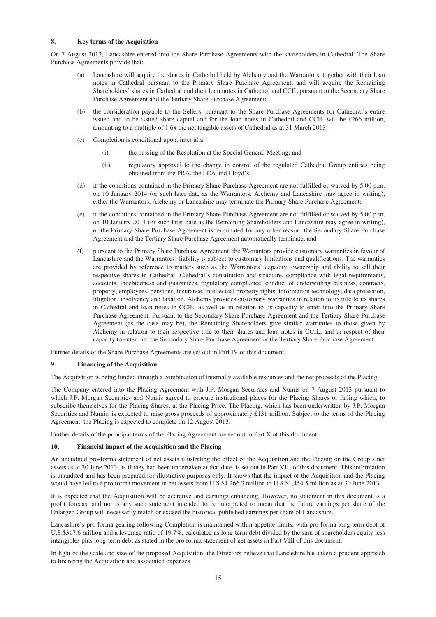#### **8. Key terms of the Acquisition**

On 7 August 2013, Lancashire entered into the Share Purchase Agreements with the shareholders in Cathedral. The Share Purchase Agreements provide that:

- (a) Lancashire will acquire the shares in Cathedral held by Alchemy and the Warrantors, together with their loan notes in Cathedral pursuant to the Primary Share Purchase Agreement, and will acquire the Remaining Shareholders' shares in Cathedral and their loan notes in Cathedral and CCIL pursuant to the Secondary Share Purchase Agreement and the Tertiary Share Purchase Agreement;
- (b) the consideration payable to the Sellers, pursuant to the Share Purchase Agreements for Cathedral's entire issued and to be issued share capital and for the loan notes in Cathedral and CCIL will be £266 million, amounting to a multiple of 1.6x the net tangible assets of Cathedral as at 31 March 2013;
- (c) Completion is conditional upon, inter alia:
	- (i) the passing of the Resolution at the Special General Meeting; and
	- (ii) regulatory approval to the change in control of the regulated Cathedral Group entities being obtained from the PRA, the FCA and Lloyd's;
- (d) if the conditions contained in the Primary Share Purchase Agreement are not fulfilled or waived by 5.00 p.m. on 10 January 2014 (or such later date as the Warrantors, Alchemy and Lancashire may agree in writing), either the Warrantors, Alchemy or Lancashire may terminate the Primary Share Purchase Agreement;
- (e) if the conditions contained in the Primary Share Purchase Agreement are not fulfilled or waived by 5.00 p.m. on 10 January 2014 (or such later date as the Remaining Shareholders and Lancashire may agree in writing), or the Primary Share Purchase Agreement is terminated for any other reason, the Secondary Share Purchase Agreement and the Tertiary Share Purchase Agreement automatically terminate; and
- (f) pursuant to the Primary Share Purchase Agreement, the Warrantors provide customary warranties in favour of Lancashire and the Warrantors' liability is subject to customary limitations and qualifications. The warranties are provided by reference to matters such as the Warrantors' capacity, ownership and ability to sell their respective shares in Cathedral; Cathedral's constitution and structure, compliance with legal requirements, accounts, indebtedness and guarantees, regulatory compliance, conduct of underwriting business, contracts, property, employees, pensions, insurance, intellectual property rights, information technology, data protection, litigation, insolvency and taxation. Alchemy provides customary warranties in relation to its title to its shares in Cathedral and loan notes in CCIL, as well as in relation to its capacity to enter into the Primary Share Purchase Agreement. Pursuant to the Secondary Share Purchase Agreement and the Tertiary Share Purchase Agreement (as the case may be), the Remaining Shareholders give similar warranties to those given by Alchemy in relation to their respective title to their shares and loan notes in CCIL, and in respect of their capacity to enter into the Secondary Share Purchase Agreement or the Tertiary Share Purchase Agreement.

Further details of the Share Purchase Agreements are set out in Part IV of this document.

#### **9. Financing of the Acquisition**

The Acquisition is being funded through a combination of internally available resources and the net proceeds of the Placing.

The Company entered into the Placing Agreement with J.P. Morgan Securities and Numis on 7 August 2013 pursuant to which J.P. Morgan Securities and Numis agreed to procure institutional places for the Placing Shares or failing which, to subscribe themselves for the Placing Shares, at the Placing Price. The Placing, which has been underwritten by J.P. Morgan Securities and Numis, is expected to raise gross proceeds of approximately £131 million. Subject to the terms of the Placing Agreement, the Placing is expected to complete on 12 August 2013.

Further details of the principal terms of the Placing Agreement are set out in Part X of this document.

#### **10. Financial impact of the Acquisition and the Placing**

An unaudited pro-forma statement of net assets illustrating the effect of the Acquisition and the Placing on the Group's net assets as at 30 June 2013, as if they had been undertaken at that date, is set out in Part VIII of this document. This information is unaudited and has been prepared for illustrative purposes only. It shows that the impact of the Acquisition and the Placing would have led to a pro forma movement in net assets from U.S.\$1,266.3 million to U.S.\$1,454.5 million as at 30 June 2013.

It is expected that the Acquisition will be accretive and earnings enhancing. However, no statement in this document is a profit forecast and nor is any such statement intended to be interpreted to mean that the future earnings per share of the Enlarged Group will necessarily match or exceed the historical published earnings per share of Lancashire.

Lancashire's pro forma gearing following Completion is maintained within appetite limits, with pro-forma long-term debt of U.S.\$317.6 million and a leverage ratio of 19.7%, calculated as long-term debt divided by the sum of shareholders equity less intangibles plus long-term debt as stated in the pro forma statement of net assets in Part VIII of this document.

In light of the scale and size of the proposed Acquisition, the Directors believe that Lancashire has taken a prudent approach to financing the Acquisition and associated expenses.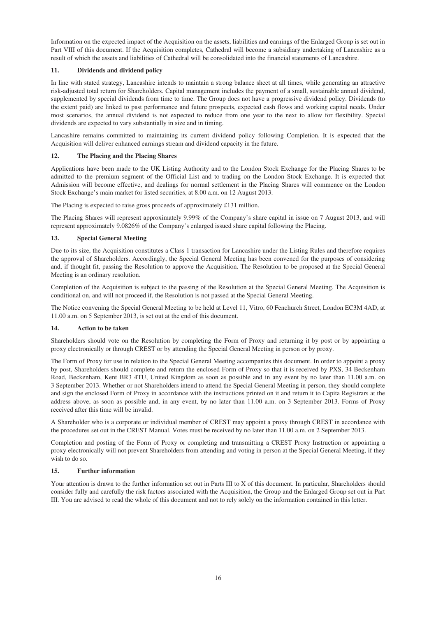Information on the expected impact of the Acquisition on the assets, liabilities and earnings of the Enlarged Group is set out in Part VIII of this document. If the Acquisition completes, Cathedral will become a subsidiary undertaking of Lancashire as a result of which the assets and liabilities of Cathedral will be consolidated into the financial statements of Lancashire.

## **11. Dividends and dividend policy**

In line with stated strategy, Lancashire intends to maintain a strong balance sheet at all times, while generating an attractive risk-adjusted total return for Shareholders. Capital management includes the payment of a small, sustainable annual dividend, supplemented by special dividends from time to time. The Group does not have a progressive dividend policy. Dividends (to the extent paid) are linked to past performance and future prospects, expected cash flows and working capital needs. Under most scenarios, the annual dividend is not expected to reduce from one year to the next to allow for flexibility. Special dividends are expected to vary substantially in size and in timing.

Lancashire remains committed to maintaining its current dividend policy following Completion. It is expected that the Acquisition will deliver enhanced earnings stream and dividend capacity in the future.

## **12. The Placing and the Placing Shares**

Applications have been made to the UK Listing Authority and to the London Stock Exchange for the Placing Shares to be admitted to the premium segment of the Official List and to trading on the London Stock Exchange. It is expected that Admission will become effective, and dealings for normal settlement in the Placing Shares will commence on the London Stock Exchange's main market for listed securities, at 8.00 a.m. on 12 August 2013.

The Placing is expected to raise gross proceeds of approximately £131 million.

The Placing Shares will represent approximately 9.99% of the Company's share capital in issue on 7 August 2013, and will represent approximately 9.0826% of the Company's enlarged issued share capital following the Placing.

## **13. Special General Meeting**

Due to its size, the Acquisition constitutes a Class 1 transaction for Lancashire under the Listing Rules and therefore requires the approval of Shareholders. Accordingly, the Special General Meeting has been convened for the purposes of considering and, if thought fit, passing the Resolution to approve the Acquisition. The Resolution to be proposed at the Special General Meeting is an ordinary resolution.

Completion of the Acquisition is subject to the passing of the Resolution at the Special General Meeting. The Acquisition is conditional on, and will not proceed if, the Resolution is not passed at the Special General Meeting.

The Notice convening the Special General Meeting to be held at Level 11, Vitro, 60 Fenchurch Street, London EC3M 4AD, at 11.00 a.m. on 5 September 2013, is set out at the end of this document.

#### **14. Action to be taken**

Shareholders should vote on the Resolution by completing the Form of Proxy and returning it by post or by appointing a proxy electronically or through CREST or by attending the Special General Meeting in person or by proxy.

The Form of Proxy for use in relation to the Special General Meeting accompanies this document. In order to appoint a proxy by post, Shareholders should complete and return the enclosed Form of Proxy so that it is received by PXS, 34 Beckenham Road, Beckenham, Kent BR3 4TU, United Kingdom as soon as possible and in any event by no later than 11.00 a.m. on 3 September 2013. Whether or not Shareholders intend to attend the Special General Meeting in person, they should complete and sign the enclosed Form of Proxy in accordance with the instructions printed on it and return it to Capita Registrars at the address above, as soon as possible and, in any event, by no later than 11.00 a.m. on 3 September 2013. Forms of Proxy received after this time will be invalid.

A Shareholder who is a corporate or individual member of CREST may appoint a proxy through CREST in accordance with the procedures set out in the CREST Manual. Votes must be received by no later than 11.00 a.m. on 2 September 2013.

Completion and posting of the Form of Proxy or completing and transmitting a CREST Proxy Instruction or appointing a proxy electronically will not prevent Shareholders from attending and voting in person at the Special General Meeting, if they wish to do so.

#### **15. Further information**

Your attention is drawn to the further information set out in Parts III to X of this document. In particular, Shareholders should consider fully and carefully the risk factors associated with the Acquisition, the Group and the Enlarged Group set out in Part III. You are advised to read the whole of this document and not to rely solely on the information contained in this letter.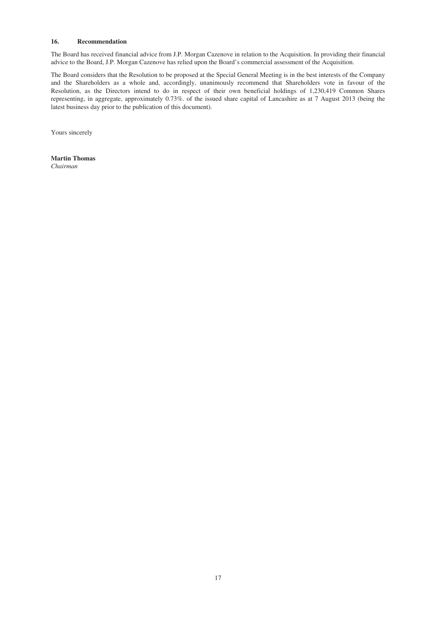#### **16. Recommendation**

The Board has received financial advice from J.P. Morgan Cazenove in relation to the Acquisition. In providing their financial advice to the Board, J.P. Morgan Cazenove has relied upon the Board's commercial assessment of the Acquisition.

The Board considers that the Resolution to be proposed at the Special General Meeting is in the best interests of the Company and the Shareholders as a whole and, accordingly, unanimously recommend that Shareholders vote in favour of the Resolution, as the Directors intend to do in respect of their own beneficial holdings of 1,230,419 Common Shares representing, in aggregate, approximately 0.73%. of the issued share capital of Lancashire as at 7 August 2013 (being the latest business day prior to the publication of this document).

Yours sincerely

**Martin Thomas** *Chairman*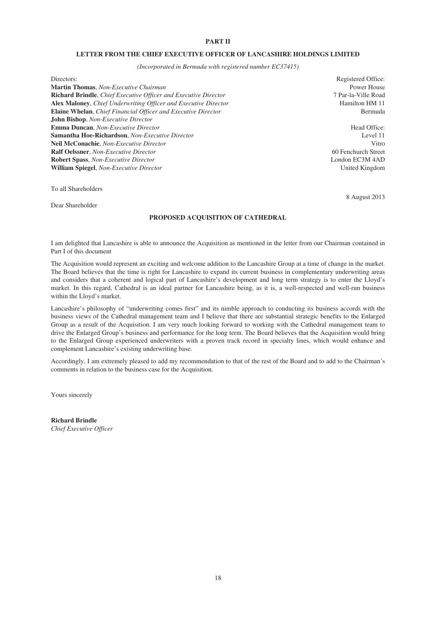#### **PART II**

#### **LETTER FROM THE CHIEF EXECUTIVE OFFICER OF LANCASHIRE HOLDINGS LIMITED**

*(Incorporated in Bermuda with registered number EC37415)*

**Martin Thomas**, *Non-Executive Chairman* Power House<br> **Richard Brindle**, *Chief Executive Officer and Executive Director* (*Parela-Ville Road* **Richard Brindle**, *Chief Executive Officer and Executive Director* 7 Par-la-Ville Road<br>Alex Maloney. *Chief Underwriting Officer and Executive Director* 7 Part 11 Manilton HM 11 **Alex Maloney**, *Chief Underwriting Officer and Executive Director* Hamilton HM 11 **Flamidian**, *Chief Financial Officer and Executive Director* **Hamilton HM 11 Bermuda Elaine Whelan**, *Chief Financial Officer and Executive Director* **John Bishop**, *Non-Executive Director* **Emma Duncan**, *Non-Executive Director* **Head Office: Head Office: Head Office: Head Office: Head Office: Head Office: Head Office: Head Office: Head Office: Head Office: Head Office: Head Office: H Samantha Hoe-Richardson**, *Non-Executive Director* Level 11 **Neil McConachie**, *Non-Executive Director* Vitro **Ralf Oelssner**, *Non-Executive Director* **Robert Spass**, *Non-Executive Director* London EC3M 4AD **William Spiegel**, *Non-Executive Director* United Kingdom

Directors: Registered Office:

8 August 2013

To all Shareholders

Dear Shareholder

#### **PROPOSED ACQUISITION OF CATHEDRAL**

I am delighted that Lancashire is able to announce the Acquisition as mentioned in the letter from our Chairman contained in Part I of this document

The Acquisition would represent an exciting and welcome addition to the Lancashire Group at a time of change in the market. The Board believes that the time is right for Lancashire to expand its current business in complementary underwriting areas and considers that a coherent and logical part of Lancashire's development and long term strategy is to enter the Lloyd's market. In this regard, Cathedral is an ideal partner for Lancashire being, as it is, a well-respected and well-run business within the Lloyd's market.

Lancashire's philosophy of "underwriting comes first" and its nimble approach to conducting its business accords with the business views of the Cathedral management team and I believe that there are substantial strategic benefits to the Enlarged Group as a result of the Acquisition. I am very much looking forward to working with the Cathedral management team to drive the Enlarged Group's business and performance for the long term. The Board believes that the Acquisition would bring to the Enlarged Group experienced underwriters with a proven track record in specialty lines, which would enhance and complement Lancashire's existing underwriting base.

Accordingly, I am extremely pleased to add my recommendation to that of the rest of the Board and to add to the Chairman's comments in relation to the business case for the Acquisition.

Yours sincerely

**Richard Brindle** *Chief Executive Officer*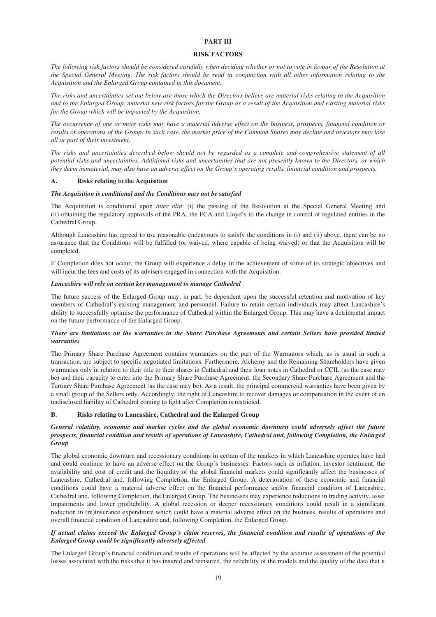#### **PART III**

#### **RISK FACTORS**

*The following risk factors should be considered carefully when deciding whether or not to vote in favour of the Resolution at the Special General Meeting. The risk factors should be read in conjunction with all other information relating to the Acquisition and the Enlarged Group contained in this document.*

*The risks and uncertainties set out below are those which the Directors believe are material risks relating to the Acquisition and to the Enlarged Group, material new risk factors for the Group as a result of the Acquisition and existing material risks for the Group which will be impacted by the Acquisition.*

*The occurrence of one or more risks may have a material adverse effect on the business, prospects, financial condition or results of operations of the Group. In such case, the market price of the Common Shares may decline and investors may lose all or part of their investment.*

*The risks and uncertainties described below should not be regarded as a complete and comprehensive statement of all potential risks and uncertainties. Additional risks and uncertainties that are not presently known to the Directors, or which they deem immaterial, may also have an adverse effect on the Group's operating results, financial condition and prospects.*

#### **A. Risks relating to the Acquisition**

#### *The Acquisition is conditional and the Conditions may not be satisfied*

The Acquisition is conditional upon *inter alia*: (i) the passing of the Resolution at the Special General Meeting and (ii) obtaining the regulatory approvals of the PRA, the FCA and Lloyd's to the change in control of regulated entities in the Cathedral Group.

Although Lancashire has agreed to use reasonable endeavours to satisfy the conditions in (i) and (ii) above, there can be no assurance that the Conditions will be fulfilled (or waived, where capable of being waived) or that the Acquisition will be completed.

If Completion does not occur, the Group will experience a delay in the achievement of some of its strategic objectives and will incur the fees and costs of its advisers engaged in connection with the Acquisition.

#### *Lancashire will rely on certain key management to manage Cathedral*

The future success of the Enlarged Group may, in part, be dependent upon the successful retention and motivation of key members of Cathedral's existing management and personnel. Failure to retain certain individuals may affect Lancashire's ability to successfully optimise the performance of Cathedral within the Enlarged Group. This may have a detrimental impact on the future performance of the Enlarged Group.

#### *There are limitations on the warranties in the Share Purchase Agreements and certain Sellers have provided limited warranties*

The Primary Share Purchase Agreement contains warranties on the part of the Warrantors which, as is usual in such a transaction, are subject to specific negotiated limitations. Furthermore, Alchemy and the Remaining Shareholders have given warranties only in relation to their title to their shares in Cathedral and their loan notes in Cathedral or CCIL (as the case may be) and their capacity to enter into the Primary Share Purchase Agreement, the Secondary Share Purchase Agreement and the Tertiary Share Purchase Agreement (as the case may be). As a result, the principal commercial warranties have been given by a small group of the Sellers only. Accordingly, the right of Lancashire to recover damages or compensation in the event of an undisclosed liability of Cathedral coming to light after Completion is restricted.

#### **B. Risks relating to Lancashire, Cathedral and the Enlarged Group**

#### *General volatility, economic and market cycles and the global economic downturn could adversely affect the future prospects, financial condition and results of operations of Lancashire, Cathedral and, following Completion, the Enlarged Group*

The global economic downturn and recessionary conditions in certain of the markets in which Lancashire operates have had and could continue to have an adverse effect on the Group's businesses. Factors such as inflation, investor sentiment, the availability and cost of credit and the liquidity of the global financial markets could significantly affect the businesses of Lancashire, Cathedral and, following Completion, the Enlarged Group. A deterioration of these economic and financial conditions could have a material adverse effect on the financial performance and/or financial condition of Lancashire, Cathedral and, following Completion, the Enlarged Group. The businesses may experience reductions in trading activity, asset impairments and lower profitability. A global recession or deeper recessionary conditions could result in a significant reduction in (re)insurance expenditure which could have a material adverse effect on the business, results of operations and overall financial condition of Lancashire and, following Completion, the Enlarged Group.

#### *If actual claims exceed the Enlarged Group's claim reserves, the financial condition and results of operations of the Enlarged Group could be significantly adversely affected*

The Enlarged Group's financial condition and results of operations will be affected by the accurate assessment of the potential losses associated with the risks that it has insured and reinsured, the reliability of the models and the quality of the data that it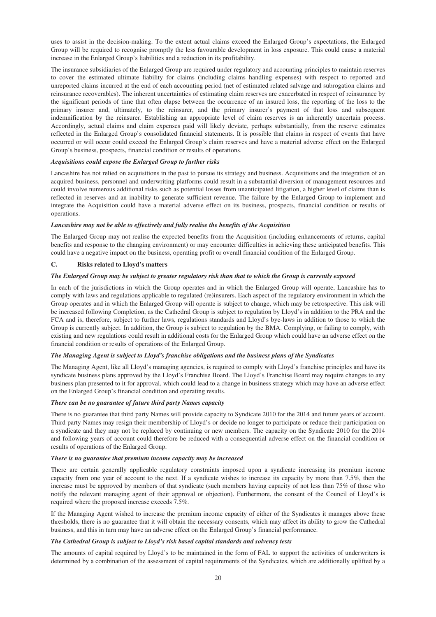uses to assist in the decision-making. To the extent actual claims exceed the Enlarged Group's expectations, the Enlarged Group will be required to recognise promptly the less favourable development in loss exposure. This could cause a material increase in the Enlarged Group's liabilities and a reduction in its profitability.

The insurance subsidiaries of the Enlarged Group are required under regulatory and accounting principles to maintain reserves to cover the estimated ultimate liability for claims (including claims handling expenses) with respect to reported and unreported claims incurred at the end of each accounting period (net of estimated related salvage and subrogation claims and reinsurance recoverables). The inherent uncertainties of estimating claim reserves are exacerbated in respect of reinsurance by the significant periods of time that often elapse between the occurrence of an insured loss, the reporting of the loss to the primary insurer and, ultimately, to the reinsurer, and the primary insurer's payment of that loss and subsequent indemnification by the reinsurer. Establishing an appropriate level of claim reserves is an inherently uncertain process. Accordingly, actual claims and claim expenses paid will likely deviate, perhaps substantially, from the reserve estimates reflected in the Enlarged Group's consolidated financial statements. It is possible that claims in respect of events that have occurred or will occur could exceed the Enlarged Group's claim reserves and have a material adverse effect on the Enlarged Group's business, prospects, financial condition or results of operations.

#### *Acquisitions could expose the Enlarged Group to further risks*

Lancashire has not relied on acquisitions in the past to pursue its strategy and business. Acquisitions and the integration of an acquired business, personnel and underwriting platforms could result in a substantial diversion of management resources and could involve numerous additional risks such as potential losses from unanticipated litigation, a higher level of claims than is reflected in reserves and an inability to generate sufficient revenue. The failure by the Enlarged Group to implement and integrate the Acquisition could have a material adverse effect on its business, prospects, financial condition or results of operations.

#### *Lancashire may not be able to effectively and fully realise the benefits of the Acquisition*

The Enlarged Group may not realise the expected benefits from the Acquisition (including enhancements of returns, capital benefits and response to the changing environment) or may encounter difficulties in achieving these anticipated benefits. This could have a negative impact on the business, operating profit or overall financial condition of the Enlarged Group.

## **C. Risks related to Lloyd's matters**

#### *The Enlarged Group may be subject to greater regulatory risk than that to which the Group is currently exposed*

In each of the jurisdictions in which the Group operates and in which the Enlarged Group will operate, Lancashire has to comply with laws and regulations applicable to regulated (re)insurers. Each aspect of the regulatory environment in which the Group operates and in which the Enlarged Group will operate is subject to change, which may be retrospective. This risk will be increased following Completion, as the Cathedral Group is subject to regulation by Lloyd's in addition to the PRA and the FCA and is, therefore, subject to further laws, regulations standards and Lloyd's bye-laws in addition to those to which the Group is currently subject. In addition, the Group is subject to regulation by the BMA. Complying, or failing to comply, with existing and new regulations could result in additional costs for the Enlarged Group which could have an adverse effect on the financial condition or results of operations of the Enlarged Group.

#### *The Managing Agent is subject to Lloyd's franchise obligations and the business plans of the Syndicates*

The Managing Agent, like all Lloyd's managing agencies, is required to comply with Lloyd's franchise principles and have its syndicate business plans approved by the Lloyd's Franchise Board. The Lloyd's Franchise Board may require changes to any business plan presented to it for approval, which could lead to a change in business strategy which may have an adverse effect on the Enlarged Group's financial condition and operating results.

#### *There can be no guarantee of future third party Names capacity*

There is no guarantee that third party Names will provide capacity to Syndicate 2010 for the 2014 and future years of account. Third party Names may resign their membership of Lloyd's or decide no longer to participate or reduce their participation on a syndicate and they may not be replaced by continuing or new members. The capacity on the Syndicate 2010 for the 2014 and following years of account could therefore be reduced with a consequential adverse effect on the financial condition or results of operations of the Enlarged Group.

#### *There is no guarantee that premium income capacity may be increased*

There are certain generally applicable regulatory constraints imposed upon a syndicate increasing its premium income capacity from one year of account to the next. If a syndicate wishes to increase its capacity by more than 7.5%, then the increase must be approved by members of that syndicate (such members having capacity of not less than 75% of those who notify the relevant managing agent of their approval or objection). Furthermore, the consent of the Council of Lloyd's is required where the proposed increase exceeds 7.5%.

If the Managing Agent wished to increase the premium income capacity of either of the Syndicates it manages above these thresholds, there is no guarantee that it will obtain the necessary consents, which may affect its ability to grow the Cathedral business, and this in turn may have an adverse effect on the Enlarged Group's financial performance.

#### *The Cathedral Group is subject to Lloyd's risk based capital standards and solvency tests*

The amounts of capital required by Lloyd's to be maintained in the form of FAL to support the activities of underwriters is determined by a combination of the assessment of capital requirements of the Syndicates, which are additionally uplifted by a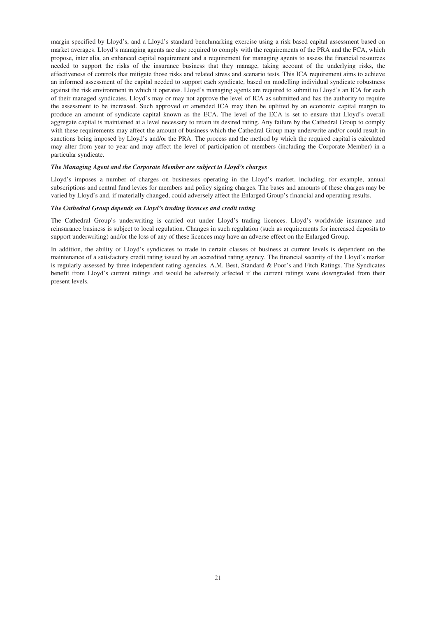margin specified by Lloyd's, and a Lloyd's standard benchmarking exercise using a risk based capital assessment based on market averages. Lloyd's managing agents are also required to comply with the requirements of the PRA and the FCA, which propose, inter alia, an enhanced capital requirement and a requirement for managing agents to assess the financial resources needed to support the risks of the insurance business that they manage, taking account of the underlying risks, the effectiveness of controls that mitigate those risks and related stress and scenario tests. This ICA requirement aims to achieve an informed assessment of the capital needed to support each syndicate, based on modelling individual syndicate robustness against the risk environment in which it operates. Lloyd's managing agents are required to submit to Lloyd's an ICA for each of their managed syndicates. Lloyd's may or may not approve the level of ICA as submitted and has the authority to require the assessment to be increased. Such approved or amended ICA may then be uplifted by an economic capital margin to produce an amount of syndicate capital known as the ECA. The level of the ECA is set to ensure that Lloyd's overall aggregate capital is maintained at a level necessary to retain its desired rating. Any failure by the Cathedral Group to comply with these requirements may affect the amount of business which the Cathedral Group may underwrite and/or could result in sanctions being imposed by Lloyd's and/or the PRA. The process and the method by which the required capital is calculated may alter from year to year and may affect the level of participation of members (including the Corporate Member) in a particular syndicate.

#### *The Managing Agent and the Corporate Member are subject to Lloyd's charges*

Lloyd's imposes a number of charges on businesses operating in the Lloyd's market, including, for example, annual subscriptions and central fund levies for members and policy signing charges. The bases and amounts of these charges may be varied by Lloyd's and, if materially changed, could adversely affect the Enlarged Group's financial and operating results.

#### *The Cathedral Group depends on Lloyd's trading licences and credit rating*

The Cathedral Group's underwriting is carried out under Lloyd's trading licences. Lloyd's worldwide insurance and reinsurance business is subject to local regulation. Changes in such regulation (such as requirements for increased deposits to support underwriting) and/or the loss of any of these licences may have an adverse effect on the Enlarged Group.

In addition, the ability of Lloyd's syndicates to trade in certain classes of business at current levels is dependent on the maintenance of a satisfactory credit rating issued by an accredited rating agency. The financial security of the Lloyd's market is regularly assessed by three independent rating agencies, A.M. Best, Standard & Poor's and Fitch Ratings. The Syndicates benefit from Lloyd's current ratings and would be adversely affected if the current ratings were downgraded from their present levels.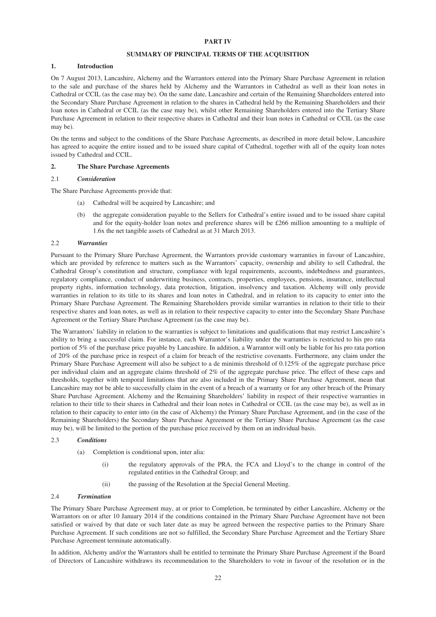#### **PART IV**

## **SUMMARY OF PRINCIPAL TERMS OF THE ACQUISITION**

#### **1. Introduction**

On 7 August 2013, Lancashire, Alchemy and the Warrantors entered into the Primary Share Purchase Agreement in relation to the sale and purchase of the shares held by Alchemy and the Warrantors in Cathedral as well as their loan notes in Cathedral or CCIL (as the case may be). On the same date, Lancashire and certain of the Remaining Shareholders entered into the Secondary Share Purchase Agreement in relation to the shares in Cathedral held by the Remaining Shareholders and their loan notes in Cathedral or CCIL (as the case may be), whilst other Remaining Shareholders entered into the Tertiary Share Purchase Agreement in relation to their respective shares in Cathedral and their loan notes in Cathedral or CCIL (as the case may be).

On the terms and subject to the conditions of the Share Purchase Agreements, as described in more detail below, Lancashire has agreed to acquire the entire issued and to be issued share capital of Cathedral, together with all of the equity loan notes issued by Cathedral and CCIL.

#### **2. The Share Purchase Agreements**

#### 2.1 *Consideration*

The Share Purchase Agreements provide that:

- (a) Cathedral will be acquired by Lancashire; and
- (b) the aggregate consideration payable to the Sellers for Cathedral's entire issued and to be issued share capital and for the equity-holder loan notes and preference shares will be £266 million amounting to a multiple of 1.6x the net tangible assets of Cathedral as at 31 March 2013.

#### 2.2 *Warranties*

Pursuant to the Primary Share Purchase Agreement, the Warrantors provide customary warranties in favour of Lancashire, which are provided by reference to matters such as the Warrantors' capacity, ownership and ability to sell Cathedral, the Cathedral Group's constitution and structure, compliance with legal requirements, accounts, indebtedness and guarantees, regulatory compliance, conduct of underwriting business, contracts, properties, employees, pensions, insurance, intellectual property rights, information technology, data protection, litigation, insolvency and taxation. Alchemy will only provide warranties in relation to its title to its shares and loan notes in Cathedral, and in relation to its capacity to enter into the Primary Share Purchase Agreement. The Remaining Shareholders provide similar warranties in relation to their title to their respective shares and loan notes, as well as in relation to their respective capacity to enter into the Secondary Share Purchase Agreement or the Tertiary Share Purchase Agreement (as the case may be).

The Warrantors' liability in relation to the warranties is subject to limitations and qualifications that may restrict Lancashire's ability to bring a successful claim. For instance, each Warrantor's liability under the warranties is restricted to his pro rata portion of 5% of the purchase price payable by Lancashire. In addition, a Warrantor will only be liable for his pro rata portion of 20% of the purchase price in respect of a claim for breach of the restrictive covenants. Furthermore, any claim under the Primary Share Purchase Agreement will also be subject to a de minimis threshold of 0.125% of the aggregate purchase price per individual claim and an aggregate claims threshold of 2% of the aggregate purchase price. The effect of these caps and thresholds, together with temporal limitations that are also included in the Primary Share Purchase Agreement, mean that Lancashire may not be able to successfully claim in the event of a breach of a warranty or for any other breach of the Primary Share Purchase Agreement. Alchemy and the Remaining Shareholders' liability in respect of their respective warranties in relation to their title to their shares in Cathedral and their loan notes in Cathedral or CCIL (as the case may be), as well as in relation to their capacity to enter into (in the case of Alchemy) the Primary Share Purchase Agreement, and (in the case of the Remaining Shareholders) the Secondary Share Purchase Agreement or the Tertiary Share Purchase Agreement (as the case may be), will be limited to the portion of the purchase price received by them on an individual basis.

#### 2.3 *Conditions*

- (a) Completion is conditional upon, inter alia:
	- (i) the regulatory approvals of the PRA, the FCA and Lloyd's to the change in control of the regulated entities in the Cathedral Group; and
	- (ii) the passing of the Resolution at the Special General Meeting.

#### 2.4 *Termination*

The Primary Share Purchase Agreement may, at or prior to Completion, be terminated by either Lancashire, Alchemy or the Warrantors on or after 10 January 2014 if the conditions contained in the Primary Share Purchase Agreement have not been satisfied or waived by that date or such later date as may be agreed between the respective parties to the Primary Share Purchase Agreement. If such conditions are not so fulfilled, the Secondary Share Purchase Agreement and the Tertiary Share Purchase Agreement terminate automatically.

In addition, Alchemy and/or the Warrantors shall be entitled to terminate the Primary Share Purchase Agreement if the Board of Directors of Lancashire withdraws its recommendation to the Shareholders to vote in favour of the resolution or in the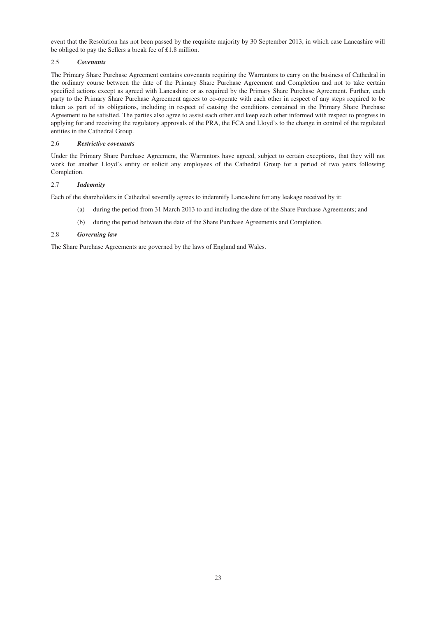event that the Resolution has not been passed by the requisite majority by 30 September 2013, in which case Lancashire will be obliged to pay the Sellers a break fee of £1.8 million.

## 2.5 *Covenants*

The Primary Share Purchase Agreement contains covenants requiring the Warrantors to carry on the business of Cathedral in the ordinary course between the date of the Primary Share Purchase Agreement and Completion and not to take certain specified actions except as agreed with Lancashire or as required by the Primary Share Purchase Agreement. Further, each party to the Primary Share Purchase Agreement agrees to co-operate with each other in respect of any steps required to be taken as part of its obligations, including in respect of causing the conditions contained in the Primary Share Purchase Agreement to be satisfied. The parties also agree to assist each other and keep each other informed with respect to progress in applying for and receiving the regulatory approvals of the PRA, the FCA and Lloyd's to the change in control of the regulated entities in the Cathedral Group.

#### 2.6 *Restrictive covenants*

Under the Primary Share Purchase Agreement, the Warrantors have agreed, subject to certain exceptions, that they will not work for another Lloyd's entity or solicit any employees of the Cathedral Group for a period of two years following Completion.

#### 2.7 *Indemnity*

Each of the shareholders in Cathedral severally agrees to indemnify Lancashire for any leakage received by it:

- (a) during the period from 31 March 2013 to and including the date of the Share Purchase Agreements; and
- (b) during the period between the date of the Share Purchase Agreements and Completion.

## 2.8 *Governing law*

The Share Purchase Agreements are governed by the laws of England and Wales.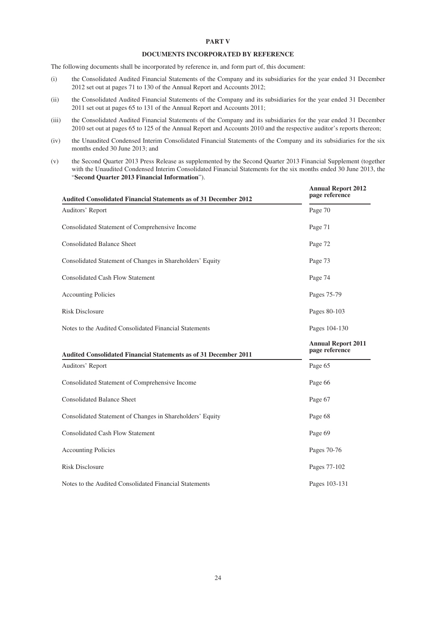## **PART V**

## **DOCUMENTS INCORPORATED BY REFERENCE**

The following documents shall be incorporated by reference in, and form part of, this document:

- (i) the Consolidated Audited Financial Statements of the Company and its subsidiaries for the year ended 31 December 2012 set out at pages 71 to 130 of the Annual Report and Accounts 2012;
- (ii) the Consolidated Audited Financial Statements of the Company and its subsidiaries for the year ended 31 December 2011 set out at pages 65 to 131 of the Annual Report and Accounts 2011;
- (iii) the Consolidated Audited Financial Statements of the Company and its subsidiaries for the year ended 31 December 2010 set out at pages 65 to 125 of the Annual Report and Accounts 2010 and the respective auditor's reports thereon;
- (iv) the Unaudited Condensed Interim Consolidated Financial Statements of the Company and its subsidiaries for the six months ended 30 June 2013; and
- (v) the Second Quarter 2013 Press Release as supplemented by the Second Quarter 2013 Financial Supplement (together with the Unaudited Condensed Interim Consolidated Financial Statements for the six months ended 30 June 2013, the "**Second Quarter 2013 Financial Information**").

| <b>Audited Consolidated Financial Statements as of 31 December 2012</b>                     | <b>Annual Report 2012</b><br>page reference |
|---------------------------------------------------------------------------------------------|---------------------------------------------|
| Auditors' Report                                                                            | Page 70                                     |
| Consolidated Statement of Comprehensive Income                                              | Page 71                                     |
| <b>Consolidated Balance Sheet</b>                                                           | Page 72                                     |
| Consolidated Statement of Changes in Shareholders' Equity                                   | Page 73                                     |
| <b>Consolidated Cash Flow Statement</b>                                                     | Page 74                                     |
| <b>Accounting Policies</b>                                                                  | Pages 75-79                                 |
| <b>Risk Disclosure</b>                                                                      | Pages 80-103                                |
| Notes to the Audited Consolidated Financial Statements                                      | Pages 104-130                               |
|                                                                                             |                                             |
|                                                                                             | <b>Annual Report 2011</b><br>page reference |
| <b>Audited Consolidated Financial Statements as of 31 December 2011</b><br>Auditors' Report | Page 65                                     |
| Consolidated Statement of Comprehensive Income                                              | Page 66                                     |
| <b>Consolidated Balance Sheet</b>                                                           | Page 67                                     |
| Consolidated Statement of Changes in Shareholders' Equity                                   | Page 68                                     |
| <b>Consolidated Cash Flow Statement</b>                                                     | Page 69                                     |
| <b>Accounting Policies</b>                                                                  | Pages 70-76                                 |
| <b>Risk Disclosure</b>                                                                      | Pages 77-102                                |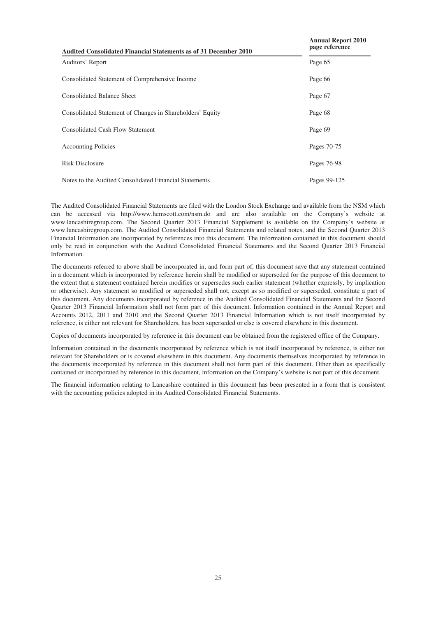| <b>Audited Consolidated Financial Statements as of 31 December 2010</b> | <b>Annual Report 2010</b><br>page reference |
|-------------------------------------------------------------------------|---------------------------------------------|
| Auditors' Report                                                        | Page 65                                     |
| Consolidated Statement of Comprehensive Income                          | Page 66                                     |
| Consolidated Balance Sheet                                              | Page 67                                     |
| Consolidated Statement of Changes in Shareholders' Equity               | Page 68                                     |
| <b>Consolidated Cash Flow Statement</b>                                 | Page 69                                     |
| <b>Accounting Policies</b>                                              | Pages 70-75                                 |
| <b>Risk Disclosure</b>                                                  | Pages 76-98                                 |
| Notes to the Audited Consolidated Financial Statements                  | Pages 99-125                                |

The Audited Consolidated Financial Statements are filed with the London Stock Exchange and available from the NSM which can be accessed via http://www.hemscott.com/nsm.do and are also available on the Company's website at www.lancashiregroup.com. The Second Quarter 2013 Financial Supplement is available on the Company's website at www.lancashiregroup.com. The Audited Consolidated Financial Statements and related notes, and the Second Quarter 2013 Financial Information are incorporated by references into this document. The information contained in this document should only be read in conjunction with the Audited Consolidated Financial Statements and the Second Quarter 2013 Financial Information.

The documents referred to above shall be incorporated in, and form part of, this document save that any statement contained in a document which is incorporated by reference herein shall be modified or superseded for the purpose of this document to the extent that a statement contained herein modifies or supersedes such earlier statement (whether expressly, by implication or otherwise). Any statement so modified or superseded shall not, except as so modified or superseded, constitute a part of this document. Any documents incorporated by reference in the Audited Consolidated Financial Statements and the Second Quarter 2013 Financial Information shall not form part of this document. Information contained in the Annual Report and Accounts 2012, 2011 and 2010 and the Second Quarter 2013 Financial Information which is not itself incorporated by reference, is either not relevant for Shareholders, has been superseded or else is covered elsewhere in this document.

Copies of documents incorporated by reference in this document can be obtained from the registered office of the Company.

Information contained in the documents incorporated by reference which is not itself incorporated by reference, is either not relevant for Shareholders or is covered elsewhere in this document. Any documents themselves incorporated by reference in the documents incorporated by reference in this document shall not form part of this document. Other than as specifically contained or incorporated by reference in this document, information on the Company's website is not part of this document.

The financial information relating to Lancashire contained in this document has been presented in a form that is consistent with the accounting policies adopted in its Audited Consolidated Financial Statements.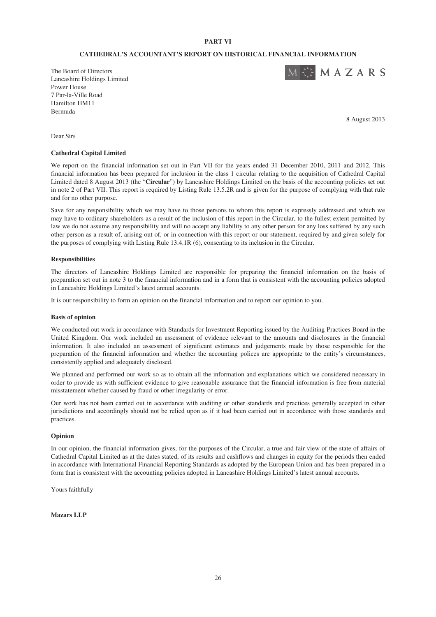#### **PART VI**

#### **CATHEDRAL'S ACCOUNTANT'S REPORT ON HISTORICAL FINANCIAL INFORMATION**

The Board of Directors Lancashire Holdings Limited Power House 7 Par-la-Ville Road Hamilton HM11 Bermuda



8 August 2013

Dear Sirs

#### **Cathedral Capital Limited**

We report on the financial information set out in Part VII for the years ended 31 December 2010, 2011 and 2012. This financial information has been prepared for inclusion in the class 1 circular relating to the acquisition of Cathedral Capital Limited dated 8 August 2013 (the "**Circular**") by Lancashire Holdings Limited on the basis of the accounting policies set out in note 2 of Part VII. This report is required by Listing Rule 13.5.2R and is given for the purpose of complying with that rule and for no other purpose.

Save for any responsibility which we may have to those persons to whom this report is expressly addressed and which we may have to ordinary shareholders as a result of the inclusion of this report in the Circular, to the fullest extent permitted by law we do not assume any responsibility and will no accept any liability to any other person for any loss suffered by any such other person as a result of, arising out of, or in connection with this report or our statement, required by and given solely for the purposes of complying with Listing Rule 13.4.1R (6), consenting to its inclusion in the Circular.

#### **Responsibilities**

The directors of Lancashire Holdings Limited are responsible for preparing the financial information on the basis of preparation set out in note 3 to the financial information and in a form that is consistent with the accounting policies adopted in Lancashire Holdings Limited's latest annual accounts.

It is our responsibility to form an opinion on the financial information and to report our opinion to you.

#### **Basis of opinion**

We conducted out work in accordance with Standards for Investment Reporting issued by the Auditing Practices Board in the United Kingdom. Our work included an assessment of evidence relevant to the amounts and disclosures in the financial information. It also included an assessment of significant estimates and judgements made by those responsible for the preparation of the financial information and whether the accounting polices are appropriate to the entity's circumstances, consistently applied and adequately disclosed.

We planned and performed our work so as to obtain all the information and explanations which we considered necessary in order to provide us with sufficient evidence to give reasonable assurance that the financial information is free from material misstatement whether caused by fraud or other irregularity or error.

Our work has not been carried out in accordance with auditing or other standards and practices generally accepted in other jurisdictions and accordingly should not be relied upon as if it had been carried out in accordance with those standards and practices.

#### **Opinion**

In our opinion, the financial information gives, for the purposes of the Circular, a true and fair view of the state of affairs of Cathedral Capital Limited as at the dates stated, of its results and cashflows and changes in equity for the periods then ended in accordance with International Financial Reporting Standards as adopted by the European Union and has been prepared in a form that is consistent with the accounting policies adopted in Lancashire Holdings Limited's latest annual accounts.

Yours faithfully

**Mazars LLP**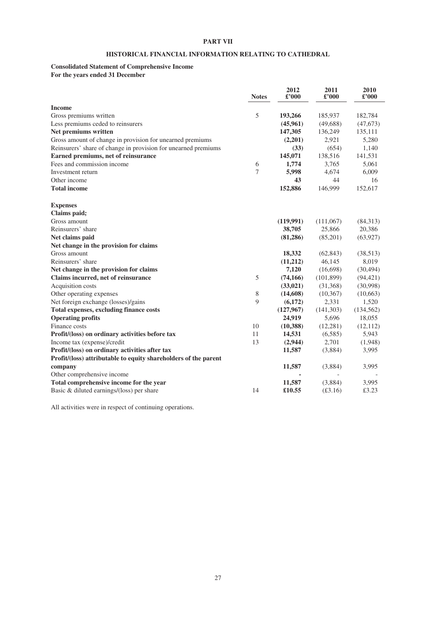## **PART VII**

## **HISTORICAL FINANCIAL INFORMATION RELATING TO CATHEDRAL**

## **Consolidated Statement of Comprehensive Income For the years ended 31 December**

|                                                                 | <b>Notes</b> | 2012<br>£'000 | 2011<br>$\pounds$ '000 | 2010<br>$\pounds$ '000 |
|-----------------------------------------------------------------|--------------|---------------|------------------------|------------------------|
| <b>Income</b>                                                   |              |               |                        |                        |
| Gross premiums written                                          | 5            | 193,266       | 185,937                | 182,784                |
| Less premiums ceded to reinsurers                               |              | (45,961)      | (49,688)               | (47, 673)              |
| Net premiums written                                            |              | 147,305       | 136,249                | 135,111                |
| Gross amount of change in provision for unearned premiums       |              | (2,201)       | 2,921                  | 5,280                  |
| Reinsurers' share of change in provision for unearned premiums  |              | (33)          | (654)                  | 1,140                  |
| Earned premiums, net of reinsurance                             |              | 145,071       | 138,516                | 141,531                |
| Fees and commission income                                      | 6            | 1,774         | 3,765                  | 5,061                  |
| Investment return                                               | 7            | 5,998         | 4,674                  | 6,009                  |
| Other income                                                    |              | 43            | 44                     | 16                     |
| <b>Total income</b>                                             |              | 152,886       | 146,999                | 152,617                |
| <b>Expenses</b>                                                 |              |               |                        |                        |
| Claims paid;                                                    |              |               |                        |                        |
| Gross amount                                                    |              | (119,991)     | (111,067)              | (84,313)               |
| Reinsurers' share                                               |              | 38,705        | 25,866                 | 20,386                 |
| Net claims paid                                                 |              | (81, 286)     | (85,201)               | (63, 927)              |
| Net change in the provision for claims                          |              |               |                        |                        |
| Gross amount                                                    |              | 18,332        | (62, 843)              | (38,513)               |
| Reinsurers' share                                               |              | (11,212)      | 46,145                 | 8,019                  |
| Net change in the provision for claims                          |              | 7,120         | (16,698)               | (30, 494)              |
| Claims incurred, net of reinsurance                             | 5            | (74, 166)     | (101, 899)             | (94, 421)              |
| Acquisition costs                                               |              | (33, 021)     | (31,368)               | (30,998)               |
| Other operating expenses                                        | 8            | (14, 608)     | (10, 367)              | (10,663)               |
| Net foreign exchange (losses)/gains                             | 9            | (6,172)       | 2,331                  | 1,520                  |
| Total expenses, excluding finance costs                         |              | (127,967)     | (141, 303)             | (134, 562)             |
| <b>Operating profits</b>                                        |              | 24,919        | 5,696                  | 18,055                 |
| Finance costs                                                   | 10           | (10, 388)     | (12, 281)              | (12, 112)              |
| Profit/(loss) on ordinary activities before tax                 | 11           | 14,531        | (6,585)                | 5,943                  |
| Income tax (expense)/credit                                     | 13           | (2,944)       | 2,701                  | (1,948)                |
| Profit/(loss) on ordinary activities after tax                  |              | 11,587        | (3,884)                | 3,995                  |
| Profit/(loss) attributable to equity shareholders of the parent |              |               |                        |                        |
| company                                                         |              | 11,587        | (3,884)                | 3,995                  |
| Other comprehensive income                                      |              |               |                        |                        |
| Total comprehensive income for the year                         |              | 11,587        | (3,884)                | 3,995                  |
| Basic & diluted earnings/(loss) per share                       | 14           | £10.55        | (£3.16)                | £3.23                  |

All activities were in respect of continuing operations.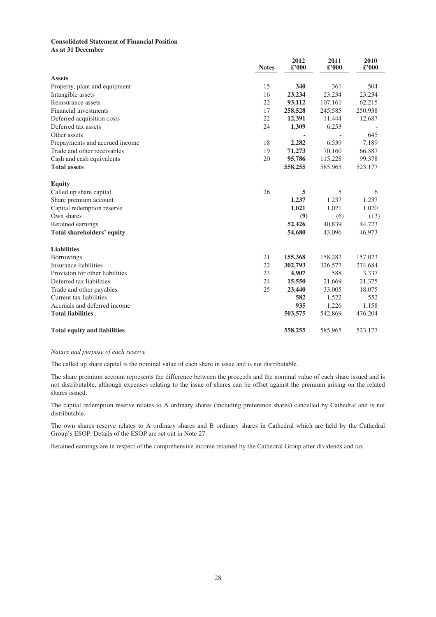#### **Consolidated Statement of Financial Position As at 31 December**

|                                     | <b>Notes</b> | 2012<br>£'000 | 2011<br>£'000 | 2010<br>£'000 |
|-------------------------------------|--------------|---------------|---------------|---------------|
| <b>Assets</b>                       |              |               |               |               |
| Property, plant and equipment       | 15           | 340           | 361           | 504           |
| Intangible assets                   | 16           | 23,234        | 23,234        | 23,234        |
| Reinsurance assets                  | 22           | 93,112        | 107,161       | 62,215        |
| Financial investments               | 17           | 258,528       | 245,585       | 250,938       |
| Deferred acquisition costs          | 22           | 12,391        | 11,444        | 12,687        |
| Deferred tax assets                 | 24           | 1,309         | 6,253         |               |
| Other assets                        |              |               |               | 645           |
| Prepayments and accrued income      | 18           | 2,282         | 6,539         | 7,189         |
| Trade and other receivables         | 19           | 71,273        | 70,160        | 66,387        |
| Cash and cash equivalents           | 20           | 95,786        | 115,228       | 99,378        |
| <b>Total assets</b>                 |              | 558,255       | 585,965       | 523,177       |
| <b>Equity</b>                       |              |               |               |               |
| Called up share capital             | 26           | 5             | 5             | 6             |
| Share premium account               |              | 1,237         | 1,237         | 1,237         |
| Capital redemption reserve          |              | 1,021         | 1,021         | 1,020         |
| Own shares                          |              | (9)           | (6)           | (13)          |
| Retained earnings                   |              | 52,426        | 40,839        | 44,723        |
| Total shareholders' equity          |              | 54,680        | 43,096        | 46,973        |
| <b>Liabilities</b>                  |              |               |               |               |
| <b>Borrowings</b>                   | 21           | 155,368       | 158,282       | 157,023       |
| Insurance liabilities               | 22           | 302,793       | 326,577       | 274,684       |
| Provision for other liabilities     | 23           | 4,907         | 588           | 3,337         |
| Deferred tax liabilities            | 24           | 15,550        | 21,669        | 21,375        |
| Trade and other payables            | 25           | 23,440        | 33,005        | 18,075        |
| Current tax liabilities             |              | 582           | 1,522         | 552           |
| Accruals and deferred income        |              | 935           | 1,226         | 1,158         |
| <b>Total liabilities</b>            |              | 503,575       | 542,869       | 476,204       |
| <b>Total equity and liabilities</b> |              | 558,255       | 585,965       | 523,177       |

#### *Nature and purpose of each reserve*

The called up share capital is the nominal value of each share in issue and is not distributable.

The share premium account represents the difference between the proceeds and the nominal value of each share issued and is not distributable, although expenses relating to the issue of shares can be offset against the premium arising on the related shares issued.

The capital redemption reserve relates to A ordinary shares (including preference shares) cancelled by Cathedral and is not distributable.

The own shares reserve relates to A ordinary shares and B ordinary shares in Cathedral which are held by the Cathedral Group's ESOP. Details of the ESOP are set out in Note 27.

Retained earnings are in respect of the comprehensive income retained by the Cathedral Group after dividends and tax.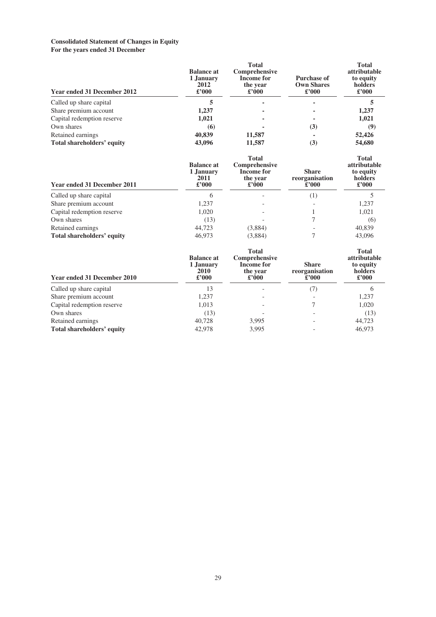## **Consolidated Statement of Changes in Equity**

**For the years ended 31 December**

| Year ended 31 December 2012        | <b>Balance at</b><br>1 January<br>2012<br>$\pounds$ '000 | <b>Total</b><br>Comprehensive<br><b>Income for</b><br>the year<br>$\pounds 000$ | <b>Purchase of</b><br><b>Own Shares</b><br>$\pounds$ '000 | <b>Total</b><br>attributable<br>to equity<br>holders<br>$\pounds$ '000 |
|------------------------------------|----------------------------------------------------------|---------------------------------------------------------------------------------|-----------------------------------------------------------|------------------------------------------------------------------------|
| Called up share capital            | 5                                                        |                                                                                 |                                                           |                                                                        |
| Share premium account              | 1,237                                                    |                                                                                 |                                                           | 1,237                                                                  |
| Capital redemption reserve         | 1,021                                                    |                                                                                 |                                                           | 1,021                                                                  |
| Own shares                         | (6)                                                      |                                                                                 | (3)                                                       | (9)                                                                    |
| Retained earnings                  | 40,839                                                   | 11,587                                                                          |                                                           | 52,426                                                                 |
| Total shareholders' equity         | 43,096                                                   | 11,587                                                                          | (3)                                                       | 54,680                                                                 |
| <b>Year ended 31 December 2011</b> | <b>Balance at</b><br>1 January<br>2011<br>$\pounds$ '000 | <b>Total</b><br>Comprehensive<br><b>Income for</b><br>the year<br>$\pounds 000$ | <b>Share</b><br>reorganisation<br>$\pounds$ '000          | <b>Total</b><br>attributable<br>to equity<br>holders<br>$\pounds$ '000 |
| Called up share capital            | 6                                                        |                                                                                 | (1)                                                       | 5                                                                      |
| Share premium account              | 1,237                                                    |                                                                                 |                                                           | 1,237                                                                  |
| Capital redemption reserve         | 1.020                                                    |                                                                                 |                                                           | 1,021                                                                  |

|                            |        | Total                    |                          | <b>Total</b> |
|----------------------------|--------|--------------------------|--------------------------|--------------|
| Total shareholders' equity | 46,973 | (3.884)                  |                          | 43,096       |
| Retained earnings          | 44,723 | (3,884)                  | $\overline{\phantom{a}}$ | 40,839       |
| Own shares                 | (13)   | $\overline{\phantom{0}}$ |                          | (6)          |

| Year ended 31 December 2010 | <b>Balance at</b><br>1 January<br>2010<br>$\pounds 000$ | Comprehensive<br><b>Income for</b><br>the year<br>£'000 | <b>Share</b><br>reorganisation<br>$\pounds$ '000 | attributable<br>to equity<br>holders<br>$\pounds 000$ |
|-----------------------------|---------------------------------------------------------|---------------------------------------------------------|--------------------------------------------------|-------------------------------------------------------|
| Called up share capital     | 13                                                      |                                                         | (7)                                              |                                                       |
| Share premium account       | 1.237                                                   |                                                         |                                                  | 1.237                                                 |
| Capital redemption reserve  | 1,013                                                   | $\overline{\phantom{0}}$                                |                                                  | 1.020                                                 |
| Own shares                  | (13)                                                    |                                                         |                                                  | (13)                                                  |
| Retained earnings           | 40.728                                                  | 3,995                                                   |                                                  | 44,723                                                |
| Total shareholders' equity  | 42.978                                                  | 3,995                                                   |                                                  | 46,973                                                |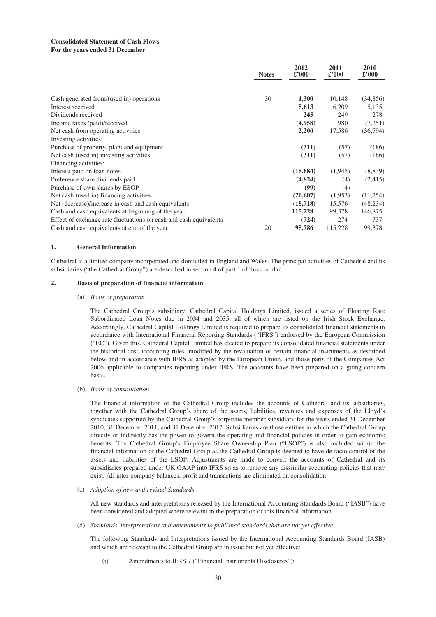#### **Consolidated Statement of Cash Flows For the years ended 31 December**

|                                                                   | <b>Notes</b> | 2012<br>$\pounds$ '000 | 2011<br>$\pounds$ '000 | 2010<br>$\pounds 000$ |
|-------------------------------------------------------------------|--------------|------------------------|------------------------|-----------------------|
|                                                                   |              |                        |                        |                       |
| Cash generated from/(used in) operations                          | 30           | 1,300                  | 10,148                 | (34, 856)             |
| Interest received                                                 |              | 5,613                  | 6,209                  | 5,135                 |
| Dividends received                                                |              | 245                    | 249                    | 278                   |
| Income taxes (paid)/received                                      |              | (4,958)                | 980                    | (7,351)               |
| Net cash from operating activities                                |              | 2,200                  | 17,586                 | (36, 794)             |
| Investing activities:                                             |              |                        |                        |                       |
| Purchase of property, plant and equipment                         |              | (311)                  | (57)                   | (186)                 |
| Net cash (used in) investing activities                           |              | (311)                  | (57)                   | (186)                 |
| Financing activities:                                             |              |                        |                        |                       |
| Interest paid on loan notes                                       |              | (15,684)               | (1,945)                | (8,839)               |
| Preference share dividends paid                                   |              | (4,824)                | (4)                    | (2,415)               |
| Purchase of own shares by ESOP                                    |              | (99)                   | (4)                    |                       |
| Net cash (used in) financing activities                           |              | (20,607)               | (1,953)                | (11,254)              |
| Net (decrease)/increase in cash and cash equivalents              |              | (18, 718)              | 15,576                 | (48, 234)             |
| Cash and cash equivalents at beginning of the year                |              | 115,228                | 99,378                 | 146,875               |
| Effect of exchange rate fluctuations on cash and cash equivalents |              | (724)                  | 274                    | 737                   |
| Cash and cash equivalents at end of the year                      | 20           | 95,786                 | 115,228                | 99,378                |

#### **1. General Information**

Cathedral is a limited company incorporated and domiciled in England and Wales. The principal activities of Cathedral and its subsidiaries ("the Cathedral Group") are described in section 4 of part 1 of this circular.

#### **2. Basis of preparation of financial information**

#### (a) *Basis of preparation*

The Cathedral Group's subsidiary, Cathedral Capital Holdings Limited, issued a series of Floating Rate Subordinated Loan Notes due in 2034 and 2035, all of which are listed on the Irish Stock Exchange. Accordingly, Cathedral Capital Holdings Limited is required to prepare its consolidated financial statements in accordance with International Financial Reporting Standards ("IFRS") endorsed by the European Commission ("EC"). Given this, Cathedral Capital Limited has elected to prepare its consolidated financial statements under the historical cost accounting rules, modified by the revaluation of certain financial instruments as described below and in accordance with IFRS as adopted by the European Union, and those parts of the Companies Act 2006 applicable to companies reporting under IFRS. The accounts have been prepared on a going concern basis.

(b) *Basis of consolidation*

The financial information of the Cathedral Group includes the accounts of Cathedral and its subsidiaries, together with the Cathedral Group's share of the assets, liabilities, revenues and expenses of the Lloyd's syndicates supported by the Cathedral Group's corporate member subsidiary for the years ended 31 December 2010, 31 December 2011, and 31 December 2012. Subsidiaries are those entities in which the Cathedral Group directly or indirectly has the power to govern the operating and financial policies in order to gain economic benefits. The Cathedral Group's Employee Share Ownership Plan ("ESOP") is also included within the financial information of the Cathedral Group as the Cathedral Group is deemed to have de facto control of the assets and liabilities of the ESOP. Adjustments are made to convert the accounts of Cathedral and its subsidiaries prepared under UK GAAP into IFRS so as to remove any dissimilar accounting policies that may exist. All inter-company balances, profit and transactions are eliminated on consolidation.

(c) *Adoption of new and revised Standards*

All new standards and interpretations released by the International Accounting Standards Board ("IASB") have been considered and adopted where relevant in the preparation of this financial information.

(d) *Standards, interpretations and amendments to published standards that are not yet effective*

The following Standards and Interpretations issued by the International Accounting Standards Board (IASB) and which are relevant to the Cathedral Group are in issue but not yet effective:

(i) Amendments to IFRS 7 ("Financial Instruments Disclosures");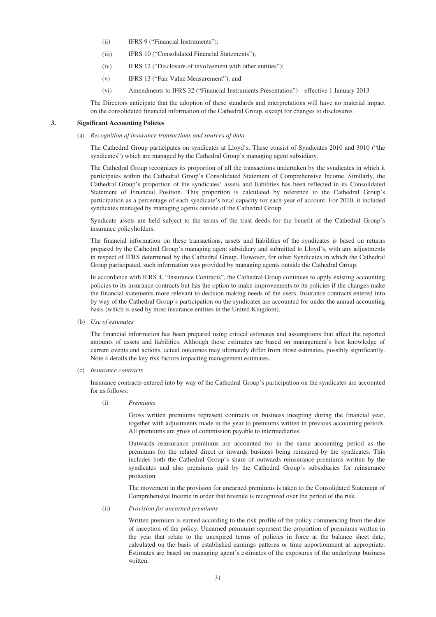- (ii) IFRS 9 ("Financial Instruments");
- (iii) IFRS 10 ("Consolidated Financial Statements");
- (iv) IFRS 12 ("Disclosure of involvement with other entities");
- (v) IFRS 13 ("Fair Value Measurement"); and
- (vi) Amendments to IFRS 32 ("Financial Instruments Presentation") effective 1 January 2013

The Directors anticipate that the adoption of these standards and interpretations will have no material impact on the consolidated financial information of the Cathedral Group, except for changes to disclosures.

#### **3. Significant Accounting Policies**

#### (a) *Recognition of insurance transactions and sources of data*

The Cathedral Group participates on syndicates at Lloyd's. These consist of Syndicates 2010 and 3010 ("the syndicates") which are managed by the Cathedral Group's managing agent subsidiary.

The Cathedral Group recognizes its proportion of all the transactions undertaken by the syndicates in which it participates within the Cathedral Group's Consolidated Statement of Comprehensive Income. Similarly, the Cathedral Group's proportion of the syndicates' assets and liabilities has been reflected in its Consolidated Statement of Financial Position. This proportion is calculated by reference to the Cathedral Group's participation as a percentage of each syndicate's total capacity for each year of account. For 2010, it included syndicates managed by managing agents outside of the Cathedral Group.

Syndicate assets are held subject to the terms of the trust deeds for the benefit of the Cathedral Group's insurance policyholders.

The financial information on these transactions, assets and liabilities of the syndicates is based on returns prepared by the Cathedral Group's managing agent subsidiary and submitted to Lloyd's, with any adjustments in respect of IFRS determined by the Cathedral Group. However, for other Syndicates in which the Cathedral Group participated, such information was provided by managing agents outside the Cathedral Group.

In accordance with IFRS 4, "Insurance Contracts", the Cathedral Group continues to apply existing accounting policies to its insurance contracts but has the option to make improvements to its policies if the changes make the financial statements more relevant to decision making needs of the users. Insurance contracts entered into by way of the Cathedral Group's participation on the syndicates are accounted for under the annual accounting basis (which is used by most insurance entities in the United Kingdom).

(b) *Use of estimates*

The financial information has been prepared using critical estimates and assumptions that affect the reported amounts of assets and liabilities. Although these estimates are based on management's best knowledge of current events and actions, actual outcomes may ultimately differ from those estimates, possibly significantly. Note 4 details the key risk factors impacting management estimates.

(c) *Insurance contracts*

Insurance contracts entered into by way of the Cathedral Group's participation on the syndicates are accounted for as follows:

(i) *Premiums*

Gross written premiums represent contracts on business incepting during the financial year, together with adjustments made in the year to premiums written in previous accounting periods. All premiums are gross of commission payable to intermediaries.

Outwards reinsurance premiums are accounted for in the same accounting period as the premiums for the related direct or inwards business being reinsured by the syndicates. This includes both the Cathedral Group's share of outwards reinsurance premiums written by the syndicates and also premiums paid by the Cathedral Group's subsidiaries for reinsurance protection.

The movement in the provision for unearned premiums is taken to the Consolidated Statement of Comprehensive Income in order that revenue is recognized over the period of the risk.

(ii) *Provision for unearned premiums*

Written premium is earned according to the risk profile of the policy commencing from the date of inception of the policy. Unearned premiums represent the proportion of premiums written in the year that relate to the unexpired terms of policies in force at the balance sheet date, calculated on the basis of established earnings patterns or time apportionment as appropriate. Estimates are based on managing agent's estimates of the exposures of the underlying business written.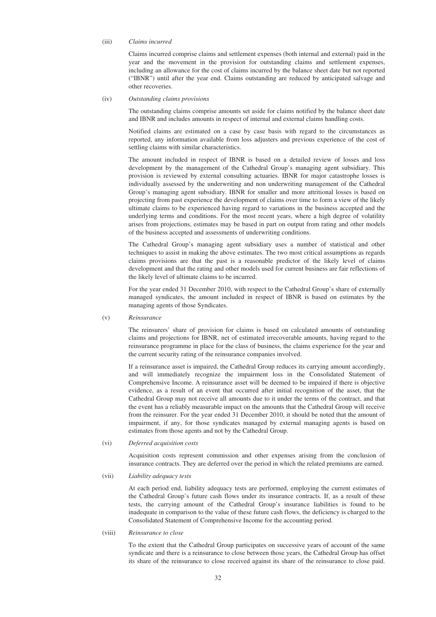#### (iii) *Claims incurred*

Claims incurred comprise claims and settlement expenses (both internal and external) paid in the year and the movement in the provision for outstanding claims and settlement expenses, including an allowance for the cost of claims incurred by the balance sheet date but not reported ("IBNR") until after the year end. Claims outstanding are reduced by anticipated salvage and other recoveries.

#### (iv) *Outstanding claims provisions*

The outstanding claims comprise amounts set aside for claims notified by the balance sheet date and IBNR and includes amounts in respect of internal and external claims handling costs.

Notified claims are estimated on a case by case basis with regard to the circumstances as reported, any information available from loss adjusters and previous experience of the cost of settling claims with similar characteristics.

The amount included in respect of IBNR is based on a detailed review of losses and loss development by the management of the Cathedral Group's managing agent subsidiary. This provision is reviewed by external consulting actuaries. IBNR for major catastrophe losses is individually assessed by the underwriting and non underwriting management of the Cathedral Group's managing agent subsidiary. IBNR for smaller and more attritional losses is based on projecting from past experience the development of claims over time to form a view of the likely ultimate claims to be experienced having regard to variations in the business accepted and the underlying terms and conditions. For the most recent years, where a high degree of volatility arises from projections, estimates may be based in part on output from rating and other models of the business accepted and assessments of underwriting conditions.

The Cathedral Group's managing agent subsidiary uses a number of statistical and other techniques to assist in making the above estimates. The two most critical assumptions as regards claims provisions are that the past is a reasonable predictor of the likely level of claims development and that the rating and other models used for current business are fair reflections of the likely level of ultimate claims to be incurred.

For the year ended 31 December 2010, with respect to the Cathedral Group's share of externally managed syndicates, the amount included in respect of IBNR is based on estimates by the managing agents of those Syndicates.

#### (v) *Reinsurance*

The reinsurers' share of provision for claims is based on calculated amounts of outstanding claims and projections for IBNR, net of estimated irrecoverable amounts, having regard to the reinsurance programme in place for the class of business, the claims experience for the year and the current security rating of the reinsurance companies involved.

If a reinsurance asset is impaired, the Cathedral Group reduces its carrying amount accordingly, and will immediately recognize the impairment loss in the Consolidated Statement of Comprehensive Income. A reinsurance asset will be deemed to be impaired if there is objective evidence, as a result of an event that occurred after initial recognition of the asset, that the Cathedral Group may not receive all amounts due to it under the terms of the contract, and that the event has a reliably measurable impact on the amounts that the Cathedral Group will receive from the reinsurer. For the year ended 31 December 2010, it should be noted that the amount of impairment, if any, for those syndicates managed by external managing agents is based on estimates from those agents and not by the Cathedral Group.

#### (vi) *Deferred acquisition costs*

Acquisition costs represent commission and other expenses arising from the conclusion of insurance contracts. They are deferred over the period in which the related premiums are earned.

#### (vii) *Liability adequacy tests*

At each period end, liability adequacy tests are performed, employing the current estimates of the Cathedral Group's future cash flows under its insurance contracts. If, as a result of these tests, the carrying amount of the Cathedral Group's insurance liabilities is found to be inadequate in comparison to the value of these future cash flows, the deficiency is charged to the Consolidated Statement of Comprehensive Income for the accounting period.

#### (viii) *Reinsurance to close*

To the extent that the Cathedral Group participates on successive years of account of the same syndicate and there is a reinsurance to close between those years, the Cathedral Group has offset its share of the reinsurance to close received against its share of the reinsurance to close paid.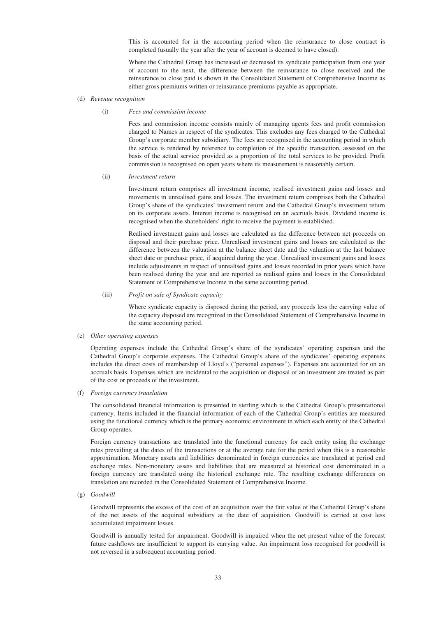This is accounted for in the accounting period when the reinsurance to close contract is completed (usually the year after the year of account is deemed to have closed).

Where the Cathedral Group has increased or decreased its syndicate participation from one year of account to the next, the difference between the reinsurance to close received and the reinsurance to close paid is shown in the Consolidated Statement of Comprehensive Income as either gross premiums written or reinsurance premiums payable as appropriate.

#### (d) *Revenue recognition*

#### (i) *Fees and commission income*

Fees and commission income consists mainly of managing agents fees and profit commission charged to Names in respect of the syndicates. This excludes any fees charged to the Cathedral Group's corporate member subsidiary. The fees are recognised in the accounting period in which the service is rendered by reference to completion of the specific transaction, assessed on the basis of the actual service provided as a proportion of the total services to be provided. Profit commission is recognised on open years where its measurement is reasonably certain.

#### (ii) *Investment return*

Investment return comprises all investment income, realised investment gains and losses and movements in unrealised gains and losses. The investment return comprises both the Cathedral Group's share of the syndicates' investment return and the Cathedral Group's investment return on its corporate assets. Interest income is recognised on an accruals basis. Dividend income is recognised when the shareholders' right to receive the payment is established.

Realised investment gains and losses are calculated as the difference between net proceeds on disposal and their purchase price. Unrealised investment gains and losses are calculated as the difference between the valuation at the balance sheet date and the valuation at the last balance sheet date or purchase price, if acquired during the year. Unrealised investment gains and losses include adjustments in respect of unrealised gains and losses recorded in prior years which have been realised during the year and are reported as realised gains and losses in the Consolidated Statement of Comprehensive Income in the same accounting period.

#### (iii) *Profit on sale of Syndicate capacity*

Where syndicate capacity is disposed during the period, any proceeds less the carrying value of the capacity disposed are recognized in the Consolidated Statement of Comprehensive Income in the same accounting period.

#### (e) *Other operating expenses*

Operating expenses include the Cathedral Group's share of the syndicates' operating expenses and the Cathedral Group's corporate expenses. The Cathedral Group's share of the syndicates' operating expenses includes the direct costs of membership of Lloyd's ("personal expenses"). Expenses are accounted for on an accruals basis. Expenses which are incidental to the acquisition or disposal of an investment are treated as part of the cost or proceeds of the investment.

#### (f) *Foreign currency translation*

The consolidated financial information is presented in sterling which is the Cathedral Group's presentational currency. Items included in the financial information of each of the Cathedral Group's entities are measured using the functional currency which is the primary economic environment in which each entity of the Cathedral Group operates.

Foreign currency transactions are translated into the functional currency for each entity using the exchange rates prevailing at the dates of the transactions or at the average rate for the period when this is a reasonable approximation. Monetary assets and liabilities denominated in foreign currencies are translated at period end exchange rates. Non-monetary assets and liabilities that are measured at historical cost denominated in a foreign currency are translated using the historical exchange rate. The resulting exchange differences on translation are recorded in the Consolidated Statement of Comprehensive Income.

(g) *Goodwill*

Goodwill represents the excess of the cost of an acquisition over the fair value of the Cathedral Group's share of the net assets of the acquired subsidiary at the date of acquisition. Goodwill is carried at cost less accumulated impairment losses.

Goodwill is annually tested for impairment. Goodwill is impaired when the net present value of the forecast future cashflows are insufficient to support its carrying value. An impairment loss recognised for goodwill is not reversed in a subsequent accounting period.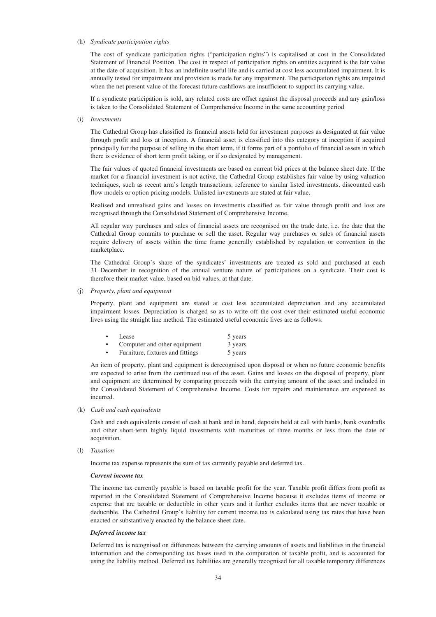#### (h) *Syndicate participation rights*

The cost of syndicate participation rights ("participation rights") is capitalised at cost in the Consolidated Statement of Financial Position. The cost in respect of participation rights on entities acquired is the fair value at the date of acquisition. It has an indefinite useful life and is carried at cost less accumulated impairment. It is annually tested for impairment and provision is made for any impairment. The participation rights are impaired when the net present value of the forecast future cashflows are insufficient to support its carrying value.

If a syndicate participation is sold, any related costs are offset against the disposal proceeds and any gain/loss is taken to the Consolidated Statement of Comprehensive Income in the same accounting period

#### (i) *Investments*

The Cathedral Group has classified its financial assets held for investment purposes as designated at fair value through profit and loss at inception. A financial asset is classified into this category at inception if acquired principally for the purpose of selling in the short term, if it forms part of a portfolio of financial assets in which there is evidence of short term profit taking, or if so designated by management.

The fair values of quoted financial investments are based on current bid prices at the balance sheet date. If the market for a financial investment is not active, the Cathedral Group establishes fair value by using valuation techniques, such as recent arm's length transactions, reference to similar listed investments, discounted cash flow models or option pricing models. Unlisted investments are stated at fair value.

Realised and unrealised gains and losses on investments classified as fair value through profit and loss are recognised through the Consolidated Statement of Comprehensive Income.

All regular way purchases and sales of financial assets are recognised on the trade date, i.e. the date that the Cathedral Group commits to purchase or sell the asset. Regular way purchases or sales of financial assets require delivery of assets within the time frame generally established by regulation or convention in the marketplace.

The Cathedral Group's share of the syndicates' investments are treated as sold and purchased at each 31 December in recognition of the annual venture nature of participations on a syndicate. Their cost is therefore their market value, based on bid values, at that date.

#### (j) *Property, plant and equipment*

Property, plant and equipment are stated at cost less accumulated depreciation and any accumulated impairment losses. Depreciation is charged so as to write off the cost over their estimated useful economic lives using the straight line method. The estimated useful economic lives are as follows:

| $\bullet$ | Lease                            | 5 years |
|-----------|----------------------------------|---------|
| $\bullet$ | Computer and other equipment     | 3 years |
| $\bullet$ | Furniture, fixtures and fittings | 5 years |

An item of property, plant and equipment is derecognised upon disposal or when no future economic benefits are expected to arise from the continued use of the asset. Gains and losses on the disposal of property, plant and equipment are determined by comparing proceeds with the carrying amount of the asset and included in the Consolidated Statement of Comprehensive Income. Costs for repairs and maintenance are expensed as incurred.

(k) *Cash and cash equivalents*

Cash and cash equivalents consist of cash at bank and in hand, deposits held at call with banks, bank overdrafts and other short-term highly liquid investments with maturities of three months or less from the date of acquisition.

(l) *Taxation*

Income tax expense represents the sum of tax currently payable and deferred tax.

#### *Current income tax*

The income tax currently payable is based on taxable profit for the year. Taxable profit differs from profit as reported in the Consolidated Statement of Comprehensive Income because it excludes items of income or expense that are taxable or deductible in other years and it further excludes items that are never taxable or deductible. The Cathedral Group's liability for current income tax is calculated using tax rates that have been enacted or substantively enacted by the balance sheet date.

#### *Deferred income tax*

Deferred tax is recognised on differences between the carrying amounts of assets and liabilities in the financial information and the corresponding tax bases used in the computation of taxable profit, and is accounted for using the liability method. Deferred tax liabilities are generally recognised for all taxable temporary differences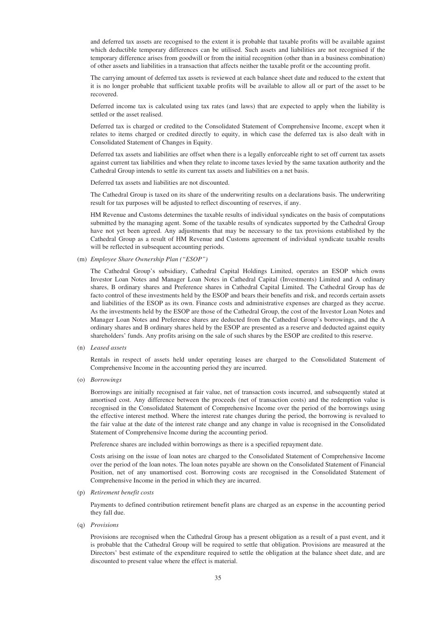and deferred tax assets are recognised to the extent it is probable that taxable profits will be available against which deductible temporary differences can be utilised. Such assets and liabilities are not recognised if the temporary difference arises from goodwill or from the initial recognition (other than in a business combination) of other assets and liabilities in a transaction that affects neither the taxable profit or the accounting profit.

The carrying amount of deferred tax assets is reviewed at each balance sheet date and reduced to the extent that it is no longer probable that sufficient taxable profits will be available to allow all or part of the asset to be recovered.

Deferred income tax is calculated using tax rates (and laws) that are expected to apply when the liability is settled or the asset realised.

Deferred tax is charged or credited to the Consolidated Statement of Comprehensive Income, except when it relates to items charged or credited directly to equity, in which case the deferred tax is also dealt with in Consolidated Statement of Changes in Equity.

Deferred tax assets and liabilities are offset when there is a legally enforceable right to set off current tax assets against current tax liabilities and when they relate to income taxes levied by the same taxation authority and the Cathedral Group intends to settle its current tax assets and liabilities on a net basis.

Deferred tax assets and liabilities are not discounted.

The Cathedral Group is taxed on its share of the underwriting results on a declarations basis. The underwriting result for tax purposes will be adjusted to reflect discounting of reserves, if any.

HM Revenue and Customs determines the taxable results of individual syndicates on the basis of computations submitted by the managing agent. Some of the taxable results of syndicates supported by the Cathedral Group have not yet been agreed. Any adjustments that may be necessary to the tax provisions established by the Cathedral Group as a result of HM Revenue and Customs agreement of individual syndicate taxable results will be reflected in subsequent accounting periods.

(m) *Employee Share Ownership Plan ("ESOP")*

The Cathedral Group's subsidiary, Cathedral Capital Holdings Limited, operates an ESOP which owns Investor Loan Notes and Manager Loan Notes in Cathedral Capital (Investments) Limited and A ordinary shares, B ordinary shares and Preference shares in Cathedral Capital Limited. The Cathedral Group has de facto control of these investments held by the ESOP and bears their benefits and risk, and records certain assets and liabilities of the ESOP as its own. Finance costs and administrative expenses are charged as they accrue. As the investments held by the ESOP are those of the Cathedral Group, the cost of the Investor Loan Notes and Manager Loan Notes and Preference shares are deducted from the Cathedral Group's borrowings, and the A ordinary shares and B ordinary shares held by the ESOP are presented as a reserve and deducted against equity shareholders' funds. Any profits arising on the sale of such shares by the ESOP are credited to this reserve.

(n) *Leased assets*

Rentals in respect of assets held under operating leases are charged to the Consolidated Statement of Comprehensive Income in the accounting period they are incurred.

(o) *Borrowings*

Borrowings are initially recognised at fair value, net of transaction costs incurred, and subsequently stated at amortised cost. Any difference between the proceeds (net of transaction costs) and the redemption value is recognised in the Consolidated Statement of Comprehensive Income over the period of the borrowings using the effective interest method. Where the interest rate changes during the period, the borrowing is revalued to the fair value at the date of the interest rate change and any change in value is recognised in the Consolidated Statement of Comprehensive Income during the accounting period.

Preference shares are included within borrowings as there is a specified repayment date.

Costs arising on the issue of loan notes are charged to the Consolidated Statement of Comprehensive Income over the period of the loan notes. The loan notes payable are shown on the Consolidated Statement of Financial Position, net of any unamortised cost. Borrowing costs are recognised in the Consolidated Statement of Comprehensive Income in the period in which they are incurred.

(p) *Retirement benefit costs*

Payments to defined contribution retirement benefit plans are charged as an expense in the accounting period they fall due.

(q) *Provisions*

Provisions are recognised when the Cathedral Group has a present obligation as a result of a past event, and it is probable that the Cathedral Group will be required to settle that obligation. Provisions are measured at the Directors' best estimate of the expenditure required to settle the obligation at the balance sheet date, and are discounted to present value where the effect is material.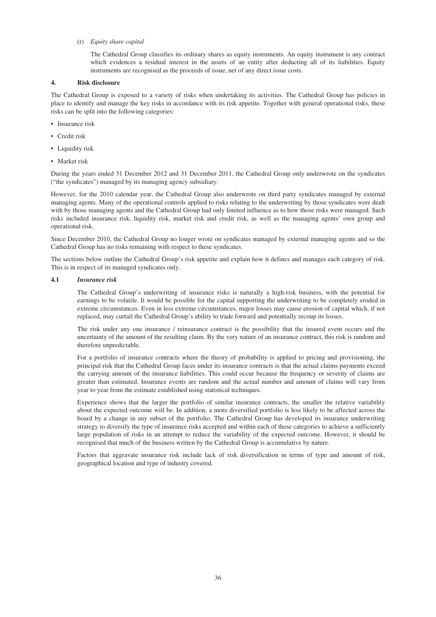#### (r) *Equity share capital*

The Cathedral Group classifies its ordinary shares as equity instruments. An equity instrument is any contract which evidences a residual interest in the assets of an entity after deducting all of its liabilities. Equity instruments are recognised as the proceeds of issue, net of any direct issue costs.

#### **4. Risk disclosure**

The Cathedral Group is exposed to a variety of risks when undertaking its activities. The Cathedral Group has policies in place to identify and manage the key risks in accordance with its risk appetite. Together with general operational risks, these risks can be split into the following categories:

- Insurance risk
- Credit risk
- Liquidity risk
- Market risk

During the years ended 31 December 2012 and 31 December 2011, the Cathedral Group only underwrote on the syndicates ("the syndicates") managed by its managing agency subsidiary.

However, for the 2010 calendar year, the Cathedral Group also underwrote on third party syndicates managed by external managing agents. Many of the operational controls applied to risks relating to the underwriting by those syndicates were dealt with by those managing agents and the Cathedral Group had only limited influence as to how those risks were managed. Such risks included insurance risk, liquidity risk, market risk and credit risk, as well as the managing agents' own group and operational risk.

Since December 2010, the Cathedral Group no longer wrote on syndicates managed by external managing agents and so the Cathedral Group has no risks remaining with respect to these syndicates.

The sections below outline the Cathedral Group's risk appetite and explain how it defines and manages each category of risk. This is in respect of its managed syndicates only.

#### **4.1** *Insurance risk*

The Cathedral Group's underwriting of insurance risks is naturally a high-risk business, with the potential for earnings to be volatile. It would be possible for the capital supporting the underwriting to be completely eroded in extreme circumstances. Even in less extreme circumstances, major losses may cause erosion of capital which, if not replaced, may curtail the Cathedral Group's ability to trade forward and potentially recoup its losses.

The risk under any one insurance / reinsurance contract is the possibility that the insured event occurs and the uncertainty of the amount of the resulting claim. By the very nature of an insurance contract, this risk is random and therefore unpredictable.

For a portfolio of insurance contracts where the theory of probability is applied to pricing and provisioning, the principal risk that the Cathedral Group faces under its insurance contracts is that the actual claims payments exceed the carrying amount of the insurance liabilities. This could occur because the frequency or severity of claims are greater than estimated. Insurance events are random and the actual number and amount of claims will vary from year to year from the estimate established using statistical techniques.

Experience shows that the larger the portfolio of similar insurance contracts, the smaller the relative variability about the expected outcome will be. In addition, a more diversified portfolio is less likely to be affected across the board by a change in any subset of the portfolio. The Cathedral Group has developed its insurance underwriting strategy to diversify the type of insurance risks accepted and within each of these categories to achieve a sufficiently large population of risks in an attempt to reduce the variability of the expected outcome. However, it should be recognised that much of the business written by the Cathedral Group is accumulative by nature.

Factors that aggravate insurance risk include lack of risk diversification in terms of type and amount of risk, geographical location and type of industry covered.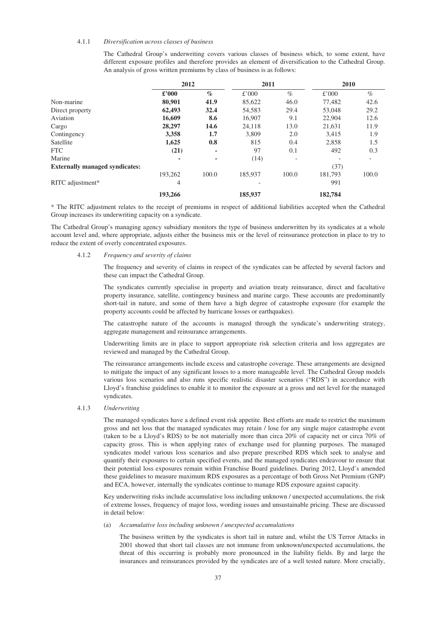## 4.1.1 *Diversification across classes of business*

The Cathedral Group's underwriting covers various classes of business which, to some extent, have different exposure profiles and therefore provides an element of diversification to the Cathedral Group. An analysis of gross written premiums by class of business is as follows:

|                                       | 2012           |       | 2011    |       | 2010    |                          |
|---------------------------------------|----------------|-------|---------|-------|---------|--------------------------|
|                                       | $\pounds$ '000 | $\%$  | £'000   | $\%$  | £'000   | $\%$                     |
| Non-marine                            | 80,901         | 41.9  | 85,622  | 46.0  | 77.482  | 42.6                     |
| Direct property                       | 62,493         | 32.4  | 54,583  | 29.4  | 53,048  | 29.2                     |
| Aviation                              | 16,609         | 8.6   | 16,907  | 9.1   | 22,904  | 12.6                     |
| Cargo                                 | 28,297         | 14.6  | 24.118  | 13.0  | 21,631  | 11.9                     |
| Contingency                           | 3,358          | 1.7   | 3,809   | 2.0   | 3,415   | 1.9                      |
| Satellite                             | 1,625          | 0.8   | 815     | 0.4   | 2,858   | 1.5                      |
| <b>FTC</b>                            | (21)           | ۰     | 97      | 0.1   | 492     | 0.3                      |
| Marine                                |                | ۰     | (14)    | ۰     |         | $\overline{\phantom{0}}$ |
| <b>Externally managed syndicates:</b> |                |       |         |       | (37)    |                          |
|                                       | 193.262        | 100.0 | 185,937 | 100.0 | 181,793 | 100.0                    |
| RITC adjustment*                      | 4              |       |         |       | 991     |                          |
|                                       | 193,266        |       | 185,937 |       | 182,784 |                          |

\* The RITC adjustment relates to the receipt of premiums in respect of additional liabilities accepted when the Cathedral Group increases its underwriting capacity on a syndicate.

The Cathedral Group's managing agency subsidiary monitors the type of business underwritten by its syndicates at a whole account level and, where appropriate, adjusts either the business mix or the level of reinsurance protection in place to try to reduce the extent of overly concentrated exposures.

## 4.1.2 *Frequency and severity of claims*

The frequency and severity of claims in respect of the syndicates can be affected by several factors and these can impact the Cathedral Group.

The syndicates currently specialise in property and aviation treaty reinsurance, direct and facultative property insurance, satellite, contingency business and marine cargo. These accounts are predominantly short-tail in nature, and some of them have a high degree of catastrophe exposure (for example the property accounts could be affected by hurricane losses or earthquakes).

The catastrophe nature of the accounts is managed through the syndicate's underwriting strategy, aggregate management and reinsurance arrangements.

Underwriting limits are in place to support appropriate risk selection criteria and loss aggregates are reviewed and managed by the Cathedral Group.

The reinsurance arrangements include excess and catastrophe coverage. These arrangements are designed to mitigate the impact of any significant losses to a more manageable level. The Cathedral Group models various loss scenarios and also runs specific realistic disaster scenarios ("RDS") in accordance with Lloyd's franchise guidelines to enable it to monitor the exposure at a gross and net level for the managed syndicates.

#### 4.1.3 *Underwriting*

The managed syndicates have a defined event risk appetite. Best efforts are made to restrict the maximum gross and net loss that the managed syndicates may retain / lose for any single major catastrophe event (taken to be a Lloyd's RDS) to be not materially more than circa 20% of capacity net or circa 70% of capacity gross. This is when applying rates of exchange used for planning purposes. The managed syndicates model various loss scenarios and also prepare prescribed RDS which seek to analyse and quantify their exposures to certain specified events, and the managed syndicates endeavour to ensure that their potential loss exposures remain within Franchise Board guidelines. During 2012, Lloyd's amended these guidelines to measure maximum RDS exposures as a percentage of both Gross Net Premium (GNP) and ECA, however, internally the syndicates continue to manage RDS exposure against capacity.

Key underwriting risks include accumulative loss including unknown / unexpected accumulations, the risk of extreme losses, frequency of major loss, wording issues and unsustainable pricing. These are discussed in detail below:

(a) *Accumulative loss including unknown / unexpected accumulations*

The business written by the syndicates is short tail in nature and, whilst the US Terror Attacks in 2001 showed that short tail classes are not immune from unknown/unexpected accumulations, the threat of this occurring is probably more pronounced in the liability fields. By and large the insurances and reinsurances provided by the syndicates are of a well tested nature. More crucially,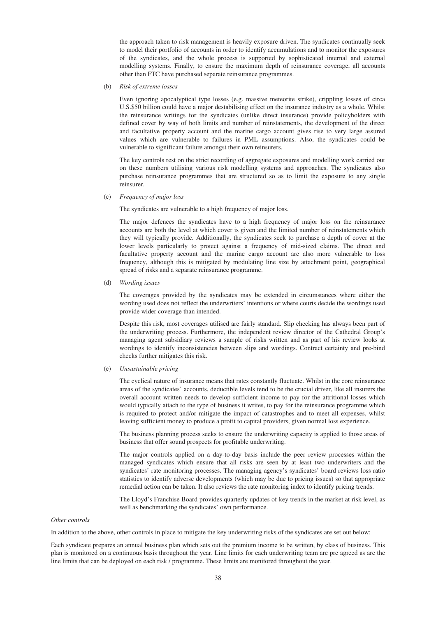the approach taken to risk management is heavily exposure driven. The syndicates continually seek to model their portfolio of accounts in order to identify accumulations and to monitor the exposures of the syndicates, and the whole process is supported by sophisticated internal and external modelling systems. Finally, to ensure the maximum depth of reinsurance coverage, all accounts other than FTC have purchased separate reinsurance programmes.

(b) *Risk of extreme losses*

Even ignoring apocalyptical type losses (e.g. massive meteorite strike), crippling losses of circa U.S.\$50 billion could have a major destabilising effect on the insurance industry as a whole. Whilst the reinsurance writings for the syndicates (unlike direct insurance) provide policyholders with defined cover by way of both limits and number of reinstatements, the development of the direct and facultative property account and the marine cargo account gives rise to very large assured values which are vulnerable to failures in PML assumptions. Also, the syndicates could be vulnerable to significant failure amongst their own reinsurers.

The key controls rest on the strict recording of aggregate exposures and modelling work carried out on these numbers utilising various risk modelling systems and approaches. The syndicates also purchase reinsurance programmes that are structured so as to limit the exposure to any single reinsurer.

(c) *Frequency of major loss*

The syndicates are vulnerable to a high frequency of major loss.

The major defences the syndicates have to a high frequency of major loss on the reinsurance accounts are both the level at which cover is given and the limited number of reinstatements which they will typically provide. Additionally, the syndicates seek to purchase a depth of cover at the lower levels particularly to protect against a frequency of mid-sized claims. The direct and facultative property account and the marine cargo account are also more vulnerable to loss frequency, although this is mitigated by modulating line size by attachment point, geographical spread of risks and a separate reinsurance programme.

(d) *Wording issues*

The coverages provided by the syndicates may be extended in circumstances where either the wording used does not reflect the underwriters' intentions or where courts decide the wordings used provide wider coverage than intended.

Despite this risk, most coverages utilised are fairly standard. Slip checking has always been part of the underwriting process. Furthermore, the independent review director of the Cathedral Group's managing agent subsidiary reviews a sample of risks written and as part of his review looks at wordings to identify inconsistencies between slips and wordings. Contract certainty and pre-bind checks further mitigates this risk.

(e) *Unsustainable pricing*

The cyclical nature of insurance means that rates constantly fluctuate. Whilst in the core reinsurance areas of the syndicates' accounts, deductible levels tend to be the crucial driver, like all insurers the overall account written needs to develop sufficient income to pay for the attritional losses which would typically attach to the type of business it writes, to pay for the reinsurance programme which is required to protect and/or mitigate the impact of catastrophes and to meet all expenses, whilst leaving sufficient money to produce a profit to capital providers, given normal loss experience.

The business planning process seeks to ensure the underwriting capacity is applied to those areas of business that offer sound prospects for profitable underwriting.

The major controls applied on a day-to-day basis include the peer review processes within the managed syndicates which ensure that all risks are seen by at least two underwriters and the syndicates' rate monitoring processes. The managing agency's syndicates' board reviews loss ratio statistics to identify adverse developments (which may be due to pricing issues) so that appropriate remedial action can be taken. It also reviews the rate monitoring index to identify pricing trends.

The Lloyd's Franchise Board provides quarterly updates of key trends in the market at risk level, as well as benchmarking the syndicates' own performance.

#### *Other controls*

In addition to the above, other controls in place to mitigate the key underwriting risks of the syndicates are set out below:

Each syndicate prepares an annual business plan which sets out the premium income to be written, by class of business. This plan is monitored on a continuous basis throughout the year. Line limits for each underwriting team are pre agreed as are the line limits that can be deployed on each risk / programme. These limits are monitored throughout the year.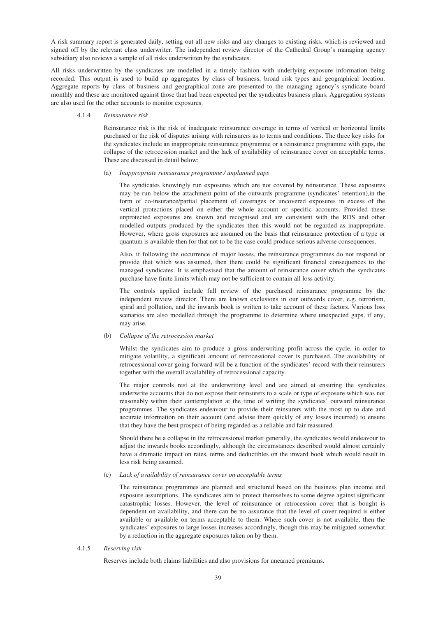A risk summary report is generated daily, setting out all new risks and any changes to existing risks, which is reviewed and signed off by the relevant class underwriter. The independent review director of the Cathedral Group's managing agency subsidiary also reviews a sample of all risks underwritten by the syndicates.

All risks underwritten by the syndicates are modelled in a timely fashion with underlying exposure information being recorded. This output is used to build up aggregates by class of business, broad risk types and geographical location. Aggregate reports by class of business and geographical zone are presented to the managing agency's syndicate board monthly and these are monitored against those that had been expected per the syndicates business plans. Aggregation systems are also used for the other accounts to monitor exposures.

4.1.4 *Reinsurance risk*

Reinsurance risk is the risk of inadequate reinsurance coverage in terms of vertical or horizontal limits purchased or the risk of disputes arising with reinsurers as to terms and conditions. The three key risks for the syndicates include an inappropriate reinsurance programme or a reinsurance programme with gaps, the collapse of the retrocession market and the lack of availability of reinsurance cover on acceptable terms. These are discussed in detail below:

### (a) *Inappropriate reinsurance programme / unplanned gaps*

The syndicates knowingly run exposures which are not covered by reinsurance. These exposures may be run below the attachment point of the outwards programme (syndicates' retention),in the form of co-insurance/partial placement of coverages or uncovered exposures in excess of the vertical protections placed on either the whole account or specific accounts. Provided these unprotected exposures are known and recognised and are consistent with the RDS and other modelled outputs produced by the syndicates then this would not be regarded as inappropriate. However, where gross exposures are assumed on the basis that reinsurance protection of a type or quantum is available then for that not to be the case could produce serious adverse consequences.

Also, if following the occurrence of major losses, the reinsurance programmes do not respond or provide that which was assumed, then there could be significant financial consequences to the managed syndicates. It is emphasised that the amount of reinsurance cover which the syndicates purchase have finite limits which may not be sufficient to contain all loss activity.

The controls applied include full review of the purchased reinsurance programme by the independent review director. There are known exclusions in our outwards cover, e.g. terrorism, spiral and pollution, and the inwards book is written to take account of these factors. Various loss scenarios are also modelled through the programme to determine where unexpected gaps, if any, may arise.

## (b) *Collapse of the retrocession market*

Whilst the syndicates aim to produce a gross underwriting profit across the cycle, in order to mitigate volatility, a significant amount of retrocessional cover is purchased. The availability of retrocessional cover going forward will be a function of the syndicates' record with their reinsurers together with the overall availability of retrocessional capacity.

The major controls rest at the underwriting level and are aimed at ensuring the syndicates underwrite accounts that do not expose their reinsurers to a scale or type of exposure which was not reasonably within their contemplation at the time of writing the syndicates' outward reinsurance programmes. The syndicates endeavour to provide their reinsurers with the most up to date and accurate information on their account (and advise them quickly of any losses incurred) to ensure that they have the best prospect of being regarded as a reliable and fair reassured.

Should there be a collapse in the retrocessional market generally, the syndicates would endeavour to adjust the inwards books accordingly, although the circumstances described would almost certainly have a dramatic impact on rates, terms and deductibles on the inward book which would result in less risk being assumed.

## (c) *Lack of availability of reinsurance cover on acceptable terms*

The reinsurance programmes are planned and structured based on the business plan income and exposure assumptions. The syndicates aim to protect themselves to some degree against significant catastrophic losses. However, the level of reinsurance or retrocession cover that is bought is dependent on availability, and there can be no assurance that the level of cover required is either available or available on terms acceptable to them. Where such cover is not available, then the syndicates' exposures to large losses increases accordingly, though this may be mitigated somewhat by a reduction in the aggregate exposures taken on by them.

## 4.1.5 *Reserving risk*

Reserves include both claims liabilities and also provisions for unearned premiums.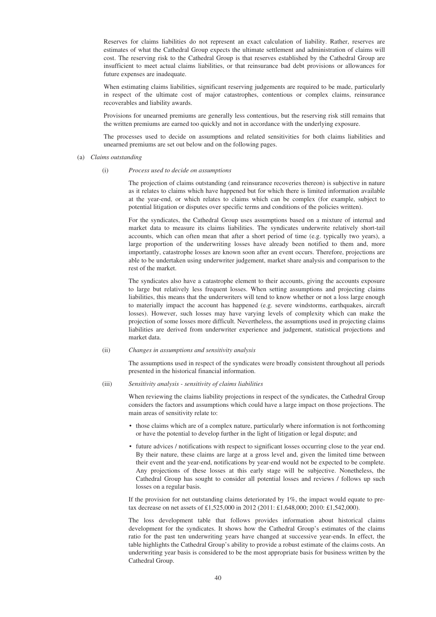Reserves for claims liabilities do not represent an exact calculation of liability. Rather, reserves are estimates of what the Cathedral Group expects the ultimate settlement and administration of claims will cost. The reserving risk to the Cathedral Group is that reserves established by the Cathedral Group are insufficient to meet actual claims liabilities, or that reinsurance bad debt provisions or allowances for future expenses are inadequate.

When estimating claims liabilities, significant reserving judgements are required to be made, particularly in respect of the ultimate cost of major catastrophes, contentious or complex claims, reinsurance recoverables and liability awards.

Provisions for unearned premiums are generally less contentious, but the reserving risk still remains that the written premiums are earned too quickly and not in accordance with the underlying exposure.

The processes used to decide on assumptions and related sensitivities for both claims liabilities and unearned premiums are set out below and on the following pages.

(a) *Claims outstanding*

#### (i) *Process used to decide on assumptions*

The projection of claims outstanding (and reinsurance recoveries thereon) is subjective in nature as it relates to claims which have happened but for which there is limited information available at the year-end, or which relates to claims which can be complex (for example, subject to potential litigation or disputes over specific terms and conditions of the policies written).

For the syndicates, the Cathedral Group uses assumptions based on a mixture of internal and market data to measure its claims liabilities. The syndicates underwrite relatively short-tail accounts, which can often mean that after a short period of time (e.g. typically two years), a large proportion of the underwriting losses have already been notified to them and, more importantly, catastrophe losses are known soon after an event occurs. Therefore, projections are able to be undertaken using underwriter judgement, market share analysis and comparison to the rest of the market.

The syndicates also have a catastrophe element to their accounts, giving the accounts exposure to large but relatively less frequent losses. When setting assumptions and projecting claims liabilities, this means that the underwriters will tend to know whether or not a loss large enough to materially impact the account has happened (e.g. severe windstorms, earthquakes, aircraft losses). However, such losses may have varying levels of complexity which can make the projection of some losses more difficult. Nevertheless, the assumptions used in projecting claims liabilities are derived from underwriter experience and judgement, statistical projections and market data.

#### (ii) *Changes in assumptions and sensitivity analysis*

The assumptions used in respect of the syndicates were broadly consistent throughout all periods presented in the historical financial information.

(iii) *Sensitivity analysis - sensitivity of claims liabilities*

When reviewing the claims liability projections in respect of the syndicates, the Cathedral Group considers the factors and assumptions which could have a large impact on those projections. The main areas of sensitivity relate to:

- those claims which are of a complex nature, particularly where information is not forthcoming or have the potential to develop further in the light of litigation or legal dispute; and
- future advices / notifications with respect to significant losses occurring close to the year end. By their nature, these claims are large at a gross level and, given the limited time between their event and the year-end, notifications by year-end would not be expected to be complete. Any projections of these losses at this early stage will be subjective. Nonetheless, the Cathedral Group has sought to consider all potential losses and reviews / follows up such losses on a regular basis.

If the provision for net outstanding claims deteriorated by 1%, the impact would equate to pretax decrease on net assets of £1,525,000 in 2012 (2011: £1,648,000; 2010: £1,542,000).

The loss development table that follows provides information about historical claims development for the syndicates. It shows how the Cathedral Group's estimates of the claims ratio for the past ten underwriting years have changed at successive year-ends. In effect, the table highlights the Cathedral Group's ability to provide a robust estimate of the claims costs. An underwriting year basis is considered to be the most appropriate basis for business written by the Cathedral Group.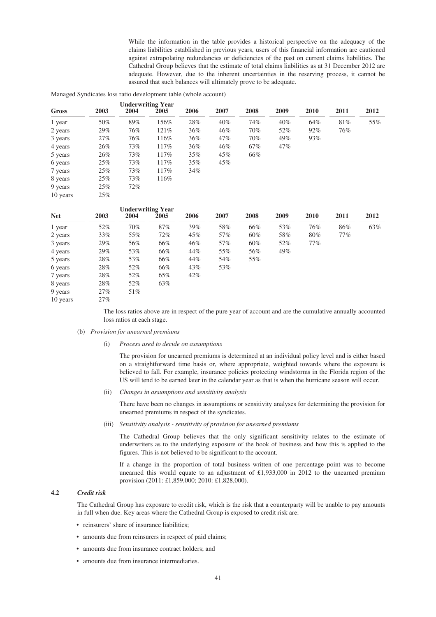While the information in the table provides a historical perspective on the adequacy of the claims liabilities established in previous years, users of this financial information are cautioned against extrapolating redundancies or deficiencies of the past on current claims liabilities. The Cathedral Group believes that the estimate of total claims liabilities as at 31 December 2012 are adequate. However, due to the inherent uncertainties in the reserving process, it cannot be assured that such balances will ultimately prove to be adequate.

Managed Syndicates loss ratio development table (whole account)

|              |        | <b>Underwriting Year</b> |       |      |        |      |      |      |      |      |
|--------------|--------|--------------------------|-------|------|--------|------|------|------|------|------|
| <b>Gross</b> | 2003   | 2004                     | 2005  | 2006 | 2007   | 2008 | 2009 | 2010 | 2011 | 2012 |
| 1 year       | 50%    | 89%                      | 156%  | 28%  | $40\%$ | 74%  | 40%  | 64%  | 81%  | 55%  |
| 2 years      | 29%    | 76%                      | 121\% | 36%  | 46%    | 70%  | 52%  | 92%  | 76%  |      |
| 3 years      | $27\%$ | 76%                      | 116%  | 36%  | $47\%$ | 70%  | 49%  | 93%  |      |      |
| 4 years      | 26%    | 73%                      | 117%  | 36%  | 46%    | 67%  | 47%  |      |      |      |
| 5 years      | 26%    | 73%                      | 117%  | 35%  | 45%    | 66%  |      |      |      |      |
| 6 years      | 25%    | 73%                      | 117%  | 35%  | 45%    |      |      |      |      |      |
| 7 years      | 25%    | 73%                      | 117%  | 34%  |        |      |      |      |      |      |
| 8 years      | 25%    | 73%                      | 116%  |      |        |      |      |      |      |      |
| 9 years      | 25%    | $72\%$                   |       |      |        |      |      |      |      |      |
| 10 years     | 25%    |                          |       |      |        |      |      |      |      |      |
|              |        |                          |       |      |        |      |      |      |      |      |

| <b>Net</b> | 2003 | 2004 | <b>Underwriting Year</b><br>2005 | 2006 | 2007 | 2008 | 2009 | 2010   | 2011 | 2012 |
|------------|------|------|----------------------------------|------|------|------|------|--------|------|------|
| 1 year     | 52%  | 70%  | 87%                              | 39%  | 58%  | 66%  | 53%  | 76%    | 86%  | 63%  |
| 2 years    | 33%  | 55%  | 72%                              | 45%  | 57%  | 60%  | 58%  | 80%    | 77%  |      |
| 3 years    | 29%  | 56%  | 66%                              | 46%  | 57%  | 60%  | 52%  | $77\%$ |      |      |
| 4 years    | 29%  | 53%  | 66%                              | 44%  | 55%  | 56%  | 49%  |        |      |      |
| 5 years    | 28%  | 53%  | 66%                              | 44%  | 54%  | 55%  |      |        |      |      |
| 6 years    | 28%  | 52%  | 66%                              | 43%  | 53%  |      |      |        |      |      |
| 7 years    | 28%  | 52%  | 65%                              | 42%  |      |      |      |        |      |      |
| 8 years    | 28%  | 52%  | 63%                              |      |      |      |      |        |      |      |
| 9 years    | 27%  | 51%  |                                  |      |      |      |      |        |      |      |
| 10 years   | 27%  |      |                                  |      |      |      |      |        |      |      |

The loss ratios above are in respect of the pure year of account and are the cumulative annually accounted loss ratios at each stage.

- (b) *Provision for unearned premiums*
	- (i) *Process used to decide on assumptions*

The provision for unearned premiums is determined at an individual policy level and is either based on a straightforward time basis or, where appropriate, weighted towards where the exposure is believed to fall. For example, insurance policies protecting windstorms in the Florida region of the US will tend to be earned later in the calendar year as that is when the hurricane season will occur.

(ii) *Changes in assumptions and sensitivity analysis*

There have been no changes in assumptions or sensitivity analyses for determining the provision for unearned premiums in respect of the syndicates.

(iii) *Sensitivity analysis - sensitivity of provision for unearned premiums*

The Cathedral Group believes that the only significant sensitivity relates to the estimate of underwriters as to the underlying exposure of the book of business and how this is applied to the figures. This is not believed to be significant to the account.

If a change in the proportion of total business written of one percentage point was to become unearned this would equate to an adjustment of  $£1,933,000$  in 2012 to the unearned premium provision (2011: £1,859,000; 2010: £1,828,000).

## **4.2** *Credit risk*

The Cathedral Group has exposure to credit risk, which is the risk that a counterparty will be unable to pay amounts in full when due. Key areas where the Cathedral Group is exposed to credit risk are:

- reinsurers' share of insurance liabilities;
- amounts due from reinsurers in respect of paid claims;
- amounts due from insurance contract holders; and
- amounts due from insurance intermediaries.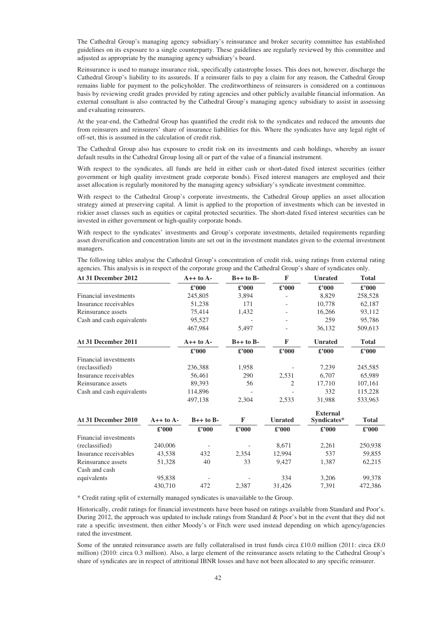The Cathedral Group's managing agency subsidiary's reinsurance and broker security committee has established guidelines on its exposure to a single counterparty. These guidelines are regularly reviewed by this committee and adjusted as appropriate by the managing agency subsidiary's board.

Reinsurance is used to manage insurance risk, specifically catastrophe losses. This does not, however, discharge the Cathedral Group's liability to its assureds. If a reinsurer fails to pay a claim for any reason, the Cathedral Group remains liable for payment to the policyholder. The creditworthiness of reinsurers is considered on a continuous basis by reviewing credit grades provided by rating agencies and other publicly available financial information. An external consultant is also contracted by the Cathedral Group's managing agency subsidiary to assist in assessing and evaluating reinsurers.

At the year-end, the Cathedral Group has quantified the credit risk to the syndicates and reduced the amounts due from reinsurers and reinsurers' share of insurance liabilities for this. Where the syndicates have any legal right of off-set, this is assumed in the calculation of credit risk.

The Cathedral Group also has exposure to credit risk on its investments and cash holdings, whereby an issuer default results in the Cathedral Group losing all or part of the value of a financial instrument.

With respect to the syndicates, all funds are held in either cash or short-dated fixed interest securities (either government or high quality investment grade corporate bonds). Fixed interest managers are employed and their asset allocation is regularly monitored by the managing agency subsidiary's syndicate investment committee.

With respect to the Cathedral Group's corporate investments, the Cathedral Group applies an asset allocation strategy aimed at preserving capital. A limit is applied to the proportion of investments which can be invested in riskier asset classes such as equities or capital protected securities. The short-dated fixed interest securities can be invested in either government or high-quality corporate bonds.

With respect to the syndicates' investments and Group's corporate investments, detailed requirements regarding asset diversification and concentration limits are set out in the investment mandates given to the external investment managers.

The following tables analyse the Cathedral Group's concentration of credit risk, using ratings from external rating agencies. This analysis is in respect of the corporate group and the Cathedral Group's share of syndicates only.

| At 31 December 2012       |                | $A++$ to $A-$  | $B++$ to $B-$  | F                        | <b>Unrated</b>                 | <b>Total</b> |
|---------------------------|----------------|----------------|----------------|--------------------------|--------------------------------|--------------|
|                           |                | $\pounds$ '000 | $\pounds 000$  | £'000                    | £'000                          | £'000        |
| Financial investments     |                | 245,805        | 3,894          |                          | 8,829                          | 258,528      |
| Insurance receivables     |                | 51,238         | 171            | $\overline{\phantom{a}}$ | 10,778                         | 62,187       |
| Reinsurance assets        |                | 75,414         | 1,432          |                          | 16.266                         | 93,112       |
| Cash and cash equivalents |                | 95,527         |                |                          | 259                            | 95,786       |
|                           |                | 467,984        | 5,497          |                          | 36,132                         | 509,613      |
| At 31 December 2011       |                | $A++$ to $A-$  | $B++$ to $B-$  | F                        | <b>Unrated</b>                 | <b>Total</b> |
|                           |                | £'000          | £'000          | £'000                    | £'000                          | £'000        |
| Financial investments     |                |                |                |                          |                                |              |
| (reclassified)            |                | 236,388        | 1,958          |                          | 7,239                          | 245,585      |
| Insurance receivables     |                | 56,461         | 290            | 2,531                    | 6,707                          | 65,989       |
| Reinsurance assets        |                | 89,393         | 56             | 2                        | 17,710                         | 107,161      |
| Cash and cash equivalents |                | 114,896        |                |                          | 332                            | 115,228      |
|                           |                | 497,138        | 2,304          | 2,533                    | 31,988                         | 533,963      |
| At 31 December 2010       | $A++$ to $A-$  | $B++$ to $B-$  | F              | <b>Unrated</b>           | <b>External</b><br>Syndicates* | <b>Total</b> |
|                           | $\pounds$ '000 | $\pounds$ '000 | $\pounds$ '000 | $\pounds$ '000           | $\pounds$ '000                 | £'000        |
| Financial investments     |                |                |                |                          |                                |              |
| (reclassified)            | 240,006        |                |                | 8.671                    | 2,261                          | 250,938      |
| Insurance receivables     | 43,538         | 432            | 2,354          | 12,994                   | 537                            | 59,855       |
| Reinsurance assets        | 51,328         | 40             | 33             | 9,427                    | 1,387                          | 62,215       |
| Cash and cash             |                |                |                |                          |                                |              |
| equivalents               | 95,838         |                |                | 334                      | 3,206                          | 99,378       |
|                           | 430,710        | 472            | 2,387          | 31,426                   | 7,391                          | 472,386      |

\* Credit rating split of externally managed syndicates is unavailable to the Group.

Historically, credit ratings for financial investments have been based on ratings available from Standard and Poor's. During 2012, the approach was updated to include ratings from Standard & Poor's but in the event that they did not rate a specific investment, then either Moody's or Fitch were used instead depending on which agency/agencies rated the investment.

Some of the unrated reinsurance assets are fully collateralised in trust funds circa £10.0 million (2011: circa £8.0 million) (2010: circa 0.3 million). Also, a large element of the reinsurance assets relating to the Cathedral Group's share of syndicates are in respect of attritional IBNR losses and have not been allocated to any specific reinsurer.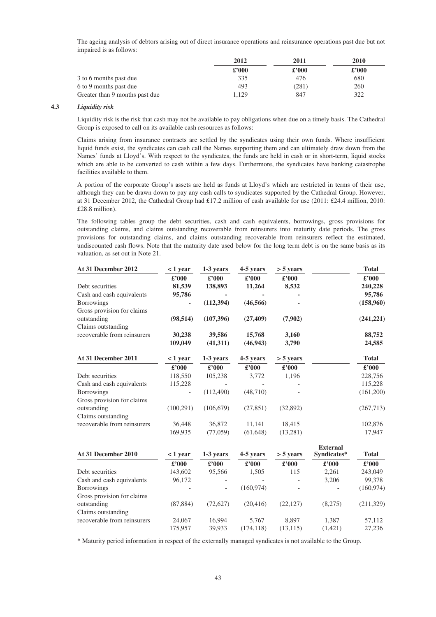The ageing analysis of debtors arising out of direct insurance operations and reinsurance operations past due but not impaired is as follows:

|                                | 2012           | 2011           | 2010          |
|--------------------------------|----------------|----------------|---------------|
|                                | $\pounds$ '000 | $\pounds$ '000 | $\pounds 000$ |
| 3 to 6 months past due         | 335            | 476            | 680           |
| 6 to 9 months past due         | 493            | (281)          | 260           |
| Greater than 9 months past due | 1.129          | 847            | 322           |

### **4.3** *Liquidity risk*

Liquidity risk is the risk that cash may not be available to pay obligations when due on a timely basis. The Cathedral Group is exposed to call on its available cash resources as follows:

Claims arising from insurance contracts are settled by the syndicates using their own funds. Where insufficient liquid funds exist, the syndicates can cash call the Names supporting them and can ultimately draw down from the Names' funds at Lloyd's. With respect to the syndicates, the funds are held in cash or in short-term, liquid stocks which are able to be converted to cash within a few days. Furthermore, the syndicates have banking catastrophe facilities available to them.

A portion of the corporate Group's assets are held as funds at Lloyd's which are restricted in terms of their use, although they can be drawn down to pay any cash calls to syndicates supported by the Cathedral Group. However, at 31 December 2012, the Cathedral Group had £17.2 million of cash available for use (2011: £24.4 million, 2010: £28.8 million).

The following tables group the debt securities, cash and cash equivalents, borrowings, gross provisions for outstanding claims, and claims outstanding recoverable from reinsurers into maturity date periods. The gross provisions for outstanding claims, and claims outstanding recoverable from reinsurers reflect the estimated, undiscounted cash flows. Note that the maturity date used below for the long term debt is on the same basis as its valuation, as set out in Note 21.

| At 31 December 2012         | $<$ 1 year     | 1-3 years      | 4-5 years | $>$ 5 years    | <b>Total</b>  |
|-----------------------------|----------------|----------------|-----------|----------------|---------------|
|                             | $\pounds$ '000 | $\pounds$ '000 | £'000     | $\pounds$ '000 | $\pounds 000$ |
| Debt securities             | 81,539         | 138,893        | 11,264    | 8,532          | 240,228       |
| Cash and cash equivalents   | 95,786         |                |           |                | 95,786        |
| <b>Borrowings</b>           | ٠              | (112, 394)     | (46, 566) |                | (158,960)     |
| Gross provision for claims  |                |                |           |                |               |
| outstanding                 | (98, 514)      | (107, 396)     | (27, 409) | (7,902)        | (241, 221)    |
| Claims outstanding          |                |                |           |                |               |
| recoverable from reinsurers | 30,238         | 39,586         | 15,768    | 3,160          | 88,752        |
|                             | 109,049        | (41,311)       | (46, 943) | 3,790          | 24,585        |
| At 31 December 2011         | $<$ 1 year     | 1-3 years      | 4-5 years | $>$ 5 years    | <b>Total</b>  |
|                             | £'000          | $\pounds$ '000 | £'000     | £'000          | $\pounds 000$ |
| Debt securities             | 118,550        | 105,238        | 3,772     | 1,196          | 228,756       |
| Cash and cash equivalents   | 115,228        |                |           |                | 115,228       |
| <b>Borrowings</b>           |                | (112, 490)     | (48,710)  |                | (161,200)     |
| Gross provision for claims  |                |                |           |                |               |
| outstanding                 | (100, 291)     | (106, 679)     | (27, 851) | (32,892)       | (267,713)     |
| Claims outstanding          |                |                |           |                |               |
| recoverable from reinsurers | 36,448         | 36,872         | 11,141    | 18,415         | 102,876       |
|                             | 169,935        | (77,059)       | (61, 648) | (13,281)       | 17,947        |
|                             |                |                |           |                |               |

| At 31 December 2010         | $<$ 1 year     | 1-3 years                | 4-5 years  | $>$ 5 years    | <b>External</b><br>Syndicates* | <b>Total</b>   |
|-----------------------------|----------------|--------------------------|------------|----------------|--------------------------------|----------------|
|                             | $\pounds$ '000 | $\pounds 000$            | £'000      | $\pounds$ '000 | $\pounds$ '000                 | $\pounds$ '000 |
| Debt securities             | 143,602        | 95,566                   | 1.505      | 115            | 2.261                          | 243,049        |
| Cash and cash equivalents   | 96,172         | $\overline{\phantom{0}}$ |            |                | 3,206                          | 99,378         |
| <b>Borrowings</b>           |                | $\overline{\phantom{a}}$ | (160, 974) |                |                                | (160, 974)     |
| Gross provision for claims  |                |                          |            |                |                                |                |
| outstanding                 | (87, 884)      | (72,627)                 | (20.416)   | (22, 127)      | (8,275)                        | (211,329)      |
| Claims outstanding          |                |                          |            |                |                                |                |
| recoverable from reinsurers | 24,067         | 16,994                   | 5.767      | 8.897          | 1.387                          | 57,112         |
|                             | 175,957        | 39.933                   | (174, 118) | (13.115)       | (1, 421)                       | 27,236         |

\* Maturity period information in respect of the externally managed syndicates is not available to the Group.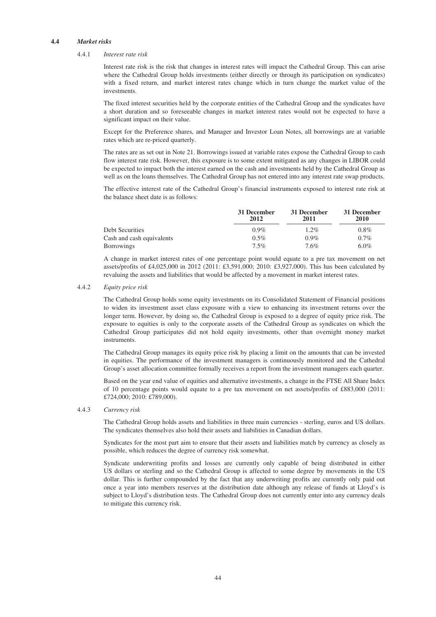### **4.4** *Market risks*

### 4.4.1 *Interest rate risk*

Interest rate risk is the risk that changes in interest rates will impact the Cathedral Group. This can arise where the Cathedral Group holds investments (either directly or through its participation on syndicates) with a fixed return, and market interest rates change which in turn change the market value of the investments.

The fixed interest securities held by the corporate entities of the Cathedral Group and the syndicates have a short duration and so foreseeable changes in market interest rates would not be expected to have a significant impact on their value.

Except for the Preference shares, and Manager and Investor Loan Notes, all borrowings are at variable rates which are re-priced quarterly.

The rates are as set out in Note 21. Borrowings issued at variable rates expose the Cathedral Group to cash flow interest rate risk. However, this exposure is to some extent mitigated as any changes in LIBOR could be expected to impact both the interest earned on the cash and investments held by the Cathedral Group as well as on the loans themselves. The Cathedral Group has not entered into any interest rate swap products.

The effective interest rate of the Cathedral Group's financial instruments exposed to interest rate risk at the balance sheet date is as follows:

|                           | 31 December<br>2012 | 31 December<br>2011 | 31 December<br>2010 |
|---------------------------|---------------------|---------------------|---------------------|
| Debt Securities           | $0.9\%$             | $1.2\%$             | $0.8\%$             |
| Cash and cash equivalents | $0.5\%$             | $0.9\%$             | $0.7\%$             |
| <b>Borrowings</b>         | 7.5%                | 7.6%                | $6.0\%$             |

A change in market interest rates of one percentage point would equate to a pre tax movement on net assets/profits of £4,025,000 in 2012 (2011: £3,591,000; 2010: £3,927,000). This has been calculated by revaluing the assets and liabilities that would be affected by a movement in market interest rates.

## 4.4.2 *Equity price risk*

The Cathedral Group holds some equity investments on its Consolidated Statement of Financial positions to widen its investment asset class exposure with a view to enhancing its investment returns over the longer term. However, by doing so, the Cathedral Group is exposed to a degree of equity price risk. The exposure to equities is only to the corporate assets of the Cathedral Group as syndicates on which the Cathedral Group participates did not hold equity investments, other than overnight money market instruments.

The Cathedral Group manages its equity price risk by placing a limit on the amounts that can be invested in equities. The performance of the investment managers is continuously monitored and the Cathedral Group's asset allocation committee formally receives a report from the investment managers each quarter.

Based on the year end value of equities and alternative investments, a change in the FTSE All Share Index of 10 percentage points would equate to a pre tax movement on net assets/profits of £883,000 (2011: £724,000; 2010: £789,000).

#### 4.4.3 *Currency risk*

The Cathedral Group holds assets and liabilities in three main currencies - sterling, euros and US dollars. The syndicates themselves also hold their assets and liabilities in Canadian dollars.

Syndicates for the most part aim to ensure that their assets and liabilities match by currency as closely as possible, which reduces the degree of currency risk somewhat.

Syndicate underwriting profits and losses are currently only capable of being distributed in either US dollars or sterling and so the Cathedral Group is affected to some degree by movements in the US dollar. This is further compounded by the fact that any underwriting profits are currently only paid out once a year into members reserves at the distribution date although any release of funds at Lloyd's is subject to Lloyd's distribution tests. The Cathedral Group does not currently enter into any currency deals to mitigate this currency risk.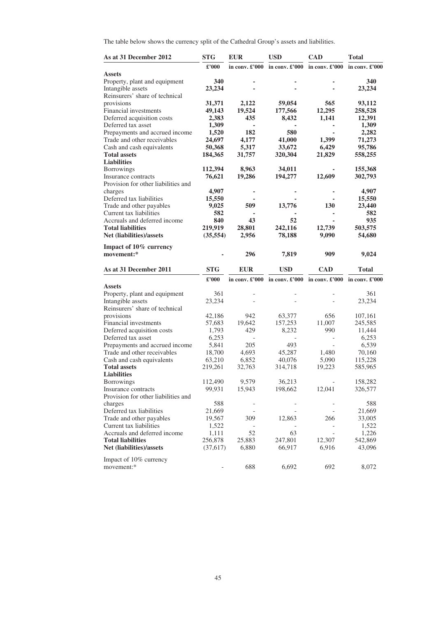The table below shows the currency split of the Cathedral Group's assets and liabilities.

| As at 31 December 2012                              | <b>STG</b>     | <b>EUR</b>               | <b>USD</b>                                                                                      | <b>CAD</b> | <b>Total</b>  |
|-----------------------------------------------------|----------------|--------------------------|-------------------------------------------------------------------------------------------------|------------|---------------|
|                                                     | £'000          |                          | in conv. $\pounds$ 000 in conv. $\pounds$ 000 in conv. $\pounds$ 000 in conv. $\pounds$ 000     |            |               |
| <b>Assets</b>                                       |                |                          |                                                                                                 |            |               |
| Property, plant and equipment                       | 340            |                          |                                                                                                 |            | 340           |
| Intangible assets                                   | 23,234         |                          |                                                                                                 |            | 23,234        |
| Reinsurers' share of technical                      |                |                          |                                                                                                 |            |               |
| provisions                                          | 31,371         | 2,122                    | 59,054                                                                                          | 565        | 93,112        |
| Financial investments                               | 49,143         | 19,524                   | 177,566                                                                                         | 12,295     | 258,528       |
| Deferred acquisition costs                          | 2,383          | 435                      | 8,432                                                                                           | 1,141      | 12,391        |
| Deferred tax asset                                  | 1,309          | ×                        |                                                                                                 |            | 1,309         |
| Prepayments and accrued income                      | 1,520          | 182                      | 580                                                                                             |            | 2,282         |
| Trade and other receivables                         | 24,697         | 4,177                    | 41,000                                                                                          | 1,399      | 71,273        |
| Cash and cash equivalents                           | 50,368         | 5,317                    | 33,672                                                                                          | 6,429      | 95,786        |
| <b>Total assets</b>                                 | 184,365        | 31,757                   | 320,304                                                                                         | 21,829     | 558,255       |
| <b>Liabilities</b>                                  |                |                          |                                                                                                 |            |               |
| <b>Borrowings</b>                                   | 112,394        | 8,963                    | 34,011                                                                                          |            | 155,368       |
| Insurance contracts                                 | 76,621         | 19,286                   | 194,277                                                                                         | 12,609     | 302,793       |
| Provision for other liabilities and                 |                |                          |                                                                                                 |            |               |
| charges<br>Deferred tax liabilities                 | 4,907          |                          |                                                                                                 |            | 4,907         |
|                                                     | 15,550         | 509                      | 13,776                                                                                          | <b>130</b> | 15,550        |
| Trade and other payables<br>Current tax liabilities | 9,025<br>582   |                          |                                                                                                 |            | 23,440<br>582 |
| Accruals and deferred income                        | 840            | 43                       | 52                                                                                              |            | 935           |
| <b>Total liabilities</b>                            | 219,919        | 28,801                   | 242,116                                                                                         | 12,739     | 503,575       |
| Net (liabilities)/assets                            | (35, 554)      | 2,956                    | 78,188                                                                                          | 9,090      | 54,680        |
|                                                     |                |                          |                                                                                                 |            |               |
| Impact of 10% currency                              |                |                          |                                                                                                 |            |               |
| movement:*                                          |                | 296                      | 7,819                                                                                           | 909        | 9,024         |
|                                                     |                |                          |                                                                                                 |            |               |
| As at 31 December 2011                              | <b>STG</b>     | <b>EUR</b>               | <b>USD</b>                                                                                      | <b>CAD</b> | <b>Total</b>  |
|                                                     | $\pounds$ '000 |                          | in conv. $\pounds$ '000 in conv. $\pounds$ '000 in conv. $\pounds$ '000 in conv. $\pounds$ '000 |            |               |
| <b>Assets</b>                                       |                |                          |                                                                                                 |            |               |
| Property, plant and equipment                       | 361            |                          |                                                                                                 |            | 361           |
| Intangible assets                                   | 23,234         |                          |                                                                                                 |            | 23,234        |
| Reinsurers' share of technical                      |                |                          |                                                                                                 |            |               |
| provisions                                          | 42,186         | 942                      | 63,377                                                                                          | 656        | 107,161       |
| Financial investments                               | 57,683         | 19,642                   | 157,253                                                                                         | 11,007     | 245,585       |
| Deferred acquisition costs                          | 1,793          | 429                      | 8,232                                                                                           | 990        | 11,444        |
| Deferred tax asset                                  | 6,253          | $\overline{\phantom{a}}$ |                                                                                                 |            | 6,253         |
| Prepayments and accrued income                      | 5,841          | 205                      | 493                                                                                             |            | 6,539         |
| Trade and other receivables                         | 18,700         | 4.693                    | 45,287                                                                                          | 1,480      | 70,160        |
| Cash and cash equivalents                           | 63,210         | 6,852                    | 40,076                                                                                          | 5,090      | 115,228       |
| <b>Total assets</b>                                 | 219,261        | 32,763                   | 314,718                                                                                         | 19,223     | 585,965       |
| <b>Liabilities</b>                                  |                |                          |                                                                                                 |            |               |
| Borrowings                                          | 112,490        | 9,579                    | 36,213                                                                                          |            | 158,282       |
| Insurance contracts                                 | 99,931         | 15,943                   | 198,662                                                                                         | 12,041     | 326,577       |
| Provision for other liabilities and                 |                |                          |                                                                                                 |            |               |
| charges                                             | 588            |                          |                                                                                                 |            | 588           |
| Deferred tax liabilities                            | 21,669         |                          |                                                                                                 |            | 21,669        |
| Trade and other payables                            | 19,567         | 309                      | 12,863                                                                                          | 266        | 33,005        |
| Current tax liabilities                             | 1,522          |                          |                                                                                                 |            | 1,522         |
| Accruals and deferred income                        | 1,111          | 52                       | 63                                                                                              |            | 1,226         |
| <b>Total liabilities</b>                            | 256,878        | 25,883                   | 247,801                                                                                         | 12,307     | 542,869       |
| Net (liabilities)/assets                            | (37,617)       | 6,880                    | 66,917                                                                                          | 6,916      | 43,096        |
| Impact of 10% currency<br>movement:*                |                | 688                      | 6,692                                                                                           | 692        | 8,072         |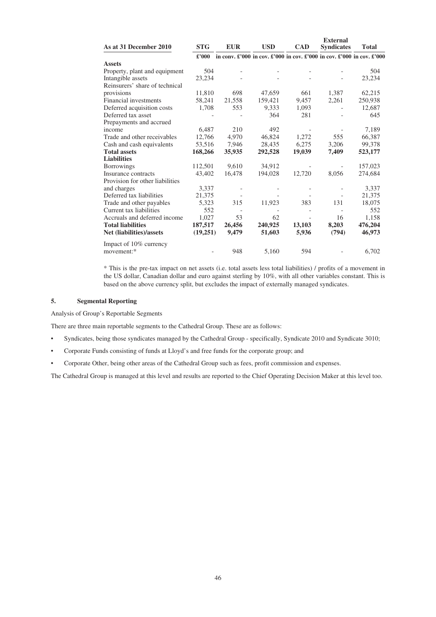| As at 31 December 2010          | <b>STG</b>     | <b>EUR</b>                                                             | <b>USD</b> | <b>CAD</b>               | <b>External</b><br><b>Syndicates</b> | <b>Total</b> |
|---------------------------------|----------------|------------------------------------------------------------------------|------------|--------------------------|--------------------------------------|--------------|
|                                 | $\pounds$ '000 | in conv. £'000 in cov. £'000 in cov. £'000 in cov. £'000 in cov. £'000 |            |                          |                                      |              |
| <b>Assets</b>                   |                |                                                                        |            |                          |                                      |              |
| Property, plant and equipment   | 504            |                                                                        |            |                          |                                      | 504          |
| Intangible assets               | 23,234         |                                                                        |            |                          |                                      | 23,234       |
| Reinsurers' share of technical  |                |                                                                        |            |                          |                                      |              |
| provisions                      | 11,810         | 698                                                                    | 47,659     | 661                      | 1,387                                | 62,215       |
| Financial investments           | 58,241         | 21,558                                                                 | 159,421    | 9,457                    | 2,261                                | 250,938      |
| Deferred acquisition costs      | 1,708          | 553                                                                    | 9,333      | 1,093                    |                                      | 12,687       |
| Deferred tax asset              |                |                                                                        | 364        | 281                      |                                      | 645          |
| Prepayments and accrued         |                |                                                                        |            |                          |                                      |              |
| income                          | 6,487          | 210                                                                    | 492        |                          |                                      | 7,189        |
| Trade and other receivables     | 12,766         | 4.970                                                                  | 46.824     | 1,272                    | 555                                  | 66,387       |
| Cash and cash equivalents       | 53,516         | 7,946                                                                  | 28,435     | 6,275                    | 3,206                                | 99,378       |
| <b>Total assets</b>             | 168,266        | 35,935                                                                 | 292,528    | 19,039                   | 7,409                                | 523,177      |
| <b>Liabilities</b>              |                |                                                                        |            |                          |                                      |              |
| <b>Borrowings</b>               | 112,501        | 9,610                                                                  | 34,912     |                          |                                      | 157,023      |
| Insurance contracts             | 43,402         | 16,478                                                                 | 194,028    | 12,720                   | 8,056                                | 274,684      |
| Provision for other liabilities |                |                                                                        |            |                          |                                      |              |
| and charges                     | 3.337          |                                                                        |            |                          |                                      | 3.337        |
| Deferred tax liabilities        | 21,375         |                                                                        |            |                          |                                      | 21,375       |
| Trade and other payables        | 5,323          | 315                                                                    | 11,923     | 383                      | 131                                  | 18,075       |
| Current tax liabilities         | 552            |                                                                        |            |                          |                                      | 552          |
| Accruals and deferred income    | 1.027          | 53                                                                     | 62         | $\overline{\phantom{a}}$ | 16                                   | 1,158        |
| <b>Total liabilities</b>        | 187,517        | 26,456                                                                 | 240,925    | 13,103                   | 8,203                                | 476,204      |
| Net (liabilities)/assets        | (19,251)       | 9,479                                                                  | 51,603     | 5,936                    | (794)                                | 46,973       |
| Impact of 10% currency          |                |                                                                        |            |                          |                                      |              |
| movement:*                      |                | 948                                                                    | 5,160      | 594                      |                                      | 6,702        |

\* This is the pre-tax impact on net assets (i.e. total assets less total liabilities) / profits of a movement in the US dollar, Canadian dollar and euro against sterling by 10%, with all other variables constant. This is based on the above currency split, but excludes the impact of externally managed syndicates.

# **5. Segmental Reporting**

Analysis of Group's Reportable Segments

There are three main reportable segments to the Cathedral Group. These are as follows:

- Syndicates, being those syndicates managed by the Cathedral Group specifically, Syndicate 2010 and Syndicate 3010;
- Corporate Funds consisting of funds at Lloyd's and free funds for the corporate group; and
- Corporate Other, being other areas of the Cathedral Group such as fees, profit commission and expenses.

The Cathedral Group is managed at this level and results are reported to the Chief Operating Decision Maker at this level too.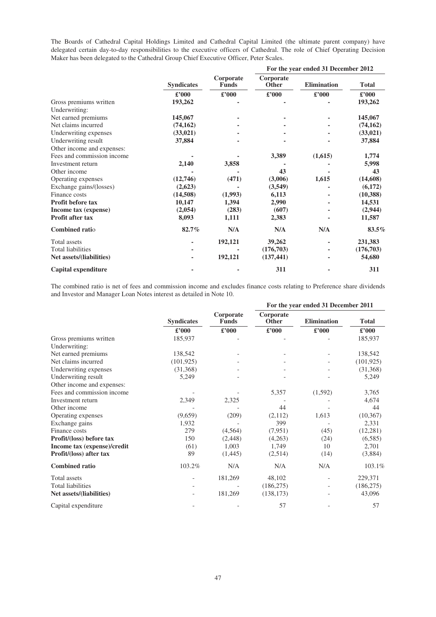The Boards of Cathedral Capital Holdings Limited and Cathedral Capital Limited (the ultimate parent company) have delegated certain day-to-day responsibilities to the executive officers of Cathedral. The role of Chief Operating Decision Maker has been delegated to the Cathedral Group Chief Executive Officer, Peter Scales.

|                            |                   |                           |                    | For the year ended 31 December 2012 |                |  |
|----------------------------|-------------------|---------------------------|--------------------|-------------------------------------|----------------|--|
|                            | <b>Syndicates</b> | Corporate<br><b>Funds</b> | Corporate<br>Other | <b>Elimination</b>                  | <b>Total</b>   |  |
|                            | £'000             | $\pounds$ '000            | $\pounds$ '000     | $\pounds$ '000                      | $\pounds$ '000 |  |
| Gross premiums written     | 193,262           |                           |                    |                                     | 193,262        |  |
| Underwriting:              |                   |                           |                    |                                     |                |  |
| Net earned premiums        | 145,067           |                           |                    |                                     | 145,067        |  |
| Net claims incurred        | (74, 162)         |                           |                    |                                     | (74, 162)      |  |
| Underwriting expenses      | (33, 021)         |                           |                    |                                     | (33, 021)      |  |
| Underwriting result        | 37,884            |                           |                    |                                     | 37,884         |  |
| Other income and expenses: |                   |                           |                    |                                     |                |  |
| Fees and commission income |                   |                           | 3,389              | (1,615)                             | 1,774          |  |
| Investment return          | 2,140             | 3,858                     |                    |                                     | 5,998          |  |
| Other income               |                   |                           | 43                 |                                     | 43             |  |
| Operating expenses         | (12,746)          | (471)                     | (3,006)            | 1,615                               | (14,608)       |  |
| Exchange gains/(losses)    | (2,623)           |                           | (3,549)            |                                     | (6,172)        |  |
| Finance costs              | (14,508)          | (1,993)                   | 6,113              |                                     | (10, 388)      |  |
| Profit before tax          | 10,147            | 1,394                     | 2,990              |                                     | 14,531         |  |
| Income tax (expense)       | (2,054)           | (283)                     | (607)              |                                     | (2,944)        |  |
| Profit after tax           | 8,093             | 1,111                     | 2,383              |                                     | 11,587         |  |
| <b>Combined ratio</b>      | 82.7%             | N/A                       | N/A                | N/A                                 | 83.5%          |  |
| Total assets               |                   | 192,121                   | 39,262             |                                     | 231,383        |  |
| <b>Total liabilities</b>   |                   |                           | (176, 703)         |                                     | (176, 703)     |  |
| Net assets/(liabilities)   |                   | 192,121                   | (137, 441)         |                                     | 54,680         |  |
| Capital expenditure        |                   |                           | 311                |                                     | 311            |  |

The combined ratio is net of fees and commission income and excludes finance costs relating to Preference share dividends and Investor and Manager Loan Notes interest as detailed in Note 10.

|                             |                   |                           | For the year ended 31 December 2011 |                    |                |  |
|-----------------------------|-------------------|---------------------------|-------------------------------------|--------------------|----------------|--|
|                             | <b>Syndicates</b> | Corporate<br><b>Funds</b> | Corporate<br>Other                  | <b>Elimination</b> | <b>Total</b>   |  |
|                             | £'000             | $\pounds$ '000            | $\pounds$ '000                      | £'000              | $\pounds$ '000 |  |
| Gross premiums written      | 185,937           |                           |                                     |                    | 185,937        |  |
| Underwriting:               |                   |                           |                                     |                    |                |  |
| Net earned premiums         | 138,542           |                           |                                     |                    | 138,542        |  |
| Net claims incurred         | (101, 925)        |                           |                                     |                    | (101, 925)     |  |
| Underwriting expenses       | (31,368)          |                           |                                     |                    | (31,368)       |  |
| Underwriting result         | 5,249             |                           |                                     |                    | 5,249          |  |
| Other income and expenses:  |                   |                           |                                     |                    |                |  |
| Fees and commission income  |                   |                           | 5,357                               | (1,592)            | 3,765          |  |
| Investment return           | 2,349             | 2,325                     |                                     |                    | 4,674          |  |
| Other income                |                   |                           | 44                                  |                    | 44             |  |
| Operating expenses          | (9,659)           | (209)                     | (2,112)                             | 1,613              | (10, 367)      |  |
| Exchange gains              | 1,932             |                           | 399                                 |                    | 2,331          |  |
| Finance costs               | 279               | (4,564)                   | (7, 951)                            | (45)               | (12, 281)      |  |
| Profit/(loss) before tax    | 150               | (2, 448)                  | (4,263)                             | (24)               | (6,585)        |  |
| Income tax (expense)/credit | (61)              | 1,003                     | 1,749                               | 10                 | 2,701          |  |
| Profit/(loss) after tax     | 89                | (1,445)                   | (2,514)                             | (14)               | (3,884)        |  |
| <b>Combined ratio</b>       | 103.2%            | N/A                       | N/A                                 | N/A                | 103.1%         |  |
| Total assets                |                   | 181,269                   | 48,102                              |                    | 229,371        |  |
| <b>Total liabilities</b>    |                   |                           | (186, 275)                          |                    | (186, 275)     |  |
| Net assets/(liabilities)    |                   | 181,269                   | (138, 173)                          |                    | 43,096         |  |
| Capital expenditure         |                   |                           | 57                                  |                    | 57             |  |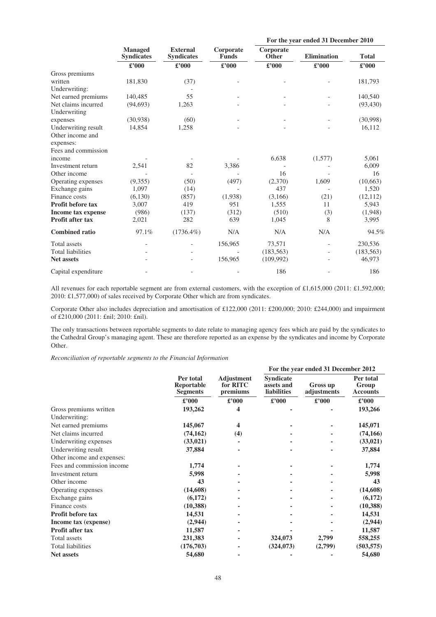|                          |                                     |                                      |                           |                    | For the year ended 31 December 2010 |              |  |
|--------------------------|-------------------------------------|--------------------------------------|---------------------------|--------------------|-------------------------------------|--------------|--|
|                          | <b>Managed</b><br><b>Syndicates</b> | <b>External</b><br><b>Syndicates</b> | Corporate<br><b>Funds</b> | Corporate<br>Other | <b>Elimination</b>                  | <b>Total</b> |  |
|                          | £'000                               | £'000                                | £'000                     | £'000              | £'000                               | £'000        |  |
| Gross premiums           |                                     |                                      |                           |                    |                                     |              |  |
| written                  | 181,830                             | (37)                                 |                           |                    |                                     | 181,793      |  |
| Underwriting:            |                                     |                                      |                           |                    |                                     |              |  |
| Net earned premiums      | 140,485                             | 55                                   |                           |                    |                                     | 140,540      |  |
| Net claims incurred      | (94, 693)                           | 1,263                                |                           |                    |                                     | (93, 430)    |  |
| Underwriting             |                                     |                                      |                           |                    |                                     |              |  |
| expenses                 | (30,938)                            | (60)                                 |                           |                    |                                     | (30,998)     |  |
| Underwriting result      | 14,854                              | 1,258                                |                           |                    |                                     | 16,112       |  |
| Other income and         |                                     |                                      |                           |                    |                                     |              |  |
| expenses:                |                                     |                                      |                           |                    |                                     |              |  |
| Fees and commission      |                                     |                                      |                           |                    |                                     |              |  |
| income                   |                                     |                                      |                           | 6,638              | (1,577)                             | 5,061        |  |
| Investment return        | 2,541                               | 82                                   | 3,386                     |                    |                                     | 6,009        |  |
| Other income             |                                     |                                      |                           | 16                 |                                     | 16           |  |
| Operating expenses       | (9,355)                             | (50)                                 | (497)                     | (2,370)            | 1,609                               | (10,663)     |  |
| Exchange gains           | 1,097                               | (14)                                 |                           | 437                |                                     | 1,520        |  |
| Finance costs            | (6, 130)                            | (857)                                | (1,938)                   | (3,166)            | (21)                                | (12, 112)    |  |
| Profit before tax        | 3,007                               | 419                                  | 951                       | 1,555              | 11                                  | 5,943        |  |
| Income tax expense       | (986)                               | (137)                                | (312)                     | (510)              | (3)                                 | (1,948)      |  |
| <b>Profit after tax</b>  | 2,021                               | 282                                  | 639                       | 1,045              | 8                                   | 3,995        |  |
| <b>Combined ratio</b>    | 97.1%                               | $(1736.4\%)$                         | N/A                       | N/A                | N/A                                 | 94.5%        |  |
| Total assets             |                                     |                                      | 156,965                   | 73,571             |                                     | 230,536      |  |
| <b>Total liabilities</b> |                                     |                                      |                           | (183, 563)         |                                     | (183, 563)   |  |
| <b>Net assets</b>        |                                     |                                      | 156,965                   | (109, 992)         |                                     | 46,973       |  |
| Capital expenditure      |                                     | $\overline{\phantom{a}}$             |                           | 186                |                                     | 186          |  |

All revenues for each reportable segment are from external customers, with the exception of £1,615,000 (2011: £1,592,000; 2010: £1,577,000) of sales received by Corporate Other which are from syndicates.

Corporate Other also includes depreciation and amortisation of £122,000 (2011: £200,000; 2010: £244,000) and impairment of £210,000 (2011: £nil; 2010: £nil).

The only transactions between reportable segments to date relate to managing agency fees which are paid by the syndicates to the Cathedral Group's managing agent. These are therefore reported as an expense by the syndicates and income by Corporate Other.

*Reconciliation of reportable segments to the Financial Information*

|                            |                                            |                                           |                                                      | For the year ended 31 December 2012 |                                       |  |
|----------------------------|--------------------------------------------|-------------------------------------------|------------------------------------------------------|-------------------------------------|---------------------------------------|--|
|                            | Per total<br>Reportable<br><b>Segments</b> | <b>Adjustment</b><br>for RITC<br>premiums | <b>Syndicate</b><br>assets and<br><b>liabilities</b> | Gross up<br>adjustments             | Per total<br>Group<br><b>Accounts</b> |  |
|                            | $\pounds$ '000                             | $\pounds$ '000                            | £'000                                                | $\pounds$ '000                      | $\pounds$ '000                        |  |
| Gross premiums written     | 193,262                                    | 4                                         |                                                      |                                     | 193,266                               |  |
| Underwriting:              |                                            |                                           |                                                      |                                     |                                       |  |
| Net earned premiums        | 145,067                                    | 4                                         |                                                      |                                     | 145,071                               |  |
| Net claims incurred        | (74, 162)                                  | (4)                                       |                                                      |                                     | (74, 166)                             |  |
| Underwriting expenses      | (33, 021)                                  |                                           |                                                      |                                     | (33, 021)                             |  |
| Underwriting result        | 37,884                                     |                                           |                                                      |                                     | 37,884                                |  |
| Other income and expenses: |                                            |                                           |                                                      |                                     |                                       |  |
| Fees and commission income | 1,774                                      |                                           |                                                      |                                     | 1,774                                 |  |
| Investment return          | 5,998                                      |                                           |                                                      |                                     | 5,998                                 |  |
| Other income               | 43                                         |                                           |                                                      |                                     | 43                                    |  |
| Operating expenses         | (14,608)                                   |                                           |                                                      |                                     | (14,608)                              |  |
| Exchange gains             | (6,172)                                    |                                           |                                                      |                                     | (6,172)                               |  |
| Finance costs              | (10,388)                                   |                                           |                                                      |                                     | (10,388)                              |  |
| Profit before tax          | 14,531                                     |                                           |                                                      |                                     | 14,531                                |  |
| Income tax (expense)       | (2,944)                                    |                                           |                                                      |                                     | (2,944)                               |  |
| <b>Profit after tax</b>    | 11,587                                     |                                           |                                                      |                                     | 11,587                                |  |
| Total assets               | 231,383                                    |                                           | 324,073                                              | 2,799                               | 558,255                               |  |
| Total liabilities          | (176, 703)                                 |                                           | (324, 073)                                           | (2,799)                             | (503, 575)                            |  |
| <b>Net assets</b>          | 54,680                                     |                                           |                                                      |                                     | 54,680                                |  |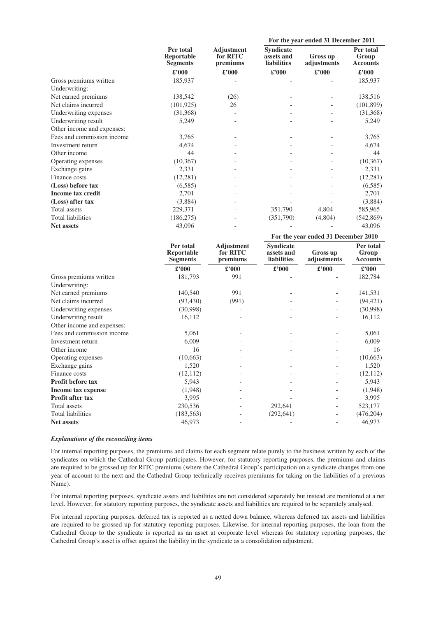#### *Explanations of the reconciling items*

For internal reporting purposes, the premiums and claims for each segment relate purely to the business written by each of the syndicates on which the Cathedral Group participates. However, for statutory reporting purposes, the premiums and claims are required to be grossed up for RITC premiums (where the Cathedral Group's participation on a syndicate changes from one year of account to the next and the Cathedral Group technically receives premiums for taking on the liabilities of a previous Name).

For internal reporting purposes, syndicate assets and liabilities are not considered separately but instead are monitored at a net level. However, for statutory reporting purposes, the syndicate assets and liabilities are required to be separately analysed.

For internal reporting purposes, deferred tax is reported as a netted down balance, whereas deferred tax assets and liabilities are required to be grossed up for statutory reporting purposes. Likewise, for internal reporting purposes, the loan from the Cathedral Group to the syndicate is reported as an asset at corporate level whereas for statutory reporting purposes, the Cathedral Group's asset is offset against the liability in the syndicate as a consolidation adjustment.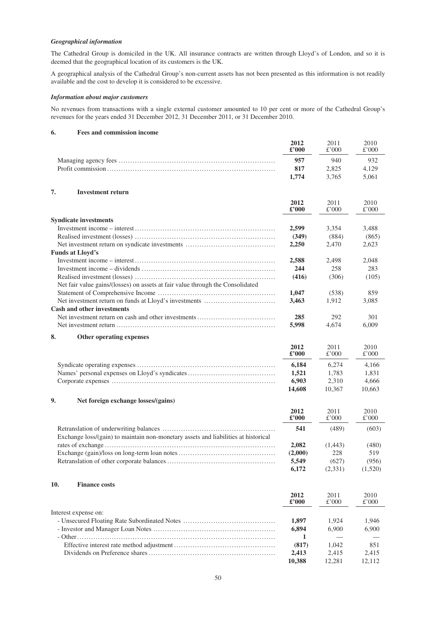# *Geographical information*

The Cathedral Group is domiciled in the UK. All insurance contracts are written through Lloyd's of London, and so it is deemed that the geographical location of its customers is the UK.

A geographical analysis of the Cathedral Group's non-current assets has not been presented as this information is not readily available and the cost to develop it is considered to be excessive.

## *Information about major customers*

No revenues from transactions with a single external customer amounted to 10 per cent or more of the Cathedral Group's revenues for the years ended 31 December 2012, 31 December 2011, or 31 December 2010.

# **6. Fees and commission income**

|     |                                                                                    | 2012<br>$\pounds$ '000 | 2011<br>£'000 | 2010<br>£'000 |
|-----|------------------------------------------------------------------------------------|------------------------|---------------|---------------|
|     |                                                                                    | 957                    | 940           | 932           |
|     |                                                                                    | 817                    | 2.825         | 4,129         |
|     |                                                                                    | 1,774                  | 3,765         | 5,061         |
| 7.  | <b>Investment return</b>                                                           |                        |               |               |
|     |                                                                                    | 2012<br>$\pounds 000$  | 2011<br>£'000 | 2010<br>£'000 |
|     | <b>Syndicate investments</b>                                                       |                        |               |               |
|     |                                                                                    | 2,599                  | 3,354         | 3,488         |
|     |                                                                                    | (349)                  | (884)         | (865)         |
|     |                                                                                    | 2,250                  | 2,470         | 2,623         |
|     | <b>Funds at Lloyd's</b>                                                            |                        |               |               |
|     |                                                                                    | 2,588                  | 2,498         | 2,048         |
|     |                                                                                    | 244                    | 258           | 283           |
|     |                                                                                    | (416)                  | (306)         | (105)         |
|     | Net fair value gains/(losses) on assets at fair value through the Consolidated     |                        |               |               |
|     |                                                                                    | 1,047                  | (538)         | 859           |
|     |                                                                                    | 3,463                  | 1,912         | 3,085         |
|     | <b>Cash and other investments</b>                                                  |                        |               |               |
|     |                                                                                    | 285                    | 292           | 301           |
|     |                                                                                    | 5,998                  | 4,674         | 6,009         |
| 8.  | Other operating expenses                                                           |                        |               |               |
|     |                                                                                    | 2012                   | 2011          | 2010          |
|     |                                                                                    | $\pounds$ '000         | £'000         | £'000         |
|     |                                                                                    | 6,184                  | 6,274         | 4,166         |
|     |                                                                                    | 1,521                  | 1,783         | 1,831         |
|     |                                                                                    | 6,903                  | 2,310         | 4,666         |
|     |                                                                                    | 14,608                 | 10,367        | 10,663        |
| 9.  | Net foreign exchange losses/(gains)                                                |                        |               |               |
|     |                                                                                    | 2012                   | 2011          | 2010          |
|     |                                                                                    | $\pounds$ '000         | £'000         | £'000         |
|     |                                                                                    | 541                    | (489)         | (603)         |
|     | Exchange loss/(gain) to maintain non-monetary assets and liabilities at historical |                        |               |               |
|     |                                                                                    | 2,082                  | (1,443)       | (480)         |
|     |                                                                                    | (2,000)                | 228           | 519           |
|     |                                                                                    | 5,549                  | (627)         | (956)         |
|     |                                                                                    | 6,172                  | (2, 331)      | (1,520)       |
| 10. |                                                                                    |                        |               |               |
|     | <b>Finance costs</b>                                                               |                        |               |               |
|     |                                                                                    | 2012                   | 2011<br>£'000 | 2010          |
|     |                                                                                    | $\pounds$ '000         |               | £'000         |
|     | Interest expense on:                                                               |                        |               |               |
|     |                                                                                    | 1,897                  | 1,924         | 1,946         |
|     |                                                                                    | 6,894                  | 6,900         | 6,900         |
|     |                                                                                    | 1                      |               |               |
|     |                                                                                    | (817)                  | 1.042         | 851           |
|     |                                                                                    | 2,413                  | 2,415         | 2,415         |
|     |                                                                                    | 10,388                 | 12,281        | 12,112        |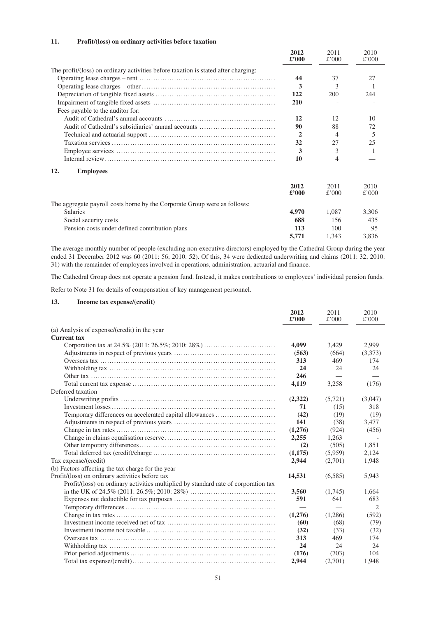# **11. Profit/(loss) on ordinary activities before taxation**

|                                                                                    | 2012<br>$\pounds$ '000 | 2011<br>£'000 | 2010<br>£'000 |
|------------------------------------------------------------------------------------|------------------------|---------------|---------------|
| The profit/(loss) on ordinary activities before taxation is stated after charging: |                        |               |               |
|                                                                                    | 44                     | 37            | 27            |
|                                                                                    | 3                      | 3             |               |
|                                                                                    | 122                    | 200           | 244           |
|                                                                                    | 210                    |               |               |
| Fees payable to the auditor for:                                                   |                        |               |               |
|                                                                                    | 12                     | 12            | 10            |
|                                                                                    | 90                     | 88            | 72            |
|                                                                                    | $\mathbf{2}$           | 4             | 5             |
|                                                                                    | 32                     | 27            | 25            |
|                                                                                    | 3                      | 3             |               |
|                                                                                    | 10                     | 4             |               |
| 12.<br><b>Employees</b>                                                            |                        |               |               |
|                                                                                    | 2012<br>$\pounds$ '000 | 2011<br>£'000 | 2010<br>£'000 |
|                                                                                    |                        |               |               |
| The aggregate payroll costs borne by the Corporate Group were as follows:          |                        |               |               |
| <b>Salaries</b>                                                                    | 4,970                  | 1,087         | 3,306         |
| Social security costs                                                              | 688                    | 156           | 435           |
| Pension costs under defined contribution plans                                     | 113                    | 100           | 95            |
|                                                                                    | 5,771                  | 1,343         | 3,836         |

The average monthly number of people (excluding non-executive directors) employed by the Cathedral Group during the year ended 31 December 2012 was 60 (2011: 56; 2010: 52). Of this, 34 were dedicated underwriting and claims (2011: 32; 2010: 31) with the remainder of employees involved in operations, administration, actuarial and finance.

The Cathedral Group does not operate a pension fund. Instead, it makes contributions to employees' individual pension funds.

Refer to Note 31 for details of compensation of key management personnel.

## **13. Income tax expense/(credit)**

|                                                                                     | 2012<br>£'000 | 2011<br>£'000 | 2010<br>£'000               |
|-------------------------------------------------------------------------------------|---------------|---------------|-----------------------------|
| (a) Analysis of expense/(credit) in the year                                        |               |               |                             |
| <b>Current tax</b>                                                                  |               |               |                             |
|                                                                                     | 4.099         | 3.429         | 2.999                       |
|                                                                                     | (563)         | (664)         | (3,373)                     |
|                                                                                     | 313           | 469           | 174                         |
|                                                                                     | 24            | 24            | 24                          |
|                                                                                     | 246           |               |                             |
|                                                                                     | 4,119         | 3,258         | (176)                       |
| Deferred taxation                                                                   |               |               |                             |
|                                                                                     | (2,322)       | (5,721)       | (3,047)                     |
|                                                                                     | 71            | (15)          | 318                         |
| Temporary differences on accelerated capital allowances                             | (42)          | (19)          | (19)                        |
|                                                                                     | 141           | (38)          | 3,477                       |
|                                                                                     | (1,276)       | (924)         | (456)                       |
|                                                                                     | 2,255         | 1,263         |                             |
|                                                                                     | (2)           | (505)         | 1.851                       |
|                                                                                     | (1,175)       | (5,959)       | 2,124                       |
| Tax expense/(credit)                                                                | 2,944         | (2,701)       | 1,948                       |
| (b) Factors affecting the tax charge for the year                                   |               |               |                             |
| Profit/(loss) on ordinary activities before tax                                     | 14,531        | (6,585)       | 5,943                       |
| Profit/(loss) on ordinary activities multiplied by standard rate of corporation tax |               |               |                             |
|                                                                                     | 3,560         | (1,745)       | 1,664                       |
|                                                                                     | 591           | 641           | 683                         |
|                                                                                     |               |               | $\mathcal{D}_{\mathcal{L}}$ |
|                                                                                     | (1,276)       | (1,286)       | (592)                       |
|                                                                                     | (60)          | (68)          | (79)                        |
|                                                                                     | (32)          | (33)          | (32)                        |
|                                                                                     | 313           | 469           | 174                         |
|                                                                                     | 24            | 24            | 24                          |
|                                                                                     | (176)         | (703)         | 104                         |
|                                                                                     | 2,944         | (2,701)       | 1.948                       |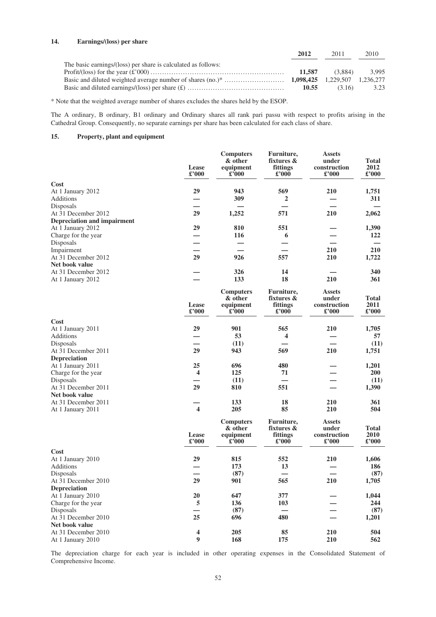# **14. Earnings/(loss) per share**

|                                                               | 2012   | 2011    | 2010  |
|---------------------------------------------------------------|--------|---------|-------|
| The basic earnings/(loss) per share is calculated as follows: |        |         |       |
|                                                               | 11.587 | (3.884) | 3.995 |
|                                                               |        |         |       |
|                                                               | 10.55  | (3.16)  | 3.23  |
|                                                               |        |         |       |

\* Note that the weighted average number of shares excludes the shares held by the ESOP.

The A ordinary, B ordinary, B1 ordinary and Ordinary shares all rank pari passu with respect to profits arising in the Cathedral Group. Consequently, no separate earnings per share has been calculated for each class of share.

# **15. Property, plant and equipment**

|                                       | Lease<br>$\pounds$ '000 | <b>Computers</b><br>& other<br>equipment<br>$\pounds$ '000 | Furniture,<br>fixtures &<br>fittings<br>$\pounds 000$ | <b>Assets</b><br>under<br>construction<br>$\pounds 000$ | Total<br>2012<br>£'000 |
|---------------------------------------|-------------------------|------------------------------------------------------------|-------------------------------------------------------|---------------------------------------------------------|------------------------|
| Cost                                  |                         |                                                            |                                                       |                                                         |                        |
| At 1 January 2012                     | 29                      | 943                                                        | 569                                                   | 210                                                     | 1,751                  |
| <b>Additions</b>                      |                         | 309                                                        | $\overline{2}$                                        |                                                         | 311                    |
| Disposals                             |                         |                                                            |                                                       |                                                         |                        |
| At 31 December 2012                   | 29                      | 1,252                                                      | 571                                                   | 210                                                     | 2,062                  |
| <b>Depreciation and impairment</b>    |                         |                                                            |                                                       |                                                         |                        |
| At 1 January 2012                     | 29                      | 810                                                        | 551                                                   |                                                         | 1,390                  |
| Charge for the year                   |                         | 116                                                        | 6                                                     |                                                         | 122                    |
| Disposals                             |                         |                                                            |                                                       |                                                         | 210                    |
| Impairment                            | 29                      | 926                                                        | 557                                                   | 210<br>210                                              |                        |
| At 31 December 2012<br>Net book value |                         |                                                            |                                                       |                                                         | 1,722                  |
| At 31 December 2012                   |                         | 326                                                        | 14                                                    |                                                         | 340                    |
| At 1 January 2012                     |                         | 133                                                        | 18                                                    | 210                                                     | 361                    |
|                                       |                         |                                                            |                                                       |                                                         |                        |
|                                       |                         | <b>Computers</b>                                           | Furniture.                                            | <b>Assets</b>                                           |                        |
|                                       |                         | & other                                                    | fixtures &                                            | under                                                   | <b>Total</b>           |
|                                       | Lease                   | equipment                                                  | fittings                                              | construction                                            | 2011                   |
|                                       | £2000                   | £'000                                                      | $\pounds$ '000                                        | $\pounds$ '000                                          | £'000                  |
| Cost                                  |                         |                                                            |                                                       |                                                         |                        |
| At 1 January 2011                     | 29                      | 901                                                        | 565                                                   | 210                                                     | 1,705                  |
| Additions                             |                         | 53                                                         | 4                                                     |                                                         | 57                     |
| Disposals                             |                         | (11)                                                       |                                                       |                                                         | (11)                   |
| At 31 December 2011                   | 29                      | 943                                                        | 569                                                   | 210                                                     | 1,751                  |
| <b>Depreciation</b>                   |                         |                                                            |                                                       |                                                         |                        |
| At 1 January 2011                     | 25                      | 696                                                        | 480                                                   |                                                         | 1,201                  |
| Charge for the year                   | 4                       | 125                                                        | 71                                                    |                                                         | <b>200</b>             |
| Disposals                             |                         | (11)                                                       |                                                       |                                                         | (11)                   |
| At 31 December 2011                   | 29                      | 810                                                        | 551                                                   |                                                         | 1,390                  |
| Net book value                        |                         |                                                            |                                                       |                                                         |                        |
| At 31 December 2011                   | $\overline{\mathbf{4}}$ | 133<br>205                                                 | 18<br>85                                              | 210<br>210                                              | 361<br>504             |
| At 1 January 2011                     |                         |                                                            |                                                       |                                                         |                        |
|                                       |                         | <b>Computers</b>                                           | Furniture,                                            | <b>Assets</b>                                           |                        |
|                                       |                         | & other                                                    | fixtures &                                            | under                                                   | <b>Total</b>           |
|                                       | Lease                   | equipment                                                  | fittings                                              | construction                                            | 2010                   |
|                                       | $\pounds 000$           | $\mathbf{\hat{E}}$ 000                                     | $\pounds$ '000                                        | $\pounds$ '000                                          | $\pounds$ '000         |
| Cost                                  |                         |                                                            |                                                       |                                                         |                        |
| At 1 January 2010                     | 29                      | 815                                                        | 552                                                   | 210                                                     | 1,606                  |
| Additions                             |                         | 173                                                        | 13                                                    |                                                         | 186                    |
| Disposals                             |                         | (87)                                                       |                                                       |                                                         | (87)                   |
| At 31 December 2010                   | 29                      | 901                                                        | 565                                                   | 210                                                     | 1,705                  |
| <b>Depreciation</b>                   |                         |                                                            |                                                       |                                                         |                        |
| At 1 January 2010                     | 20                      | 647                                                        | 377                                                   |                                                         | 1,044                  |
| Charge for the year                   | 5                       | 136                                                        | 103                                                   |                                                         | 244                    |
| Disposals                             |                         | (87)                                                       |                                                       |                                                         | (87)                   |

At 31 December 2010 **25 696 480 — 1,201 Net book value** At 31 December 2010 **4** 205 85 210 504<br>At 1 January 2010 9 168 175 210 562 At 1 January 2010

The depreciation charge for each year is included in other operating expenses in the Consolidated Statement of Comprehensive Income.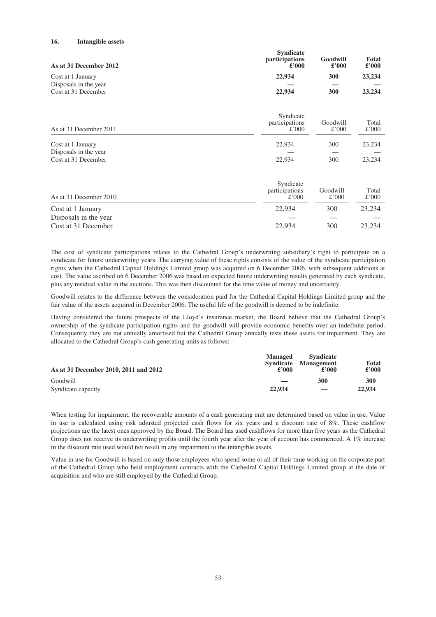## **16. Intangible assets**

| As at 31 December 2012                       | <b>Syndicate</b><br><i>participations</i><br>$\pounds$ '000 | Goodwill<br>$\pounds$ '000 | <b>Total</b><br>$\pounds$ '000 |
|----------------------------------------------|-------------------------------------------------------------|----------------------------|--------------------------------|
| Cost at 1 January                            | 22,934                                                      | 300                        | 23,234                         |
| Disposals in the year<br>Cost at 31 December | 22,934                                                      | 300                        | 23,234                         |
| As at 31 December 2011                       | Syndicate<br>participations<br>£'000                        | Goodwill<br>£'000          | Total<br>£'000                 |
| Cost at 1 January                            | 22,934                                                      | 300                        | 23,234                         |
| Disposals in the year<br>Cost at 31 December | 22,934                                                      | 300                        | 23,234                         |
| As at 31 December 2010                       | Syndicate<br>participations<br>£'000                        | Goodwill<br>£'000          | Total<br>£'000                 |
| Cost at 1 January                            | 22,934                                                      | 300                        | 23,234                         |
| Disposals in the year                        |                                                             |                            |                                |
| Cost at 31 December                          | 22,934                                                      | 300                        | 23,234                         |

The cost of syndicate participations relates to the Cathedral Group's underwriting subsidiary's right to participate on a syndicate for future underwriting years. The carrying value of these rights consists of the value of the syndicate participation rights when the Cathedral Capital Holdings Limited group was acquired on 6 December 2006, with subsequent additions at cost. The value ascribed on 6 December 2006 was based on expected future underwriting results generated by each syndicate, plus any residual value in the auctions. This was then discounted for the time value of money and uncertainty.

Goodwill relates to the difference between the consideration paid for the Cathedral Capital Holdings Limited group and the fair value of the assets acquired in December 2006. The useful life of the goodwill is deemed to be indefinite.

Having considered the future prospects of the Lloyd's insurance market, the Board believe that the Cathedral Group's ownership of the syndicate participation rights and the goodwill will provide economic benefits over an indefinite period. Consequently they are not annually amortised but the Cathedral Group annually tests these assets for impairment. They are allocated to the Cathedral Group's cash generating units as follows:

| As at 31 December 2010, 2011 and 2012 | <b>Managed</b><br>£2000 | <b>Syndicate</b><br>Syndicate Management<br>£'000 | Total<br>£2000 |
|---------------------------------------|-------------------------|---------------------------------------------------|----------------|
| Goodwill                              |                         | 300                                               | 300            |
| Syndicate capacity                    | 22,934                  |                                                   | 22,934         |

When testing for impairment, the recoverable amounts of a cash generating unit are determined based on value in use. Value in use is calculated using risk adjusted projected cash flows for six years and a discount rate of 8%. These cashflow projections are the latest ones approved by the Board. The Board has used cashflows for more than five years as the Cathedral Group does not receive its underwriting profits until the fourth year after the year of account has commenced. A 1% increase in the discount rate used would not result in any impairment to the intangible assets.

Value in use for Goodwill is based on only those employees who spend some or all of their time working on the corporate part of the Cathedral Group who held employment contracts with the Cathedral Capital Holdings Limited group at the date of acquisition and who are still employed by the Cathedral Group.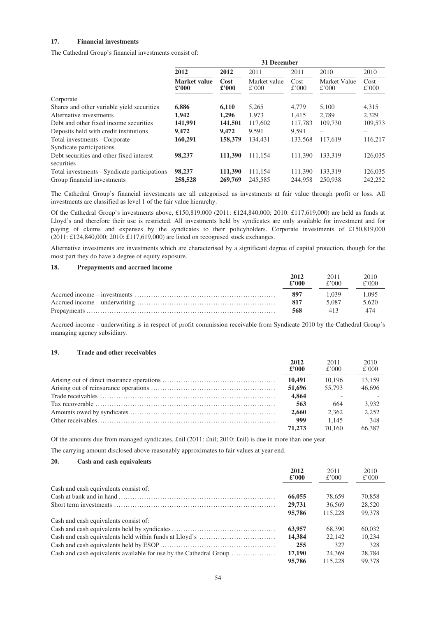# **17. Financial investments**

The Cathedral Group's financial investments consist of:

|                                                        | 31 December                    |                        |                       |               |                       |               |
|--------------------------------------------------------|--------------------------------|------------------------|-----------------------|---------------|-----------------------|---------------|
|                                                        | 2012                           | 2012                   | 2011                  | 2011          | 2010                  | 2010          |
|                                                        | Market value<br>$\pounds$ '000 | Cost<br>$\pounds$ '000 | Market value<br>£'000 | Cost<br>£'000 | Market Value<br>£'000 | Cost<br>£'000 |
| Corporate                                              |                                |                        |                       |               |                       |               |
| Shares and other variable yield securities             | 6,886                          | 6,110                  | 5,265                 | 4,779         | 5,100                 | 4,315         |
| Alternative investments                                | 1,942                          | 1,296                  | 1,973                 | 1,415         | 2,789                 | 2,329         |
| Debt and other fixed income securities                 | 141,991                        | 141,501                | 117,602               | 117.783       | 109,730               | 109,573       |
| Deposits held with credit institutions                 | 9,472                          | 9,472                  | 9.591                 | 9,591         |                       |               |
| Total investments - Corporate                          | 160,291                        | 158,379                | 134.431               | 133,568       | 117,619               | 116,217       |
| Syndicate participations                               |                                |                        |                       |               |                       |               |
| Debt securities and other fixed interest<br>securities | 98,237                         | 111,390                | 111,154               | 111,390       | 133,319               | 126,035       |
| Total investments - Syndicate participations           | 98,237                         | 111,390                | 111.154               | 111.390       | 133,319               | 126,035       |
| Group financial investments                            | 258,528                        | 269,769                | 245,585               | 244,958       | 250,938               | 242,252       |

The Cathedral Group's financial investments are all categorised as investments at fair value through profit or loss. All investments are classified as level 1 of the fair value hierarchy.

Of the Cathedral Group's investments above, £150,819,000 (2011: £124,840,000; 2010: £117,619,000) are held as funds at Lloyd's and therefore their use is restricted. All investments held by syndicates are only available for investment and for paying of claims and expenses by the syndicates to their policyholders. Corporate investments of £150,819,000 (2011: £124,840,000; 2010: £117,619,000) are listed on recognised stock exchanges.

Alternative investments are investments which are characterised by a significant degree of capital protection, though for the most part they do have a degree of equity exposure.

## **18. Prepayments and accrued income**

| 2012<br>£'000 | 2011<br>£'000 | 2010<br>f'000 |
|---------------|---------------|---------------|
| 897           | 1.039         | 1.095         |
| 817           | 5.087         | 5.620         |
| 568           |               | 474           |

Accrued income - underwriting is in respect of profit commission receivable from Syndicate 2010 by the Cathedral Group's managing agency subsidiary.

## **19. Trade and other receivables**

| 2012<br>£'000 | 2011<br>f'000 | 2010<br>£'000 |
|---------------|---------------|---------------|
| 10.491        | 10.196        | 13.159        |
| 51,696        | 55.793        | 46.696        |
| 4.864         |               |               |
| 563           | 664           | 3.932         |
| 2.660         | 2.362         | 2.252         |
| 999           | 1.145         | 348           |
| 71,273        | 70.160        | 66.387        |

Of the amounts due from managed syndicates, £nil (2011: £nil; 2010: £nil) is due in more than one year.

The carrying amount disclosed above reasonably approximates to fair values at year end.

# **20. Cash and cash equivalents**

|                                                                    | 2012<br>$\pounds$ '000 | 2011<br>£'000 | 2010<br>£'000 |
|--------------------------------------------------------------------|------------------------|---------------|---------------|
| Cash and cash equivalents consist of:                              |                        |               |               |
|                                                                    | 66,055                 | 78.659        | 70,858        |
|                                                                    | 29,731                 | 36,569        | 28,520        |
|                                                                    | 95,786                 | 115,228       | 99.378        |
| Cash and cash equivalents consist of:                              |                        |               |               |
|                                                                    | 63,957                 | 68.390        | 60,032        |
|                                                                    | 14.384                 | 22,142        | 10.234        |
|                                                                    | 255                    | 327           | 328           |
| Cash and cash equivalents available for use by the Cathedral Group | 17,190                 | 24.369        | 28,784        |
|                                                                    | 95,786                 | 115,228       | 99.378        |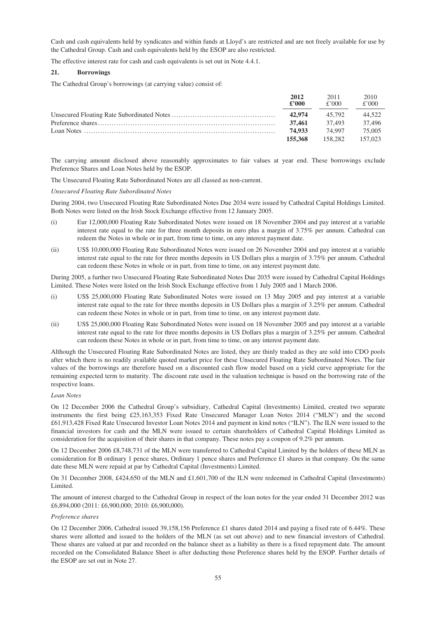Cash and cash equivalents held by syndicates and within funds at Lloyd's are restricted and are not freely available for use by the Cathedral Group. Cash and cash equivalents held by the ESOP are also restricted.

The effective interest rate for cash and cash equivalents is set out in Note 4.4.1.

## **21. Borrowings**

The Cathedral Group's borrowings (at carrying value) consist of:

| 2012<br>$\pounds 000$ | 2011<br>£'000 | 2010<br>£'000 |
|-----------------------|---------------|---------------|
| 42.974                | 45.792        | 44.522        |
| 37.461                | 37.493        | 37.496        |
| 74.933                | 74.997        | 75,005        |
| 155,368               | 158.282       | 157.023       |

The carrying amount disclosed above reasonably approximates to fair values at year end. These borrowings exclude Preference Shares and Loan Notes held by the ESOP.

The Unsecured Floating Rate Subordinated Notes are all classed as non-current.

*Unsecured Floating Rate Subordinated Notes*

During 2004, two Unsecured Floating Rate Subordinated Notes Due 2034 were issued by Cathedral Capital Holdings Limited. Both Notes were listed on the Irish Stock Exchange effective from 12 January 2005.

- (i) Eur 12,000,000 Floating Rate Subordinated Notes were issued on 18 November 2004 and pay interest at a variable interest rate equal to the rate for three month deposits in euro plus a margin of 3.75% per annum. Cathedral can redeem the Notes in whole or in part, from time to time, on any interest payment date.
- (ii) US\$ 10,000,000 Floating Rate Subordinated Notes were issued on 26 November 2004 and pay interest at a variable interest rate equal to the rate for three months deposits in US Dollars plus a margin of 3.75% per annum. Cathedral can redeem these Notes in whole or in part, from time to time, on any interest payment date.

During 2005, a further two Unsecured Floating Rate Subordinated Notes Due 2035 were issued by Cathedral Capital Holdings Limited. These Notes were listed on the Irish Stock Exchange effective from 1 July 2005 and 1 March 2006.

- (i) US\$ 25,000,000 Floating Rate Subordinated Notes were issued on 13 May 2005 and pay interest at a variable interest rate equal to the rate for three months deposits in US Dollars plus a margin of 3.25% per annum. Cathedral can redeem these Notes in whole or in part, from time to time, on any interest payment date.
- (ii) US\$ 25,000,000 Floating Rate Subordinated Notes were issued on 18 November 2005 and pay interest at a variable interest rate equal to the rate for three months deposits in US Dollars plus a margin of 3.25% per annum. Cathedral can redeem these Notes in whole or in part, from time to time, on any interest payment date.

Although the Unsecured Floating Rate Subordinated Notes are listed, they are thinly traded as they are sold into CDO pools after which there is no readily available quoted market price for these Unsecured Floating Rate Subordinated Notes. The fair values of the borrowings are therefore based on a discounted cash flow model based on a yield curve appropriate for the remaining expected term to maturity. The discount rate used in the valuation technique is based on the borrowing rate of the respective loans.

## *Loan Notes*

On 12 December 2006 the Cathedral Group's subsidiary, Cathedral Capital (Investments) Limited, created two separate instruments the first being £25,163,353 Fixed Rate Unsecured Manager Loan Notes 2014 ("MLN") and the second £61,913,428 Fixed Rate Unsecured Investor Loan Notes 2014 and payment in kind notes ("ILN"). The ILN were issued to the financial investors for cash and the MLN were issued to certain shareholders of Cathedral Capital Holdings Limited as consideration for the acquisition of their shares in that company. These notes pay a coupon of 9.2% per annum.

On 12 December 2006 £8,748,731 of the MLN were transferred to Cathedral Capital Limited by the holders of these MLN as consideration for B ordinary 1 pence shares, Ordinary 1 pence shares and Preference £1 shares in that company. On the same date these MLN were repaid at par by Cathedral Capital (Investments) Limited.

On 31 December 2008, £424,650 of the MLN and £1,601,700 of the ILN were redeemed in Cathedral Capital (Investments) Limited.

The amount of interest charged to the Cathedral Group in respect of the loan notes for the year ended 31 December 2012 was £6,894,000 (2011: £6,900,000; 2010: £6,900,000).

## *Preference shares*

On 12 December 2006, Cathedral issued 39,158,156 Preference £1 shares dated 2014 and paying a fixed rate of 6.44%. These shares were allotted and issued to the holders of the MLN (as set out above) and to new financial investors of Cathedral. These shares are valued at par and recorded on the balance sheet as a liability as there is a fixed repayment date. The amount recorded on the Consolidated Balance Sheet is after deducting those Preference shares held by the ESOP. Further details of the ESOP are set out in Note 27.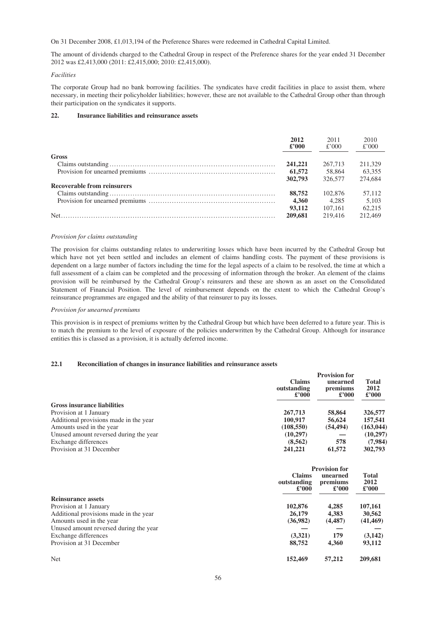On 31 December 2008, £1,013,194 of the Preference Shares were redeemed in Cathedral Capital Limited.

The amount of dividends charged to the Cathedral Group in respect of the Preference shares for the year ended 31 December 2012 was £2,413,000 (2011: £2,415,000; 2010: £2,415,000).

## *Facilities*

The corporate Group had no bank borrowing facilities. The syndicates have credit facilities in place to assist them, where necessary, in meeting their policyholder liabilities; however, these are not available to the Cathedral Group other than through their participation on the syndicates it supports.

# **22. Insurance liabilities and reinsurance assets**

|                                    | 2012<br>£2000 | 2011<br>£'000 | 2010<br>£'000 |
|------------------------------------|---------------|---------------|---------------|
| Gross                              |               |               |               |
|                                    | 241,221       | 267,713       | 211,329       |
|                                    | 61.572        | 58,864        | 63.355        |
|                                    | 302,793       | 326,577       | 274,684       |
| <b>Recoverable from reinsurers</b> |               |               |               |
|                                    | 88,752        | 102,876       | 57,112        |
|                                    | 4.360         | 4.285         | 5.103         |
|                                    | 93,112        | 107.161       | 62.215        |
|                                    | 209,681       | 219,416       | 212,469       |

#### *Provision for claims outstanding*

The provision for claims outstanding relates to underwriting losses which have been incurred by the Cathedral Group but which have not yet been settled and includes an element of claims handling costs. The payment of these provisions is dependent on a large number of factors including the time for the legal aspects of a claim to be resolved, the time at which a full assessment of a claim can be completed and the processing of information through the broker. An element of the claims provision will be reimbursed by the Cathedral Group's reinsurers and these are shown as an asset on the Consolidated Statement of Financial Position. The level of reimbursement depends on the extent to which the Cathedral Group's reinsurance programmes are engaged and the ability of that reinsurer to pay its losses.

### *Provision for unearned premiums*

This provision is in respect of premiums written by the Cathedral Group but which have been deferred to a future year. This is to match the premium to the level of exposure of the policies underwritten by the Cathedral Group. Although for insurance entities this is classed as a provision, it is actually deferred income.

## **22.1 Reconciliation of changes in insurance liabilities and reinsurance assets**

|                                        | <b>Claims</b><br>outstanding<br>$\pounds$ '000 | <b>Provision for</b><br>unearned<br>premiums<br>$\pounds$ '000 | <b>Total</b><br>2012<br>$\pounds$ '000 |
|----------------------------------------|------------------------------------------------|----------------------------------------------------------------|----------------------------------------|
| <b>Gross insurance liabilities</b>     |                                                |                                                                |                                        |
| Provision at 1 January                 | 267,713                                        | 58,864                                                         | 326,577                                |
| Additional provisions made in the year | 100,917                                        | 56,624                                                         | 157,541                                |
| Amounts used in the year               | (108, 550)                                     | (54, 494)                                                      | (163, 044)                             |
| Unused amount reversed during the year | (10,297)                                       |                                                                | (10, 297)                              |
| Exchange differences                   | (8,562)                                        | 578                                                            | (7,984)                                |
| Provision at 31 December               | 241,221                                        | 61,572                                                         | 302,793                                |
|                                        |                                                | <b>Provision for</b>                                           |                                        |
|                                        | <b>Claims</b>                                  | unearned                                                       | <b>Total</b>                           |
|                                        | outstanding<br>$\pounds$ '000                  | premiums<br>$\pounds$ '000                                     | 2012<br>$\pounds 000$                  |
| <b>Reinsurance assets</b>              |                                                |                                                                |                                        |
| Provision at 1 January                 | 102,876                                        | 4,285                                                          | 107,161                                |
| Additional provisions made in the year | 26,179                                         | 4,383                                                          | 30,562                                 |
| Amounts used in the year               | (36,982)                                       | (4, 487)                                                       | (41, 469)                              |
| Unused amount reversed during the year |                                                |                                                                |                                        |
| Exchange differences                   | (3,321)                                        | 179                                                            | (3,142)                                |
| Provision at 31 December               | 88,752                                         | 4,360                                                          | 93,112                                 |
| Net                                    | 152,469                                        | 57,212                                                         | 209,681                                |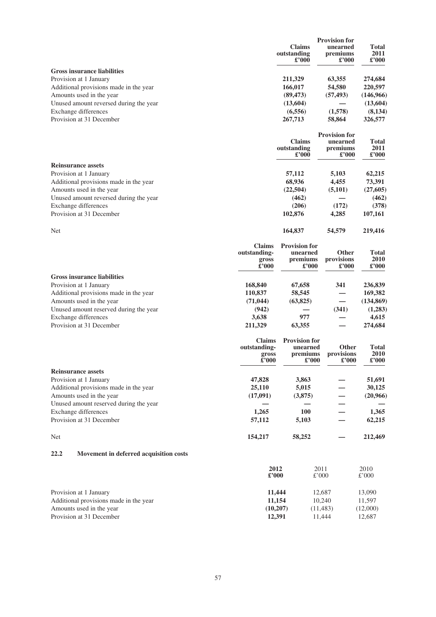|                                                     |                         |                                                | <b>Provision for</b>                  |                        |
|-----------------------------------------------------|-------------------------|------------------------------------------------|---------------------------------------|------------------------|
|                                                     |                         | <b>Claims</b><br>outstanding<br>$\pounds$ '000 | unearned<br>premiums<br>$\pounds 000$ | Total<br>2011<br>£'000 |
| <b>Gross insurance liabilities</b>                  |                         |                                                |                                       |                        |
| Provision at 1 January                              |                         | 211,329                                        | 63,355                                | 274,684                |
| Additional provisions made in the year              |                         | 166,017                                        | 54,580                                | 220,597                |
| Amounts used in the year                            |                         | (89, 473)                                      | (57, 493)                             | (146,966)              |
| Unused amount reversed during the year              |                         | (13,604)                                       |                                       | (13,604)               |
| Exchange differences                                |                         | (6,556)                                        | (1,578)                               | (8, 134)               |
| Provision at 31 December                            |                         | 267,713                                        | 58,864                                | 326,577                |
|                                                     |                         |                                                |                                       |                        |
|                                                     |                         |                                                | <b>Provision for</b>                  |                        |
|                                                     |                         | <b>Claims</b><br>outstanding                   | unearned<br>premiums                  | Total<br>2011          |
|                                                     |                         | $\pounds$ '000                                 | $\pounds$ '000                        | $\pounds 000$          |
| <b>Reinsurance assets</b><br>Provision at 1 January |                         | 57,112                                         | 5,103                                 | 62,215                 |
|                                                     |                         | 68,936                                         | 4,455                                 | 73,391                 |
| Additional provisions made in the year              |                         | (22,504)                                       | (5,101)                               |                        |
| Amounts used in the year                            |                         | (462)                                          |                                       | (27, 605)<br>(462)     |
| Unused amount reversed during the year              |                         |                                                |                                       |                        |
| Exchange differences<br>Provision at 31 December    |                         | (206)                                          | (172)                                 | (378)                  |
|                                                     |                         | 102,876                                        | 4,285                                 | 107,161                |
| Net                                                 |                         | 164,837                                        | 54,579                                | 219,416                |
|                                                     | <b>Claims</b>           | <b>Provision for</b>                           |                                       |                        |
|                                                     | outstanding-            | unearned                                       | <b>Other</b>                          | <b>Total</b>           |
|                                                     | gross                   | premiums                                       | provisions                            | 2010                   |
|                                                     | $\pounds$ '000          | $\pounds 000$                                  | $\pounds 000$                         | $\pounds$ '000         |
| <b>Gross insurance liabilities</b>                  |                         |                                                |                                       |                        |
| Provision at 1 January                              | 168,840                 | 67,658                                         | 341                                   | 236,839                |
| Additional provisions made in the year              | 110,837                 | 58,545                                         |                                       | 169,382                |
| Amounts used in the year                            | (71, 044)               | (63, 825)                                      |                                       | (134, 869)             |
| Unused amount reserved during the year              | (942)                   |                                                | (341)                                 | (1,283)                |
| Exchange differences                                | 3,638                   | 977                                            |                                       | 4,615                  |
| Provision at 31 December                            | 211,329                 | 63,355                                         |                                       | 274,684                |
|                                                     | <b>Claims</b>           | <b>Provision for</b>                           |                                       |                        |
|                                                     | outstanding-            | unearned                                       | Other                                 | Total                  |
|                                                     | gross<br>$\pounds$ '000 | premiums<br>$\pounds 000$                      | provisions<br>£'000                   | 2010<br>£'000          |
| <b>Reinsurance assets</b>                           |                         |                                                |                                       |                        |
| Provision at 1 January                              | 47,828                  | 3,863                                          |                                       | 51,691                 |
| Additional provisions made in the year              | 25,110                  | 5,015                                          |                                       | 30,125                 |
| Amounts used in the year                            | (17,091)                | (3,875)                                        |                                       | (20,966)               |
| Unused amount reserved during the year              |                         |                                                |                                       |                        |
| Exchange differences                                | 1,265                   | 100                                            |                                       | 1,365                  |
| Provision at 31 December                            | 57,112                  | 5,103                                          |                                       | 62,215                 |
| Net                                                 | 154,217                 | 58,252                                         |                                       | 212,469                |
| 22.2<br>Movement in deferred acquisition costs      |                         |                                                |                                       |                        |
|                                                     | 2012<br>£'000           | 2011                                           |                                       | 2010                   |
|                                                     |                         | £'000                                          |                                       | £'000                  |
| Provision at 1 January                              |                         | 11,444                                         | 12,687                                | 13,090                 |
| Additional provisions made in the year              | 11,154                  |                                                | 10,240                                | 11,597                 |
| Amounts used in the year                            | (10,207)                |                                                | (11, 483)                             | (12,000)               |
| Provision at 31 December                            | 12,391                  |                                                | 11,444                                | 12,687                 |
|                                                     |                         |                                                |                                       |                        |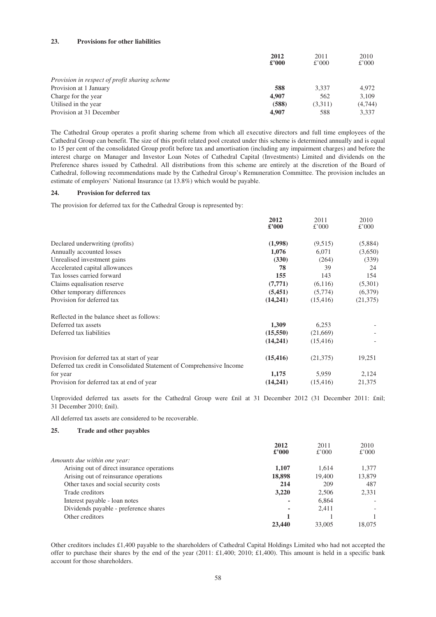# **23. Provisions for other liabilities**

|                                                      | 2012<br>$\pounds$ '000 | 2011<br>£'000 |         |
|------------------------------------------------------|------------------------|---------------|---------|
| <i>Provision in respect of profit sharing scheme</i> |                        |               |         |
| Provision at 1 January                               | 588                    | 3.337         | 4.972   |
| Charge for the year                                  | 4.907                  | 562           | 3.109   |
| Utilised in the year                                 | (588)                  | (3,311)       | (4,744) |
| Provision at 31 December                             | 4.907                  | 588           | 3.337   |

The Cathedral Group operates a profit sharing scheme from which all executive directors and full time employees of the Cathedral Group can benefit. The size of this profit related pool created under this scheme is determined annually and is equal to 15 per cent of the consolidated Group profit before tax and amortisation (including any impairment charges) and before the interest charge on Manager and Investor Loan Notes of Cathedral Capital (Investments) Limited and dividends on the Preference shares issued by Cathedral. All distributions from this scheme are entirely at the discretion of the Board of Cathedral, following recommendations made by the Cathedral Group's Remuneration Committee. The provision includes an estimate of employers' National Insurance (at 13.8%) which would be payable.

## **24. Provision for deferred tax**

The provision for deferred tax for the Cathedral Group is represented by:

|                                                                       | 2012<br>$\pounds$ '000 | 2011<br>£'000 | 2010<br>£'000 |
|-----------------------------------------------------------------------|------------------------|---------------|---------------|
| Declared underwriting (profits)                                       | (1,998)                | (9,515)       | (5,884)       |
| Annually accounted losses                                             | 1,076                  | 6,071         | (3,650)       |
| Unrealised investment gains                                           | (330)                  | (264)         | (339)         |
| Accelerated capital allowances                                        | 78                     | 39            | 24            |
| Tax losses carried forward                                            | 155                    | 143           | 154           |
| Claims equalisation reserve                                           | (7,771)                | (6,116)       | (5,301)       |
| Other temporary differences                                           | (5,451)                | (5,774)       | (6,379)       |
| Provision for deferred tax                                            | (14,241)               | (15, 416)     | (21, 375)     |
| Reflected in the balance sheet as follows:                            |                        |               |               |
| Deferred tax assets                                                   | 1,309                  | 6,253         |               |
| Deferred tax liabilities                                              | (15,550)               | (21,669)      |               |
|                                                                       | (14,241)               | (15, 416)     |               |
| Provision for deferred tax at start of year                           | (15, 416)              | (21,375)      | 19,251        |
| Deferred tax credit in Consolidated Statement of Comprehensive Income |                        |               |               |
| for year                                                              | 1,175                  | 5,959         | 2,124         |
| Provision for deferred tax at end of year                             | (14,241)               | (15, 416)     | 21,375        |

Unprovided deferred tax assets for the Cathedral Group were £nil at 31 December 2012 (31 December 2011: £nil; 31 December 2010; £nil).

All deferred tax assets are considered to be recoverable.

## **25. Trade and other payables**

| 2012           | 2011   | 2010   |
|----------------|--------|--------|
| $\pounds$ '000 | £'000  | £'000  |
|                |        |        |
| 1,107          | 1.614  | 1,377  |
| 18,898         | 19.400 | 13,879 |
| 214            | 209    | 487    |
| 3.220          | 2.506  | 2,331  |
|                | 6,864  |        |
| ۰              | 2.411  |        |
|                |        |        |
| 23,440         | 33,005 | 18,075 |
|                |        |        |

Other creditors includes £1,400 payable to the shareholders of Cathedral Capital Holdings Limited who had not accepted the offer to purchase their shares by the end of the year (2011: £1,400; 2010; £1,400). This amount is held in a specific bank account for those shareholders.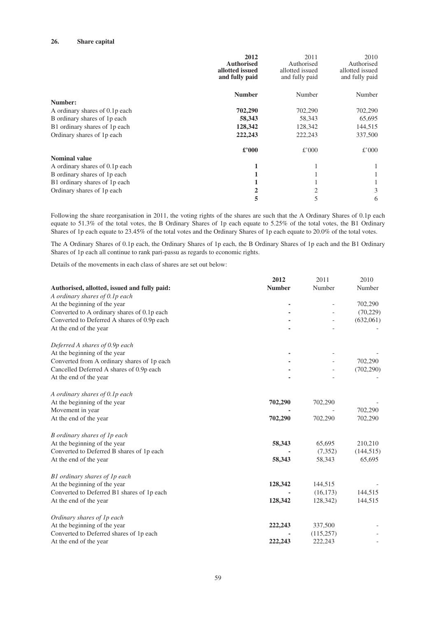# **26. Share capital**

|                                | 2012<br><b>Authorised</b><br>allotted issued<br>and fully paid | 2011<br>Authorised<br>allotted issued<br>and fully paid | 2010<br>Authorised<br>allotted issued<br>and fully paid |
|--------------------------------|----------------------------------------------------------------|---------------------------------------------------------|---------------------------------------------------------|
|                                | <b>Number</b>                                                  | Number                                                  | Number                                                  |
| Number:                        |                                                                |                                                         |                                                         |
| A ordinary shares of 0.1p each | 702,290                                                        | 702,290                                                 | 702,290                                                 |
| B ordinary shares of 1p each   | 58,343                                                         | 58,343                                                  | 65,695                                                  |
| B1 ordinary shares of 1p each  | 128,342                                                        | 128,342                                                 | 144,515                                                 |
| Ordinary shares of 1p each     | 222,243                                                        | 222,243                                                 | 337,500                                                 |
|                                | $\pounds$ '000                                                 | £'000                                                   | £'000                                                   |
| <b>Nominal value</b>           |                                                                |                                                         |                                                         |
| A ordinary shares of 0.1p each | 1                                                              | 1                                                       |                                                         |
| B ordinary shares of 1p each   |                                                                |                                                         |                                                         |
| B1 ordinary shares of 1p each  |                                                                |                                                         |                                                         |
| Ordinary shares of 1p each     | 2                                                              | $\overline{2}$                                          | 3                                                       |
|                                | 5                                                              | 5                                                       | 6                                                       |

Following the share reorganisation in 2011, the voting rights of the shares are such that the A Ordinary Shares of 0.1p each equate to 51.3% of the total votes, the B Ordinary Shares of 1p each equate to 5.25% of the total votes, the B1 Ordinary Shares of 1p each equate to 23.45% of the total votes and the Ordinary Shares of 1p each equate to 20.0% of the total votes.

The A Ordinary Shares of 0.1p each, the Ordinary Shares of 1p each, the B Ordinary Shares of 1p each and the B1 Ordinary Shares of 1p each all continue to rank pari-passu as regards to economic rights.

Details of the movements in each class of shares are set out below:

|                                              | 2012          | 2011      | 2010       |
|----------------------------------------------|---------------|-----------|------------|
| Authorised, allotted, issued and fully paid: | <b>Number</b> | Number    | Number     |
| A ordinary shares of 0.1p each               |               |           |            |
| At the beginning of the year                 |               |           | 702,290    |
| Converted to A ordinary shares of 0.1p each  |               |           | (70, 229)  |
| Converted to Deferred A shares of 0.9p each  |               |           | (632,061)  |
| At the end of the year                       |               |           |            |
| Deferred A shares of 0.9p each               |               |           |            |
| At the beginning of the year                 |               |           |            |
| Converted from A ordinary shares of 1p each  |               |           | 702,290    |
| Cancelled Deferred A shares of 0.9p each     |               |           | (702, 290) |
| At the end of the year                       |               |           |            |
| A ordinary shares of 0.1p each               |               |           |            |
| At the beginning of the year                 | 702,290       | 702,290   |            |
| Movement in year                             |               |           | 702,290    |
| At the end of the year                       | 702,290       | 702,290   | 702,290    |
| B ordinary shares of 1p each                 |               |           |            |
| At the beginning of the year                 | 58,343        | 65,695    | 210,210    |
| Converted to Deferred B shares of 1p each    |               | (7,352)   | (144, 515) |
| At the end of the year                       | 58,343        | 58,343    | 65,695     |
| B1 ordinary shares of 1p each                |               |           |            |
| At the beginning of the year                 | 128,342       | 144,515   |            |
| Converted to Deferred B1 shares of 1p each   |               | (16, 173) | 144,515    |
| At the end of the year                       | 128,342       | 128,342)  | 144,515    |
| Ordinary shares of 1p each                   |               |           |            |
| At the beginning of the year                 | 222,243       | 337,500   |            |
| Converted to Deferred shares of 1p each      |               | (115,257) |            |
| At the end of the year                       | 222,243       | 222,243   |            |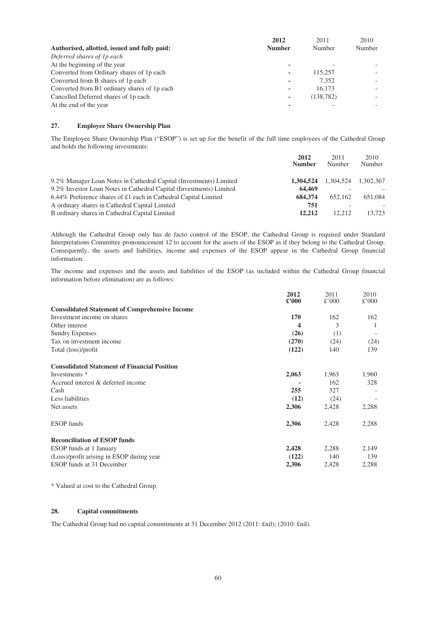|                                              | 2012          | 2011       | 2010   |
|----------------------------------------------|---------------|------------|--------|
| Authorised, allotted, issued and fully paid: | <b>Number</b> | Number     | Number |
| Deferred shares of 1p each                   |               |            |        |
| At the beginning of the year                 |               |            |        |
| Converted from Ordinary shares of 1p each    | ۰             | 115,257    |        |
| Converted from B shares of 1p each           | ۰             | 7.352      |        |
| Converted from B1 ordinary shares of 1p each | ۰             | 16.173     |        |
| Cancelled Deferred shares of 1p each         | ۰             | (138, 782) |        |
| At the end of the year                       |               |            |        |

## **27. Employee Share Ownership Plan**

The Employee Share Ownership Plan ("ESOP") is set up for the benefit of the full time employees of the Cathedral Group and holds the following investments:

|                                                                     | 2012<br><b>Number</b> | 2011<br>Number      | 2010<br>Number |
|---------------------------------------------------------------------|-----------------------|---------------------|----------------|
| 9.2% Manager Loan Notes in Cathedral Capital (Investments) Limited  | 1.304.524             | 1.304.524 1.302.367 |                |
| 9.2% Investor Loan Notes in Cathedral Capital (Investments) Limited | 64,469                |                     |                |
| 6.44% Preference shares of £1 each in Cathedral Capital Limited     | 684,374               | 652.162             | 651,084        |
| A ordinary shares in Cathedral Capital Limited                      | 751                   |                     |                |
| B ordinary shares in Cathedral Capital Limited                      | 12.212                | 12.212              | 13.723         |

Although the Cathedral Group only has de facto control of the ESOP, the Cathedral Group is required under Standard Interpretations Committee pronouncement 12 to account for the assets of the ESOP as if they belong to the Cathedral Group. Consequently, the assets and liabilities, income and expenses of the ESOP appear in the Cathedral Group financial information.

The income and expenses and the assets and liabilities of the ESOP (as included within the Cathedral Group financial information before elimination) are as follows:

|                                                       | 2012<br>£'000 | 2011<br>£'000 | 2010<br>£'000 |
|-------------------------------------------------------|---------------|---------------|---------------|
| <b>Consolidated Statement of Comprehensive Income</b> |               |               |               |
| Investment income on shares                           | 170           | 162           | 162           |
| Other interest                                        | 4             | 3             | 1             |
| <b>Sundry Expenses</b>                                | (26)          | (1)           |               |
| Tax on investment income                              | (270)         | (24)          | (24)          |
| Total (loss)/profit                                   | (122)         | 140           | 139           |
| <b>Consolidated Statement of Financial Position</b>   |               |               |               |
| Investments *                                         | 2,063         | 1,963         | 1,960         |
| Accrued interest & deferred income                    |               | 162           | 328           |
| Cash                                                  | 255           | 327           |               |
| Less liabilities                                      | (12)          | (24)          |               |
| Net assets                                            | 2,306         | 2,428         | 2,288         |
| <b>ESOP</b> funds                                     | 2,306         | 2,428         | 2,288         |
| <b>Reconciliation of ESOP funds</b>                   |               |               |               |
| <b>ESOP</b> funds at 1 January                        | 2,428         | 2,288         | 2,149         |
| (Loss)/profit arising in ESOP during year             | (122)         | 140           | 139           |
| <b>ESOP</b> funds at 31 December                      | 2,306         | 2,428         | 2,288         |

\* Valued at cost to the Cathedral Group.

## **28. Capital commitments**

The Cathedral Group had no capital commitments at 31 December 2012 (2011: £nil); (2010: £nil).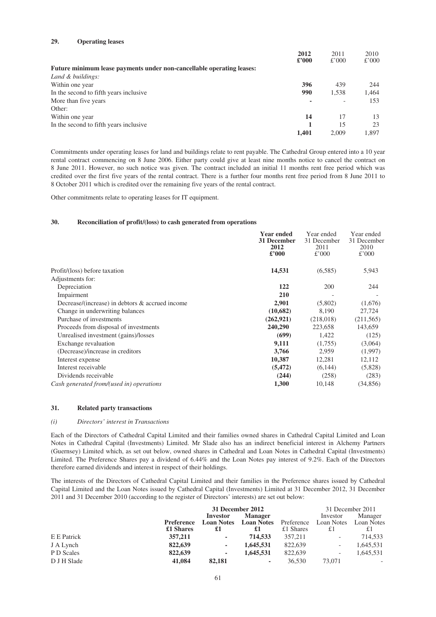## **29. Operating leases**

|                                                                       | 2012           | 2011                     | 2010  |
|-----------------------------------------------------------------------|----------------|--------------------------|-------|
| Future minimum lease payments under non-cancellable operating leases: | $\pounds$ '000 | £'000                    | £'000 |
|                                                                       |                |                          |       |
| Land & buildings:                                                     |                |                          |       |
| Within one year                                                       | 396            | 439                      | 244   |
| In the second to fifth years inclusive                                | 990            | 1,538                    | 1.464 |
| More than five years                                                  |                | $\overline{\phantom{0}}$ | 153   |
| Other:                                                                |                |                          |       |
| Within one year                                                       | 14             | 17                       | 13    |
| In the second to fifth years inclusive                                |                | 15                       | 23    |
|                                                                       | 1.401          | 2.009                    | 1.897 |

Commitments under operating leases for land and buildings relate to rent payable. The Cathedral Group entered into a 10 year rental contract commencing on 8 June 2006. Either party could give at least nine months notice to cancel the contract on 8 June 2011. However, no such notice was given. The contract included an initial 11 months rent free period which was credited over the first five years of the rental contract. There is a further four months rent free period from 8 June 2011 to 8 October 2011 which is credited over the remaining five years of the rental contract.

Other commitments relate to operating leases for IT equipment.

### **30. Reconciliation of profit/(loss) to cash generated from operations**

|                                                 | <b>Year ended</b><br>31 December<br>2012<br>$\pounds$ '000 | Year ended<br>31 December<br>2011<br>£'000 | Year ended<br>31 December<br>2010<br>£'000 |
|-------------------------------------------------|------------------------------------------------------------|--------------------------------------------|--------------------------------------------|
| Profit/(loss) before taxation                   | 14,531                                                     | (6,585)                                    | 5,943                                      |
| Adjustments for:                                |                                                            |                                            |                                            |
| Depreciation                                    | 122                                                        | 200                                        | 244                                        |
| Impairment                                      | 210                                                        |                                            |                                            |
| Decrease/(increase) in debtors & accrued income | 2,901                                                      | (5,802)                                    | (1,676)                                    |
| Change in underwriting balances                 | (10,682)                                                   | 8.190                                      | 27,724                                     |
| Purchase of investments                         | (262, 921)                                                 | (218,018)                                  | (211, 565)                                 |
| Proceeds from disposal of investments           | 240,290                                                    | 223,658                                    | 143,659                                    |
| Unrealised investment (gains)/losses            | (699)                                                      | 1,422                                      | (125)                                      |
| Exchange revaluation                            | 9,111                                                      | (1,755)                                    | (3,064)                                    |
| (Decrease)/increase in creditors                | 3,766                                                      | 2,959                                      | (1,997)                                    |
| Interest expense                                | 10,387                                                     | 12,281                                     | 12,112                                     |
| Interest receivable                             | (5, 472)                                                   | (6, 144)                                   | (5,828)                                    |
| Dividends receivable                            | (244)                                                      | (258)                                      | (283)                                      |
| Cash generated from/(used in) operations        | 1,300                                                      | 10,148                                     | (34, 856)                                  |

## **31. Related party transactions**

#### *(i) Directors' interest in Transactions*

Each of the Directors of Cathedral Capital Limited and their families owned shares in Cathedral Capital Limited and Loan Notes in Cathedral Capital (Investments) Limited. Mr Slade also has an indirect beneficial interest in Alchemy Partners (Guernsey) Limited which, as set out below, owned shares in Cathedral and Loan Notes in Cathedral Capital (Investments) Limited. The Preference Shares pay a dividend of 6.44% and the Loan Notes pay interest of 9.2%. Each of the Directors therefore earned dividends and interest in respect of their holdings.

The interests of the Directors of Cathedral Capital Limited and their families in the Preference shares issued by Cathedral Capital Limited and the Loan Notes issued by Cathedral Capital (Investments) Limited at 31 December 2012, 31 December 2011 and 31 December 2010 (according to the register of Directors' interests) are set out below:

|             | 31 December 2012 |          |                              | 31 December 2011 |                          |                          |
|-------------|------------------|----------|------------------------------|------------------|--------------------------|--------------------------|
|             |                  | Investor | <b>Manager</b>               |                  | Investor                 | Manager                  |
|             | Preference       |          | <b>Loan Notes</b> Loan Notes | Preference       | Loan Notes Loan Notes    |                          |
|             | £1 Shares        | £1       | £1                           | £1 Shares        | £1                       | £1                       |
| E E Patrick | 357,211          | ۰.       | 714.533                      | 357.211          | $\overline{\phantom{a}}$ | 714.533                  |
| J A Lynch   | 822,639          | $\sim$   | 1,645,531                    | 822,639          | $\overline{\phantom{a}}$ | 1,645,531                |
| P D Scales  | 822,639          | ٠        | 1,645,531                    | 822,639          | $\overline{\phantom{a}}$ | 1,645,531                |
| D J H Slade | 41,084           | 82,181   | ٠                            | 36,530           | 73,071                   | $\overline{\phantom{a}}$ |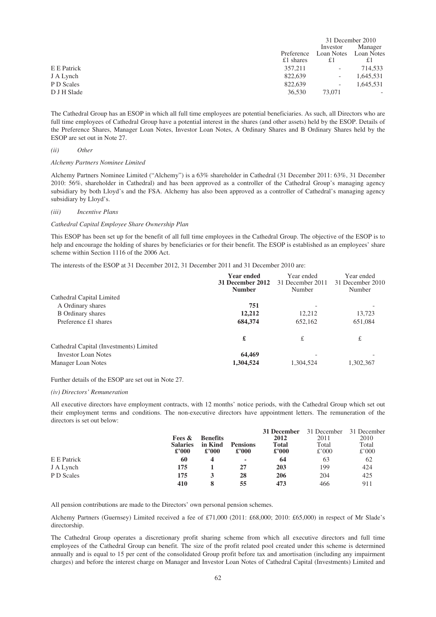|             |             | Investor                 | Manager                  |  |
|-------------|-------------|--------------------------|--------------------------|--|
|             | Preference  | Loan Notes Loan Notes    |                          |  |
|             | $£1$ shares | £I                       | £l                       |  |
| E E Patrick | 357,211     | $\overline{\phantom{a}}$ | 714.533                  |  |
| J A Lynch   | 822,639     | $\overline{\phantom{a}}$ | 1.645.531                |  |
| P D Scales  | 822,639     | $\overline{\phantom{a}}$ | 1,645,531                |  |
| D J H Slade | 36,530      | 73,071                   | $\overline{\phantom{0}}$ |  |

31 December 2010

The Cathedral Group has an ESOP in which all full time employees are potential beneficiaries. As such, all Directors who are full time employees of Cathedral Group have a potential interest in the shares (and other assets) held by the ESOP. Details of the Preference Shares, Manager Loan Notes, Investor Loan Notes, A Ordinary Shares and B Ordinary Shares held by the ESOP are set out in Note 27.

### *(ii) Other*

#### *Alchemy Partners Nominee Limited*

Alchemy Partners Nominee Limited ("Alchemy") is a 63% shareholder in Cathedral (31 December 2011: 63%, 31 December 2010: 56%, shareholder in Cathedral) and has been approved as a controller of the Cathedral Group's managing agency subsidiary by both Lloyd's and the FSA. Alchemy has also been approved as a controller of Cathedral's managing agency subsidiary by Lloyd's.

#### *(iii) Incentive Plans*

#### *Cathedral Capital Employee Share Ownership Plan*

This ESOP has been set up for the benefit of all full time employees in the Cathedral Group. The objective of the ESOP is to help and encourage the holding of shares by beneficiaries or for their benefit. The ESOP is established as an employees' share scheme within Section 1116 of the 2006 Act.

The interests of the ESOP at 31 December 2012, 31 December 2011 and 31 December 2010 are:

| <b>Year ended</b><br><b>Number</b> | Year ended<br>31 December 2011<br>Number | Year ended<br>31 December 2010<br>Number |
|------------------------------------|------------------------------------------|------------------------------------------|
|                                    |                                          |                                          |
| 751                                |                                          |                                          |
| 12,212                             | 12.212                                   | 13,723                                   |
| 684,374                            | 652,162                                  | 651,084                                  |
| £                                  | £                                        | £                                        |
|                                    |                                          |                                          |
| 64,469                             |                                          |                                          |
| 1,304,524                          | 1,304,524                                | 1,302,367                                |
|                                    |                                          | <b>31 December 2012</b>                  |

Further details of the ESOP are set out in Note 27.

#### *(iv) Directors' Remuneration*

All executive directors have employment contracts, with 12 months' notice periods, with the Cathedral Group which set out their employment terms and conditions. The non-executive directors have appointment letters. The remuneration of the directors is set out below:

|             |                 |                 |                 | 31 December    | 31 December | 31 December |
|-------------|-----------------|-----------------|-----------------|----------------|-------------|-------------|
|             | Fees &          | <b>Benefits</b> |                 | 2012           | 2011        | 2010        |
|             | <b>Salaries</b> | in Kind         | <b>Pensions</b> | <b>Total</b>   | Total       | Total       |
|             | $\pounds$ '000  | $\pounds$ '000  | $\pounds$ '000  | $\pounds$ '000 | £'000       | £'000       |
| E E Patrick | 60              |                 | ٠               | 64             | 63          | 62          |
| J A Lynch   | 175             |                 | 27              | 203            | 199         | 424         |
| P D Scales  | 175             |                 | 28              | 206            | 204         | 425         |
|             | 410             |                 | 55              | 473            | 466         | 911         |

All pension contributions are made to the Directors' own personal pension schemes.

Alchemy Partners (Guernsey) Limited received a fee of £71,000 (2011: £68,000; 2010: £65,000) in respect of Mr Slade's directorship.

The Cathedral Group operates a discretionary profit sharing scheme from which all executive directors and full time employees of the Cathedral Group can benefit. The size of the profit related pool created under this scheme is determined annually and is equal to 15 per cent of the consolidated Group profit before tax and amortisation (including any impairment charges) and before the interest charge on Manager and Investor Loan Notes of Cathedral Capital (Investments) Limited and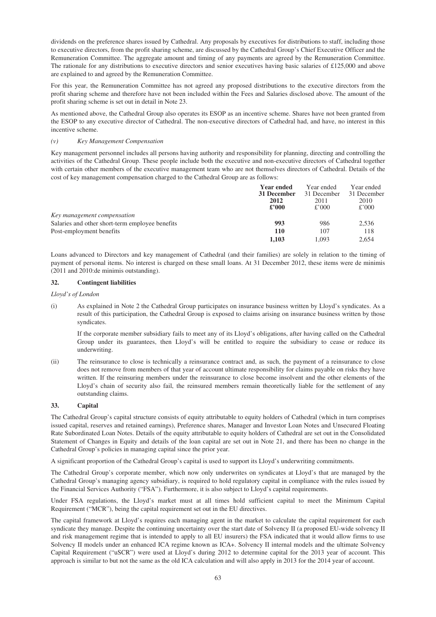dividends on the preference shares issued by Cathedral. Any proposals by executives for distributions to staff, including those to executive directors, from the profit sharing scheme, are discussed by the Cathedral Group's Chief Executive Officer and the Remuneration Committee. The aggregate amount and timing of any payments are agreed by the Remuneration Committee. The rationale for any distributions to executive directors and senior executives having basic salaries of £125,000 and above are explained to and agreed by the Remuneration Committee.

For this year, the Remuneration Committee has not agreed any proposed distributions to the executive directors from the profit sharing scheme and therefore have not been included within the Fees and Salaries disclosed above. The amount of the profit sharing scheme is set out in detail in Note 23.

As mentioned above, the Cathedral Group also operates its ESOP as an incentive scheme. Shares have not been granted from the ESOP to any executive director of Cathedral. The non-executive directors of Cathedral had, and have, no interest in this incentive scheme.

## *(v) Key Management Compensation*

Key management personnel includes all persons having authority and responsibility for planning, directing and controlling the activities of the Cathedral Group. These people include both the executive and non-executive directors of Cathedral together with certain other members of the executive management team who are not themselves directors of Cathedral. Details of the cost of key management compensation charged to the Cathedral Group are as follows:

|                                                 | <b>Year ended</b><br>31 December<br>2012<br>$\pounds$ '000 | Year ended<br>31 December<br>2011<br>£'000 | Year ended<br>31 December<br>2010<br>£'000 |
|-------------------------------------------------|------------------------------------------------------------|--------------------------------------------|--------------------------------------------|
| Key management compensation                     |                                                            |                                            |                                            |
| Salaries and other short-term employee benefits | 993                                                        | 986                                        | 2,536                                      |
| Post-employment benefits                        | <b>110</b>                                                 | 107                                        | 118                                        |
|                                                 | 1.103                                                      | 1.093                                      | 2.654                                      |

Loans advanced to Directors and key management of Cathedral (and their families) are solely in relation to the timing of payment of personal items. No interest is charged on these small loans. At 31 December 2012, these items were de minimis (2011 and 2010:de minimis outstanding).

## **32. Contingent liabilities**

*Lloyd's of London*

(i) As explained in Note 2 the Cathedral Group participates on insurance business written by Lloyd's syndicates. As a result of this participation, the Cathedral Group is exposed to claims arising on insurance business written by those syndicates.

If the corporate member subsidiary fails to meet any of its Lloyd's obligations, after having called on the Cathedral Group under its guarantees, then Lloyd's will be entitled to require the subsidiary to cease or reduce its underwriting.

(ii) The reinsurance to close is technically a reinsurance contract and, as such, the payment of a reinsurance to close does not remove from members of that year of account ultimate responsibility for claims payable on risks they have written. If the reinsuring members under the reinsurance to close become insolvent and the other elements of the Lloyd's chain of security also fail, the reinsured members remain theoretically liable for the settlement of any outstanding claims.

## **33. Capital**

The Cathedral Group's capital structure consists of equity attributable to equity holders of Cathedral (which in turn comprises issued capital, reserves and retained earnings), Preference shares, Manager and Investor Loan Notes and Unsecured Floating Rate Subordinated Loan Notes. Details of the equity attributable to equity holders of Cathedral are set out in the Consolidated Statement of Changes in Equity and details of the loan capital are set out in Note 21, and there has been no change in the Cathedral Group's policies in managing capital since the prior year.

A significant proportion of the Cathedral Group's capital is used to support its Lloyd's underwriting commitments.

The Cathedral Group's corporate member, which now only underwrites on syndicates at Lloyd's that are managed by the Cathedral Group's managing agency subsidiary, is required to hold regulatory capital in compliance with the rules issued by the Financial Services Authority ("FSA"). Furthermore, it is also subject to Lloyd's capital requirements.

Under FSA regulations, the Lloyd's market must at all times hold sufficient capital to meet the Minimum Capital Requirement ("MCR"), being the capital requirement set out in the EU directives.

The capital framework at Lloyd's requires each managing agent in the market to calculate the capital requirement for each syndicate they manage. Despite the continuing uncertainty over the start date of Solvency II (a proposed EU-wide solvency II and risk management regime that is intended to apply to all EU insurers) the FSA indicated that it would allow firms to use Solvency II models under an enhanced ICA regime known as ICA+. Solvency II internal models and the ultimate Solvency Capital Requirement ("uSCR") were used at Lloyd's during 2012 to determine capital for the 2013 year of account. This approach is similar to but not the same as the old ICA calculation and will also apply in 2013 for the 2014 year of account.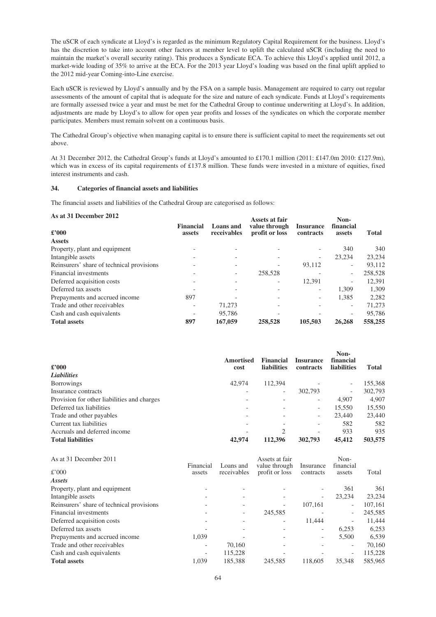The uSCR of each syndicate at Lloyd's is regarded as the minimum Regulatory Capital Requirement for the business. Lloyd's has the discretion to take into account other factors at member level to uplift the calculated uSCR (including the need to maintain the market's overall security rating). This produces a Syndicate ECA. To achieve this Lloyd's applied until 2012, a market-wide loading of 35% to arrive at the ECA. For the 2013 year Lloyd's loading was based on the final uplift applied to the 2012 mid-year Coming-into-Line exercise.

Each uSCR is reviewed by Lloyd's annually and by the FSA on a sample basis. Management are required to carry out regular assessments of the amount of capital that is adequate for the size and nature of each syndicate. Funds at Lloyd's requirements are formally assessed twice a year and must be met for the Cathedral Group to continue underwriting at Lloyd's. In addition, adjustments are made by Lloyd's to allow for open year profits and losses of the syndicates on which the corporate member participates. Members must remain solvent on a continuous basis.

The Cathedral Group's objective when managing capital is to ensure there is sufficient capital to meet the requirements set out above.

At 31 December 2012, the Cathedral Group's funds at Lloyd's amounted to £170.1 million (2011: £147.0m 2010: £127.9m), which was in excess of its capital requirements of £137.8 million. These funds were invested in a mixture of equities, fixed interest instruments and cash.

### **34. Categories of financial assets and liabilities**

The financial assets and liabilities of the Cathedral Group are categorised as follows:

## **As at 31 December 2012**

| As at 31 December 2012                    |                            |                          | Assets at fair                  |                               | Non-                     |              |
|-------------------------------------------|----------------------------|--------------------------|---------------------------------|-------------------------------|--------------------------|--------------|
| $\pounds$ '000                            | <b>Financial</b><br>assets | Loans and<br>receivables | value through<br>profit or loss | <b>Insurance</b><br>contracts | financial<br>assets      | <b>Total</b> |
| <b>Assets</b>                             |                            |                          |                                 |                               |                          |              |
| Property, plant and equipment             |                            |                          |                                 |                               | 340                      | 340          |
| Intangible assets                         |                            | $\overline{\phantom{0}}$ |                                 |                               | 23.234                   | 23,234       |
| Reinsurers' share of technical provisions |                            |                          |                                 | 93,112                        | $\overline{\phantom{0}}$ | 93,112       |
| Financial investments                     |                            |                          | 258,528                         |                               | $\overline{\phantom{0}}$ | 258,528      |
| Deferred acquisition costs                |                            |                          |                                 | 12,391                        | $\overline{\phantom{0}}$ | 12,391       |
| Deferred tax assets                       |                            |                          |                                 | -                             | 1.309                    | 1.309        |
| Prepayments and accrued income            | 897                        |                          |                                 | -                             | 1,385                    | 2,282        |
| Trade and other receivables               |                            | 71,273                   |                                 |                               |                          | 71.273       |
| Cash and cash equivalents                 |                            | 95,786                   |                                 |                               |                          | 95,786       |
| <b>Total assets</b>                       | 897                        | 167,059                  | 258,528                         | 105,503                       | 26,268                   | 558,255      |

| $\pounds$ '000                              | Amortised<br>cost | <b>Financial</b><br><b>liabilities</b> | <b>Insurance</b><br>contracts | Non-<br>financial<br>liabilities | <b>Total</b> |
|---------------------------------------------|-------------------|----------------------------------------|-------------------------------|----------------------------------|--------------|
| <b>Liabilities</b>                          |                   |                                        |                               |                                  |              |
| <b>Borrowings</b>                           | 42,974            | 112,394                                |                               | $\overline{\phantom{0}}$         | 155,368      |
| Insurance contracts                         |                   | $\overline{\phantom{a}}$               | 302,793                       | $\overline{\phantom{a}}$         | 302,793      |
| Provision for other liabilities and charges |                   |                                        | -                             | 4.907                            | 4,907        |
| Deferred tax liabilities                    |                   |                                        |                               | 15,550                           | 15,550       |
| Trade and other payables                    |                   |                                        | -                             | 23,440                           | 23,440       |
| Current tax liabilities                     |                   |                                        |                               | 582                              | 582          |
| Accruals and deferred income                |                   |                                        |                               | 933                              | 935          |
| <b>Total liabilities</b>                    | 42,974            | 112,396                                | 302,793                       | 45,412                           | 503,575      |

| As at 31 December 2011                    |                          |                          | Assets at fair |                          | Non-                     |         |
|-------------------------------------------|--------------------------|--------------------------|----------------|--------------------------|--------------------------|---------|
|                                           | Financial                | Loans and                | value through  | Insurance                | financial                |         |
| £'000                                     | assets                   | receivables              | profit or loss | contracts                | assets                   | Total   |
| <i><b>Assets</b></i>                      |                          |                          |                |                          |                          |         |
| Property, plant and equipment             |                          |                          |                |                          | 361                      | 361     |
| Intangible assets                         |                          |                          |                | $\overline{\phantom{a}}$ | 23,234                   | 23,234  |
| Reinsurers' share of technical provisions |                          |                          |                | 107.161                  | $\overline{\phantom{a}}$ | 107,161 |
| Financial investments                     | $\overline{\phantom{a}}$ | $\overline{\phantom{a}}$ | 245,585        |                          | $\overline{\phantom{a}}$ | 245,585 |
| Deferred acquisition costs                |                          |                          |                | 11.444                   | $\overline{\phantom{0}}$ | 11.444  |
| Deferred tax assets                       |                          |                          |                | $\overline{\phantom{a}}$ | 6.253                    | 6,253   |
| Prepayments and accrued income            | 1.039                    |                          |                | $\overline{\phantom{a}}$ | 5,500                    | 6,539   |
| Trade and other receivables               | $\overline{\phantom{0}}$ | 70,160                   |                |                          | $\overline{\phantom{a}}$ | 70,160  |
| Cash and cash equivalents                 | $\overline{\phantom{a}}$ | 115.228                  |                |                          | $\overline{\phantom{a}}$ | 115,228 |
| <b>Total assets</b>                       | 1.039                    | 185.388                  | 245.585        | 118,605                  | 35,348                   | 585,965 |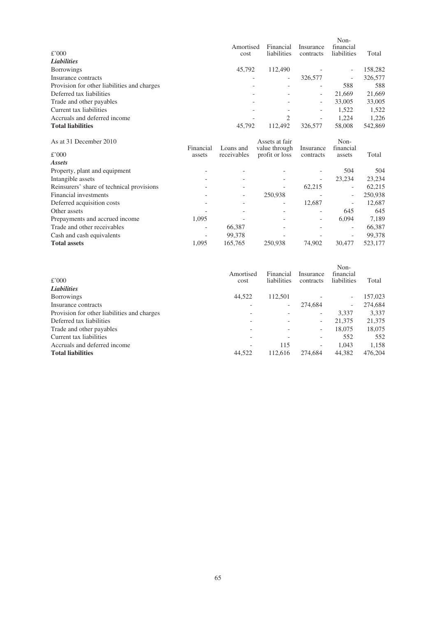| Amortised<br>cost        | Financial<br>liabilities | Insurance<br>contracts   | Non-<br>financial<br>liabilities | Total   |
|--------------------------|--------------------------|--------------------------|----------------------------------|---------|
|                          |                          |                          |                                  |         |
| 45,792                   | 112,490                  |                          | $\overline{\phantom{a}}$         | 158,282 |
|                          | $\overline{\phantom{0}}$ | 326,577                  | $\overline{\phantom{a}}$         | 326,577 |
|                          |                          | $\overline{\phantom{a}}$ | 588                              | 588     |
| $\qquad \qquad -$        |                          | $\overline{\phantom{a}}$ | 21,669                           | 21,669  |
| $\qquad \qquad -$        |                          | $\overline{\phantom{a}}$ | 33,005                           | 33,005  |
| $\overline{\phantom{0}}$ |                          | $\overline{\phantom{a}}$ | 1,522                            | 1,522   |
| $\overline{\phantom{a}}$ | 2                        | $\overline{\phantom{a}}$ | 1,224                            | 1,226   |
| 45,792                   | 112,492                  | 326,577                  | 58,008                           | 542,869 |
|                          |                          |                          |                                  |         |

| As at 31 December 2010                    |                          |                          | Assets at fair                  |                          | Non-                     |         |
|-------------------------------------------|--------------------------|--------------------------|---------------------------------|--------------------------|--------------------------|---------|
| £'000                                     | Financial<br>assets      | Loans and<br>receivables | value through<br>profit or loss | Insurance<br>contracts   | financial<br>assets      | Total   |
| <b>Assets</b>                             |                          |                          |                                 |                          |                          |         |
| Property, plant and equipment             |                          |                          |                                 | $\overline{\phantom{a}}$ | 504                      | 504     |
| Intangible assets                         |                          |                          |                                 | $\overline{\phantom{a}}$ | 23,234                   | 23,234  |
| Reinsurers' share of technical provisions |                          |                          |                                 | 62,215                   | $\overline{\phantom{a}}$ | 62,215  |
| Financial investments                     |                          |                          | 250,938                         |                          | $\qquad \qquad -$        | 250,938 |
| Deferred acquisition costs                |                          |                          | $\overline{\phantom{a}}$        | 12,687                   | $\overline{\phantom{a}}$ | 12,687  |
| Other assets                              |                          |                          |                                 | $\overline{\phantom{a}}$ | 645                      | 645     |
| Prepayments and accrued income            | 1,095                    |                          |                                 | $\overline{\phantom{a}}$ | 6.094                    | 7,189   |
| Trade and other receivables               |                          | 66,387                   |                                 |                          | $\overline{\phantom{a}}$ | 66,387  |
| Cash and cash equivalents                 | $\overline{\phantom{a}}$ | 99,378                   |                                 |                          | $\overline{\phantom{a}}$ | 99,378  |
| <b>Total assets</b>                       | 1.095                    | 165,765                  | 250.938                         | 74,902                   | 30.477                   | 523,177 |

| £'000<br><b>Liabilities</b>                 | Amortised<br>cost | Financial<br>liabilities | Insurance<br>contracts   | Non-<br>financial<br>liabilities | Total   |
|---------------------------------------------|-------------------|--------------------------|--------------------------|----------------------------------|---------|
| <b>Borrowings</b>                           | 44,522            | 112,501                  |                          | $\overline{\phantom{a}}$         | 157,023 |
| Insurance contracts                         |                   | $\overline{\phantom{0}}$ | 274,684                  | $\overline{\phantom{a}}$         | 274,684 |
| Provision for other liabilities and charges |                   |                          | -                        | 3,337                            | 3,337   |
| Deferred tax liabilities                    |                   |                          | -                        | 21,375                           | 21,375  |
| Trade and other payables                    |                   |                          | $\overline{\phantom{0}}$ | 18.075                           | 18,075  |
| Current tax liabilities                     |                   |                          | $\overline{\phantom{0}}$ | 552                              | 552     |
| Accruals and deferred income                |                   | 115                      | $\overline{\phantom{0}}$ | 1.043                            | 1,158   |
| <b>Total liabilities</b>                    | 44.522            | 112.616                  | 274,684                  | 44,382                           | 476.204 |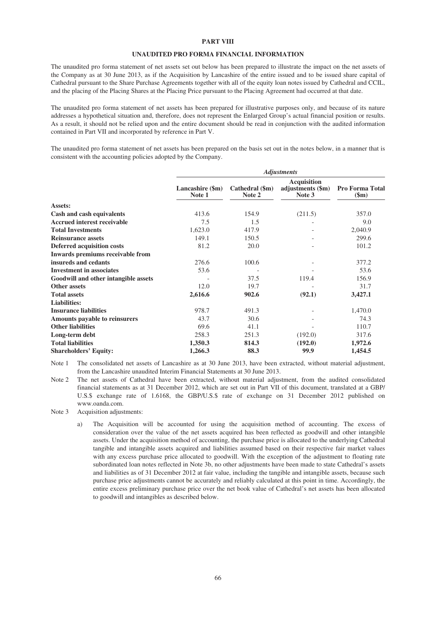### **PART VIII**

## **UNAUDITED PRO FORMA FINANCIAL INFORMATION**

The unaudited pro forma statement of net assets set out below has been prepared to illustrate the impact on the net assets of the Company as at 30 June 2013, as if the Acquisition by Lancashire of the entire issued and to be issued share capital of Cathedral pursuant to the Share Purchase Agreements together with all of the equity loan notes issued by Cathedral and CCIL, and the placing of the Placing Shares at the Placing Price pursuant to the Placing Agreement had occurred at that date.

The unaudited pro forma statement of net assets has been prepared for illustrative purposes only, and because of its nature addresses a hypothetical situation and, therefore, does not represent the Enlarged Group's actual financial position or results. As a result, it should not be relied upon and the entire document should be read in conjunction with the audited information contained in Part VII and incorporated by reference in Part V.

The unaudited pro forma statement of net assets has been prepared on the basis set out in the notes below, in a manner that is consistent with the accounting policies adopted by the Company.

|                                      | <b>Adjustments</b>         |                           |                                                   |                                 |  |  |
|--------------------------------------|----------------------------|---------------------------|---------------------------------------------------|---------------------------------|--|--|
|                                      | Lancashire (\$m)<br>Note 1 | Cathedral (\$m)<br>Note 2 | <b>Acquisition</b><br>adjustments (\$m)<br>Note 3 | <b>Pro Forma Total</b><br>\$m\$ |  |  |
| Assets:                              |                            |                           |                                                   |                                 |  |  |
| Cash and cash equivalents            | 413.6                      | 154.9                     | (211.5)                                           | 357.0                           |  |  |
| <b>Accrued interest receivable</b>   | 7.5                        | 1.5                       |                                                   | 9.0                             |  |  |
| <b>Total Investments</b>             | 1,623.0                    | 417.9                     |                                                   | 2,040.9                         |  |  |
| <b>Reinsurance assets</b>            | 149.1                      | 150.5                     |                                                   | 299.6                           |  |  |
| <b>Deferred acquisition costs</b>    | 81.2                       | 20.0                      |                                                   | 101.2                           |  |  |
| Inwards premiums receivable from     |                            |                           |                                                   |                                 |  |  |
| insureds and cedants                 | 276.6                      | 100.6                     |                                                   | 377.2                           |  |  |
| <b>Investment in associates</b>      | 53.6                       |                           |                                                   | 53.6                            |  |  |
| Goodwill and other intangible assets |                            | 37.5                      | 119.4                                             | 156.9                           |  |  |
| Other assets                         | 12.0                       | 19.7                      |                                                   | 31.7                            |  |  |
| <b>Total assets</b>                  | 2,616.6                    | 902.6                     | (92.1)                                            | 3,427.1                         |  |  |
| <b>Liabilities:</b>                  |                            |                           |                                                   |                                 |  |  |
| <b>Insurance liabilities</b>         | 978.7                      | 491.3                     |                                                   | 1,470.0                         |  |  |
| Amounts payable to reinsurers        | 43.7                       | 30.6                      |                                                   | 74.3                            |  |  |
| <b>Other liabilities</b>             | 69.6                       | 41.1                      |                                                   | 110.7                           |  |  |
| Long-term debt                       | 258.3                      | 251.3                     | (192.0)                                           | 317.6                           |  |  |
| <b>Total liabilities</b>             | 1,350.3                    | 814.3                     | (192.0)                                           | 1,972.6                         |  |  |
| <b>Shareholders' Equity:</b>         | 1,266.3                    | 88.3                      | 99.9                                              | 1,454.5                         |  |  |

Note 1 The consolidated net assets of Lancashire as at 30 June 2013, have been extracted, without material adjustment, from the Lancashire unaudited Interim Financial Statements at 30 June 2013.

Note 2 The net assets of Cathedral have been extracted, without material adjustment, from the audited consolidated financial statements as at 31 December 2012, which are set out in Part VII of this document, translated at a GBP/ U.S.\$ exchange rate of 1.6168, the GBP/U.S.\$ rate of exchange on 31 December 2012 published on www.oanda.com.

Note 3 Acquisition adjustments:

a) The Acquisition will be accounted for using the acquisition method of accounting. The excess of consideration over the value of the net assets acquired has been reflected as goodwill and other intangible assets. Under the acquisition method of accounting, the purchase price is allocated to the underlying Cathedral tangible and intangible assets acquired and liabilities assumed based on their respective fair market values with any excess purchase price allocated to goodwill. With the exception of the adjustment to floating rate subordinated loan notes reflected in Note 3b, no other adjustments have been made to state Cathedral's assets and liabilities as of 31 December 2012 at fair value, including the tangible and intangible assets, because such purchase price adjustments cannot be accurately and reliably calculated at this point in time. Accordingly, the entire excess preliminary purchase price over the net book value of Cathedral's net assets has been allocated to goodwill and intangibles as described below.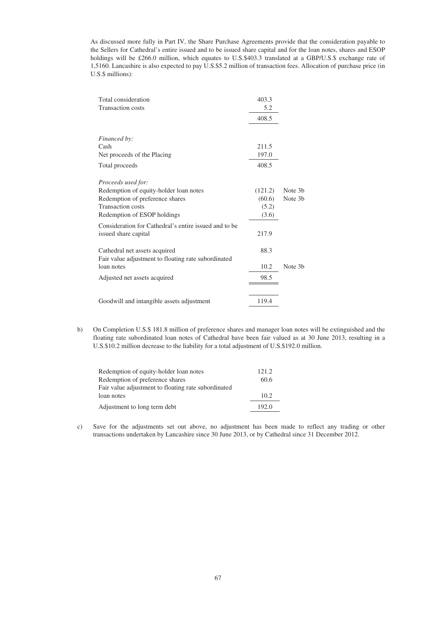As discussed more fully in Part IV, the Share Purchase Agreements provide that the consideration payable to the Sellers for Cathedral's entire issued and to be issued share capital and for the loan notes, shares and ESOP holdings will be £266.0 million, which equates to U.S.\$403.3 translated at a GBP/U.S.\$ exchange rate of 1,5160. Lancashire is also expected to pay U.S.\$5.2 million of transaction fees. Allocation of purchase price (in U.S.\$ millions):

| Total consideration<br><b>Transaction costs</b>       | 403.3<br>5.2 |                     |
|-------------------------------------------------------|--------------|---------------------|
|                                                       | 408.5        |                     |
|                                                       |              |                     |
| Financed by:                                          |              |                     |
| Cash                                                  | 211.5        |                     |
| Net proceeds of the Placing                           | 197.0        |                     |
| Total proceeds                                        | 408.5        |                     |
| Proceeds used for:                                    |              |                     |
| Redemption of equity-holder loan notes                | (121.2)      | Note 3b             |
| Redemption of preference shares                       | (60.6)       | Note 3b             |
| <b>Transaction</b> costs                              | (5.2)        |                     |
| Redemption of ESOP holdings                           | (3.6)        |                     |
| Consideration for Cathedral's entire issued and to be |              |                     |
| issued share capital                                  | 217.9        |                     |
| Cathedral net assets acquired                         | 88.3         |                     |
| Fair value adjustment to floating rate subordinated   |              |                     |
| loan notes                                            | 10.2         | Note 3 <sub>h</sub> |
| Adjusted net assets acquired                          | 98.5         |                     |
|                                                       |              |                     |
| Goodwill and intangible assets adjustment             | 119.4        |                     |

b) On Completion U.S.\$ 181.8 million of preference shares and manager loan notes will be extinguished and the floating rate subordinated loan notes of Cathedral have been fair valued as at 30 June 2013, resulting in a U.S.\$10.2 million decrease to the liability for a total adjustment of U.S.\$192.0 million.

| Redemption of equity-holder loan notes              | 121.2 |
|-----------------------------------------------------|-------|
| Redemption of preference shares                     | 60.6  |
| Fair value adjustment to floating rate subordinated |       |
| loan notes                                          | 10.2  |
| Adjustment to long term debt                        | 192.0 |

c) Save for the adjustments set out above, no adjustment has been made to reflect any trading or other transactions undertaken by Lancashire since 30 June 2013, or by Cathedral since 31 December 2012.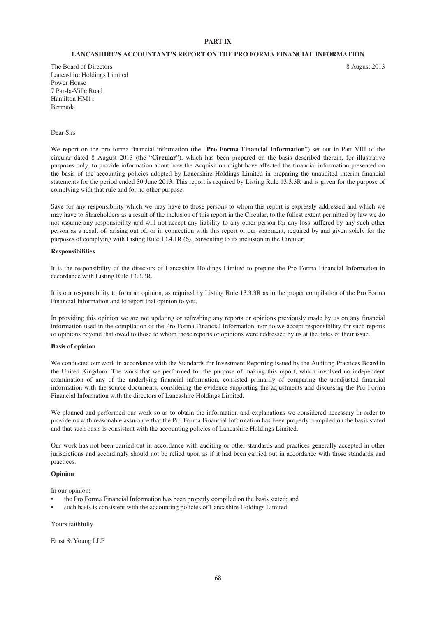## **PART IX**

# **LANCASHIRE'S ACCOUNTANT'S REPORT ON THE PRO FORMA FINANCIAL INFORMATION**

The Board of Directors 8 August 2013 Lancashire Holdings Limited Power House 7 Par-la-Ville Road Hamilton HM11 Bermuda

#### Dear Sirs

We report on the pro forma financial information (the "**Pro Forma Financial Information**") set out in Part VIII of the circular dated 8 August 2013 (the "**Circular**"), which has been prepared on the basis described therein, for illustrative purposes only, to provide information about how the Acquisition might have affected the financial information presented on the basis of the accounting policies adopted by Lancashire Holdings Limited in preparing the unaudited interim financial statements for the period ended 30 June 2013. This report is required by Listing Rule 13.3.3R and is given for the purpose of complying with that rule and for no other purpose.

Save for any responsibility which we may have to those persons to whom this report is expressly addressed and which we may have to Shareholders as a result of the inclusion of this report in the Circular, to the fullest extent permitted by law we do not assume any responsibility and will not accept any liability to any other person for any loss suffered by any such other person as a result of, arising out of, or in connection with this report or our statement, required by and given solely for the purposes of complying with Listing Rule 13.4.1R (6), consenting to its inclusion in the Circular.

#### **Responsibilities**

It is the responsibility of the directors of Lancashire Holdings Limited to prepare the Pro Forma Financial Information in accordance with Listing Rule 13.3.3R.

It is our responsibility to form an opinion, as required by Listing Rule 13.3.3R as to the proper compilation of the Pro Forma Financial Information and to report that opinion to you.

In providing this opinion we are not updating or refreshing any reports or opinions previously made by us on any financial information used in the compilation of the Pro Forma Financial Information, nor do we accept responsibility for such reports or opinions beyond that owed to those to whom those reports or opinions were addressed by us at the dates of their issue.

## **Basis of opinion**

We conducted our work in accordance with the Standards for Investment Reporting issued by the Auditing Practices Board in the United Kingdom. The work that we performed for the purpose of making this report, which involved no independent examination of any of the underlying financial information, consisted primarily of comparing the unadjusted financial information with the source documents, considering the evidence supporting the adjustments and discussing the Pro Forma Financial Information with the directors of Lancashire Holdings Limited.

We planned and performed our work so as to obtain the information and explanations we considered necessary in order to provide us with reasonable assurance that the Pro Forma Financial Information has been properly compiled on the basis stated and that such basis is consistent with the accounting policies of Lancashire Holdings Limited.

Our work has not been carried out in accordance with auditing or other standards and practices generally accepted in other jurisdictions and accordingly should not be relied upon as if it had been carried out in accordance with those standards and practices.

### **Opinion**

In our opinion:

- the Pro Forma Financial Information has been properly compiled on the basis stated; and
- such basis is consistent with the accounting policies of Lancashire Holdings Limited.

Yours faithfully

Ernst & Young LLP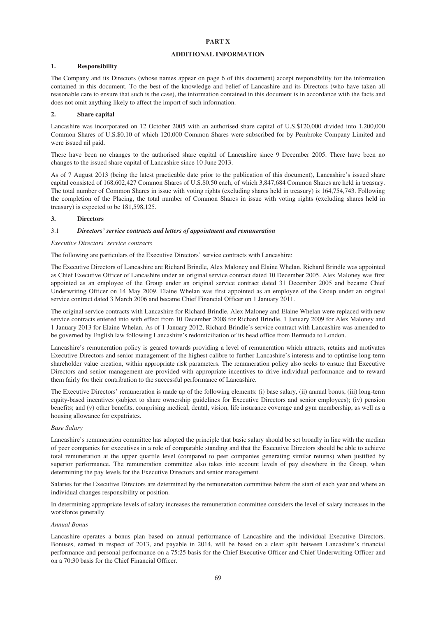## **PART X**

## **ADDITIONAL INFORMATION**

### **1. Responsibility**

The Company and its Directors (whose names appear on page 6 of this document) accept responsibility for the information contained in this document. To the best of the knowledge and belief of Lancashire and its Directors (who have taken all reasonable care to ensure that such is the case), the information contained in this document is in accordance with the facts and does not omit anything likely to affect the import of such information.

### **2. Share capital**

Lancashire was incorporated on 12 October 2005 with an authorised share capital of U.S.\$120,000 divided into 1,200,000 Common Shares of U.S.\$0.10 of which 120,000 Common Shares were subscribed for by Pembroke Company Limited and were issued nil paid.

There have been no changes to the authorised share capital of Lancashire since 9 December 2005. There have been no changes to the issued share capital of Lancashire since 10 June 2013.

As of 7 August 2013 (being the latest practicable date prior to the publication of this document), Lancashire's issued share capital consisted of 168,602,427 Common Shares of U.S.\$0.50 each, of which 3,847,684 Common Shares are held in treasury. The total number of Common Shares in issue with voting rights (excluding shares held in treasury) is 164,754,743. Following the completion of the Placing, the total number of Common Shares in issue with voting rights (excluding shares held in treasury) is expected to be 181,598,125.

## **3. Directors**

#### 3.1 *Directors' service contracts and letters of appointment and remuneration*

*Executive Directors' service contracts*

The following are particulars of the Executive Directors' service contracts with Lancashire:

The Executive Directors of Lancashire are Richard Brindle, Alex Maloney and Elaine Whelan. Richard Brindle was appointed as Chief Executive Officer of Lancashire under an original service contract dated 10 December 2005. Alex Maloney was first appointed as an employee of the Group under an original service contract dated 31 December 2005 and became Chief Underwriting Officer on 14 May 2009. Elaine Whelan was first appointed as an employee of the Group under an original service contract dated 3 March 2006 and became Chief Financial Officer on 1 January 2011.

The original service contracts with Lancashire for Richard Brindle, Alex Maloney and Elaine Whelan were replaced with new service contracts entered into with effect from 10 December 2008 for Richard Brindle, 1 January 2009 for Alex Maloney and 1 January 2013 for Elaine Whelan. As of 1 January 2012, Richard Brindle's service contract with Lancashire was amended to be governed by English law following Lancashire's redomiciliation of its head office from Bermuda to London.

Lancashire's remuneration policy is geared towards providing a level of remuneration which attracts, retains and motivates Executive Directors and senior management of the highest calibre to further Lancashire's interests and to optimise long-term shareholder value creation, within appropriate risk parameters. The remuneration policy also seeks to ensure that Executive Directors and senior management are provided with appropriate incentives to drive individual performance and to reward them fairly for their contribution to the successful performance of Lancashire.

The Executive Directors' remuneration is made up of the following elements: (i) base salary, (ii) annual bonus, (iii) long-term equity-based incentives (subject to share ownership guidelines for Executive Directors and senior employees); (iv) pension benefits; and (v) other benefits, comprising medical, dental, vision, life insurance coverage and gym membership, as well as a housing allowance for expatriates.

### *Base Salary*

Lancashire's remuneration committee has adopted the principle that basic salary should be set broadly in line with the median of peer companies for executives in a role of comparable standing and that the Executive Directors should be able to achieve total remuneration at the upper quartile level (compared to peer companies generating similar returns) when justified by superior performance. The remuneration committee also takes into account levels of pay elsewhere in the Group, when determining the pay levels for the Executive Directors and senior management.

Salaries for the Executive Directors are determined by the remuneration committee before the start of each year and where an individual changes responsibility or position.

In determining appropriate levels of salary increases the remuneration committee considers the level of salary increases in the workforce generally.

## *Annual Bonus*

Lancashire operates a bonus plan based on annual performance of Lancashire and the individual Executive Directors. Bonuses, earned in respect of 2013, and payable in 2014, will be based on a clear split between Lancashire's financial performance and personal performance on a 75:25 basis for the Chief Executive Officer and Chief Underwriting Officer and on a 70:30 basis for the Chief Financial Officer.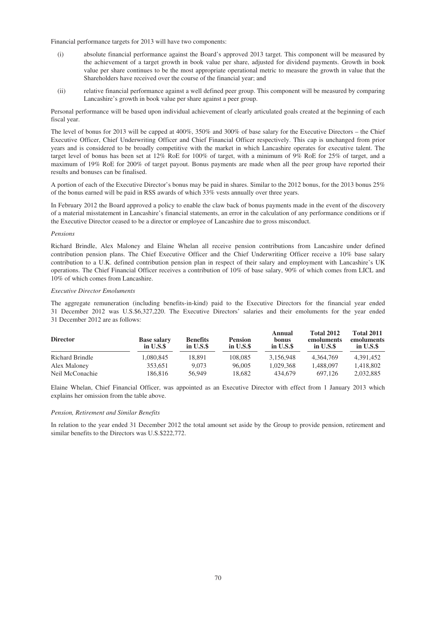Financial performance targets for 2013 will have two components:

- (i) absolute financial performance against the Board's approved 2013 target. This component will be measured by the achievement of a target growth in book value per share, adjusted for dividend payments. Growth in book value per share continues to be the most appropriate operational metric to measure the growth in value that the Shareholders have received over the course of the financial year; and
- (ii) relative financial performance against a well defined peer group. This component will be measured by comparing Lancashire's growth in book value per share against a peer group.

Personal performance will be based upon individual achievement of clearly articulated goals created at the beginning of each fiscal year.

The level of bonus for 2013 will be capped at 400%, 350% and 300% of base salary for the Executive Directors – the Chief Executive Officer, Chief Underwriting Officer and Chief Financial Officer respectively. This cap is unchanged from prior years and is considered to be broadly competitive with the market in which Lancashire operates for executive talent. The target level of bonus has been set at 12% RoE for 100% of target, with a minimum of 9% RoE for 25% of target, and a maximum of 19% RoE for 200% of target payout. Bonus payments are made when all the peer group have reported their results and bonuses can be finalised.

A portion of each of the Executive Director's bonus may be paid in shares. Similar to the 2012 bonus, for the 2013 bonus 25% of the bonus earned will be paid in RSS awards of which 33% vests annually over three years.

In February 2012 the Board approved a policy to enable the claw back of bonus payments made in the event of the discovery of a material misstatement in Lancashire's financial statements, an error in the calculation of any performance conditions or if the Executive Director ceased to be a director or employee of Lancashire due to gross misconduct.

#### *Pensions*

Richard Brindle, Alex Maloney and Elaine Whelan all receive pension contributions from Lancashire under defined contribution pension plans. The Chief Executive Officer and the Chief Underwriting Officer receive a 10% base salary contribution to a U.K. defined contribution pension plan in respect of their salary and employment with Lancashire's UK operations. The Chief Financial Officer receives a contribution of 10% of base salary, 90% of which comes from LICL and 10% of which comes from Lancashire.

#### *Executive Director Emoluments*

The aggregate remuneration (including benefits-in-kind) paid to the Executive Directors for the financial year ended 31 December 2012 was U.S.\$6,327,220. The Executive Directors' salaries and their emoluments for the year ended 31 December 2012 are as follows:

| <b>Director</b> | <b>Base salary</b><br>in $U.S.S$ | <b>Benefits</b><br>in $U.S.S$ | <b>Pension</b><br>in $U.S.S$ | Annual<br>bonus<br>in $U.S.S$ | <b>Total 2012</b><br>emoluments<br>in $U.S.S$ | Total 2011<br>emoluments<br>in $U.S.\$ |
|-----------------|----------------------------------|-------------------------------|------------------------------|-------------------------------|-----------------------------------------------|----------------------------------------|
| Richard Brindle | 1.080.845                        | 18.891                        | 108,085                      | 3.156.948                     | 4.364.769                                     | 4,391,452                              |
| Alex Maloney    | 353.651                          | 9.073                         | 96,005                       | 1.029.368                     | 1.488,097                                     | 1.418.802                              |
| Neil McConachie | 186.816                          | 56,949                        | 18.682                       | 434,679                       | 697.126                                       | 2.032.885                              |

Elaine Whelan, Chief Financial Officer, was appointed as an Executive Director with effect from 1 January 2013 which explains her omission from the table above.

### *Pension, Retirement and Similar Benefits*

In relation to the year ended 31 December 2012 the total amount set aside by the Group to provide pension, retirement and similar benefits to the Directors was U.S.\$222,772.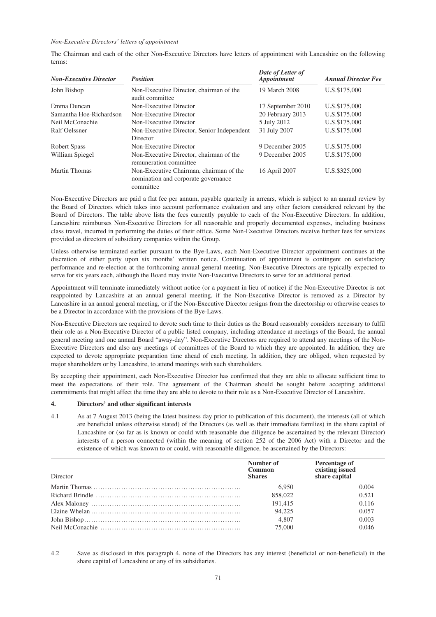#### *Non-Executive Directors' letters of appointment*

The Chairman and each of the other Non-Executive Directors have letters of appointment with Lancashire on the following terms:

| <b>Non-Executive Director</b> | <b>Position</b>                                                                             | Date of Letter of<br>Appointment | <b>Annual Director Fee</b> |
|-------------------------------|---------------------------------------------------------------------------------------------|----------------------------------|----------------------------|
| John Bishop                   | Non-Executive Director, chairman of the<br>audit committee                                  | 19 March 2008                    | U.S.\$175,000              |
| Emma Duncan                   | Non-Executive Director                                                                      | 17 September 2010                | U.S.\$175,000              |
| Samantha Hoe-Richardson       | Non-Executive Director                                                                      | 20 February 2013                 | U.S.\$175,000              |
| Neil McConachie               | Non-Executive Director                                                                      | 5 July 2012                      | U.S.\$175,000              |
| Ralf Oelssner                 | Non-Executive Director, Senior Independent<br>Director                                      | 31 July 2007                     | U.S.\$175,000              |
| Robert Spass                  | Non-Executive Director                                                                      | 9 December 2005                  | U.S.\$175,000              |
| William Spiegel               | Non-Executive Director, chairman of the<br>remuneration committee                           | 9 December 2005                  | U.S.\$175,000              |
| Martin Thomas                 | Non-Executive Chairman, chairman of the<br>nomination and corporate governance<br>committee | 16 April 2007                    | U.S.\$325,000              |

Non-Executive Directors are paid a flat fee per annum, payable quarterly in arrears, which is subject to an annual review by the Board of Directors which takes into account performance evaluation and any other factors considered relevant by the Board of Directors. The table above lists the fees currently payable to each of the Non-Executive Directors. In addition, Lancashire reimburses Non-Executive Directors for all reasonable and properly documented expenses, including business class travel, incurred in performing the duties of their office. Some Non-Executive Directors receive further fees for services provided as directors of subsidiary companies within the Group.

Unless otherwise terminated earlier pursuant to the Bye-Laws, each Non-Executive Director appointment continues at the discretion of either party upon six months' written notice. Continuation of appointment is contingent on satisfactory performance and re-election at the forthcoming annual general meeting. Non-Executive Directors are typically expected to serve for six years each, although the Board may invite Non-Executive Directors to serve for an additional period.

Appointment will terminate immediately without notice (or a payment in lieu of notice) if the Non-Executive Director is not reappointed by Lancashire at an annual general meeting, if the Non-Executive Director is removed as a Director by Lancashire in an annual general meeting, or if the Non-Executive Director resigns from the directorship or otherwise ceases to be a Director in accordance with the provisions of the Bye-Laws.

Non-Executive Directors are required to devote such time to their duties as the Board reasonably considers necessary to fulfil their role as a Non-Executive Director of a public listed company, including attendance at meetings of the Board, the annual general meeting and one annual Board "away-day". Non-Executive Directors are required to attend any meetings of the Non-Executive Directors and also any meetings of committees of the Board to which they are appointed. In addition, they are expected to devote appropriate preparation time ahead of each meeting. In addition, they are obliged, when requested by major shareholders or by Lancashire, to attend meetings with such shareholders.

By accepting their appointment, each Non-Executive Director has confirmed that they are able to allocate sufficient time to meet the expectations of their role. The agreement of the Chairman should be sought before accepting additional commitments that might affect the time they are able to devote to their role as a Non-Executive Director of Lancashire.

# **4. Directors' and other significant interests**

4.1 As at 7 August 2013 (being the latest business day prior to publication of this document), the interests (all of which are beneficial unless otherwise stated) of the Directors (as well as their immediate families) in the share capital of Lancashire or (so far as is known or could with reasonable due diligence be ascertained by the relevant Director) interests of a person connected (within the meaning of section 252 of the 2006 Act) with a Director and the existence of which was known to or could, with reasonable diligence, be ascertained by the Directors:

| Director | Number of<br><b>Common</b><br><b>Shares</b> | Percentage of<br>existing issued<br>share capital |
|----------|---------------------------------------------|---------------------------------------------------|
|          | 6.950                                       | 0.004                                             |
|          | 858,022                                     | 0.521                                             |
|          | 191.415                                     | 0.116                                             |
|          | 94.225                                      | 0.057                                             |
|          | 4.807                                       | 0.003                                             |
|          | 75,000                                      | 0.046                                             |

4.2 Save as disclosed in this paragraph 4, none of the Directors has any interest (beneficial or non-beneficial) in the share capital of Lancashire or any of its subsidiaries.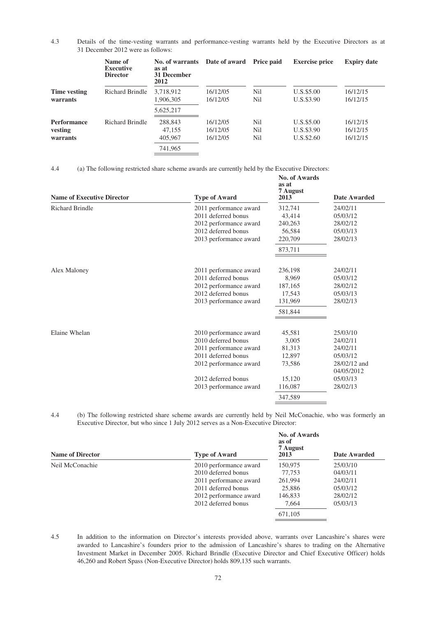4.3 Details of the time-vesting warrants and performance-vesting warrants held by the Executive Directors as at 31 December 2012 were as follows:

|                                           | Name of<br><b>Executive</b><br><b>Director</b> | No. of warrants Date of award<br>as at<br>31 December<br>2012 |                                  | <b>Price paid</b> | <b>Exercise price</b>                  | <b>Expiry date</b>               |
|-------------------------------------------|------------------------------------------------|---------------------------------------------------------------|----------------------------------|-------------------|----------------------------------------|----------------------------------|
| Time vesting<br>warrants                  | <b>Richard Brindle</b>                         | 3.718.912<br>1,906,305                                        | 16/12/05<br>16/12/05             | Nil<br>Nil        | U.S.\$5.00<br>U.S.\$3.90               | 16/12/15<br>16/12/15             |
|                                           |                                                | 5,625,217                                                     |                                  |                   |                                        |                                  |
| <b>Performance</b><br>vesting<br>warrants | <b>Richard Brindle</b>                         | 288,843<br>47.155<br>405,967<br>741,965                       | 16/12/05<br>16/12/05<br>16/12/05 | Nil<br>Nil<br>Nil | U.S.\$5.00<br>U.S.\$3.90<br>U.S.\$2.60 | 16/12/15<br>16/12/15<br>16/12/15 |

4.4 (a) The following restricted share scheme awards are currently held by the Executive Directors:

| <b>Name of Executive Director</b> | <b>Type of Award</b>                          | <b>No. of Awards</b><br>as at<br>7 August<br>2013 | <b>Date Awarded</b>  |
|-----------------------------------|-----------------------------------------------|---------------------------------------------------|----------------------|
| <b>Richard Brindle</b>            | 2011 performance award                        | 312,741                                           | 24/02/11             |
|                                   | 2011 deferred bonus                           | 43,414                                            | 05/03/12             |
|                                   | 2012 performance award                        | 240,263                                           | 28/02/12             |
|                                   | 2012 deferred bonus<br>2013 performance award | 56,584<br>220,709                                 | 05/03/13<br>28/02/13 |
|                                   |                                               | 873,711                                           |                      |
|                                   |                                               |                                                   |                      |
| Alex Maloney                      | 2011 performance award                        | 236,198                                           | 24/02/11             |
|                                   | 2011 deferred bonus                           | 8.969                                             | 05/03/12             |
|                                   | 2012 performance award                        | 187,165                                           | 28/02/12             |
|                                   | 2012 deferred bonus                           | 17,543                                            | 05/03/13             |
|                                   | 2013 performance award                        | 131,969                                           | 28/02/13             |
|                                   |                                               | 581,844                                           |                      |
| Elaine Whelan                     | 2010 performance award                        | 45,581                                            | 25/03/10             |
|                                   | 2010 deferred bonus                           | 3,005                                             | 24/02/11             |
|                                   | 2011 performance award                        | 81,313                                            | 24/02/11             |
|                                   | 2011 deferred bonus                           | 12,897                                            | 05/03/12             |
|                                   | 2012 performance award                        | 73,586                                            | 28/02/12 and         |
|                                   |                                               |                                                   | 04/05/2012           |
|                                   | 2012 deferred bonus                           | 15,120                                            | 05/03/13             |
|                                   | 2013 performance award                        | 116,087                                           | 28/02/13             |
|                                   |                                               | 347,589                                           |                      |

4.4 (b) The following restricted share scheme awards are currently held by Neil McConachie, who was formerly an Executive Director, but who since 1 July 2012 serves as a Non-Executive Director:

| <b>Name of Director</b> | <b>Type of Award</b>   | No. of Awards<br>as of<br>7 August<br>2013 | Date Awarded |
|-------------------------|------------------------|--------------------------------------------|--------------|
| Neil McConachie         | 2010 performance award | 150,975                                    | 25/03/10     |
|                         | 2010 deferred bonus    | 77,753                                     | 04/03/11     |
|                         | 2011 performance award | 261,994                                    | 24/02/11     |
|                         | 2011 deferred bonus    | 25,886                                     | 05/03/12     |
|                         | 2012 performance award | 146,833                                    | 28/02/12     |
|                         | 2012 deferred bonus    | 7,664                                      | 05/03/13     |
|                         |                        | 671,105                                    |              |
|                         |                        |                                            |              |

4.5 In addition to the information on Director's interests provided above, warrants over Lancashire's shares were awarded to Lancashire's founders prior to the admission of Lancashire's shares to trading on the Alternative Investment Market in December 2005. Richard Brindle (Executive Director and Chief Executive Officer) holds 46,260 and Robert Spass (Non-Executive Director) holds 809,135 such warrants.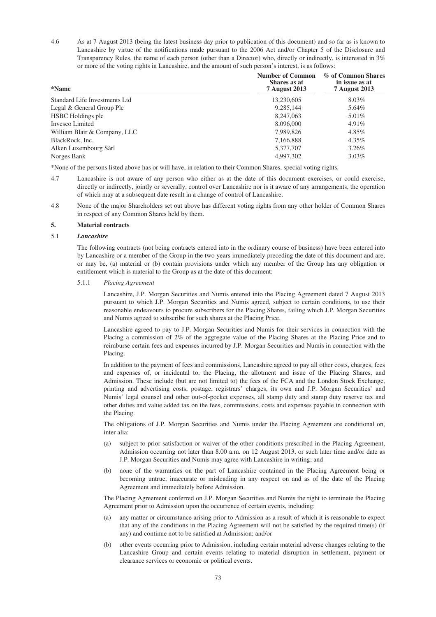4.6 As at 7 August 2013 (being the latest business day prior to publication of this document) and so far as is known to Lancashire by virtue of the notifications made pursuant to the 2006 Act and/or Chapter 5 of the Disclosure and Transparency Rules, the name of each person (other than a Director) who, directly or indirectly, is interested in 3% or more of the voting rights in Lancashire, and the amount of such person's interest, is as follows:

| *Name                         | <b>Number of Common</b><br>Shares as at<br><b>7 August 2013</b> | % of Common Shares<br>in issue as at<br><b>7 August 2013</b> |
|-------------------------------|-----------------------------------------------------------------|--------------------------------------------------------------|
| Standard Life Investments Ltd | 13,230,605                                                      | 8.03%                                                        |
| Legal & General Group Plc     | 9.285.144                                                       | 5.64%                                                        |
| <b>HSBC</b> Holdings plc      | 8,247,063                                                       | 5.01%                                                        |
| Invesco Limited               | 8,096,000                                                       | $4.91\%$                                                     |
| William Blair & Company, LLC  | 7,989,826                                                       | 4.85%                                                        |
| BlackRock, Inc.               | 7,166,888                                                       | 4.35%                                                        |
| Alken Luxembourg Sàrl         | 5,377,707                                                       | 3.26%                                                        |
| Norges Bank                   | 4.997.302                                                       | $3.03\%$                                                     |

\*None of the persons listed above has or will have, in relation to their Common Shares, special voting rights.

- 4.7 Lancashire is not aware of any person who either as at the date of this document exercises, or could exercise, directly or indirectly, jointly or severally, control over Lancashire nor is it aware of any arrangements, the operation of which may at a subsequent date result in a change of control of Lancashire.
- 4.8 None of the major Shareholders set out above has different voting rights from any other holder of Common Shares in respect of any Common Shares held by them.

#### **5. Material contracts**

#### 5.1 *Lancashire*

The following contracts (not being contracts entered into in the ordinary course of business) have been entered into by Lancashire or a member of the Group in the two years immediately preceding the date of this document and are, or may be, (a) material or (b) contain provisions under which any member of the Group has any obligation or entitlement which is material to the Group as at the date of this document:

#### 5.1.1 *Placing Agreement*

Lancashire, J.P. Morgan Securities and Numis entered into the Placing Agreement dated 7 August 2013 pursuant to which J.P. Morgan Securities and Numis agreed, subject to certain conditions, to use their reasonable endeavours to procure subscribers for the Placing Shares, failing which J.P. Morgan Securities and Numis agreed to subscribe for such shares at the Placing Price.

Lancashire agreed to pay to J.P. Morgan Securities and Numis for their services in connection with the Placing a commission of 2% of the aggregate value of the Placing Shares at the Placing Price and to reimburse certain fees and expenses incurred by J.P. Morgan Securities and Numis in connection with the Placing.

In addition to the payment of fees and commissions, Lancashire agreed to pay all other costs, charges, fees and expenses of, or incidental to, the Placing, the allotment and issue of the Placing Shares, and Admission. These include (but are not limited to) the fees of the FCA and the London Stock Exchange, printing and advertising costs, postage, registrars' charges, its own and J.P. Morgan Securities' and Numis' legal counsel and other out-of-pocket expenses, all stamp duty and stamp duty reserve tax and other duties and value added tax on the fees, commissions, costs and expenses payable in connection with the Placing.

The obligations of J.P. Morgan Securities and Numis under the Placing Agreement are conditional on, inter alia:

- (a) subject to prior satisfaction or waiver of the other conditions prescribed in the Placing Agreement, Admission occurring not later than 8.00 a.m. on 12 August 2013, or such later time and/or date as J.P. Morgan Securities and Numis may agree with Lancashire in writing; and
- (b) none of the warranties on the part of Lancashire contained in the Placing Agreement being or becoming untrue, inaccurate or misleading in any respect on and as of the date of the Placing Agreement and immediately before Admission.

The Placing Agreement conferred on J.P. Morgan Securities and Numis the right to terminate the Placing Agreement prior to Admission upon the occurrence of certain events, including:

- (a) any matter or circumstance arising prior to Admission as a result of which it is reasonable to expect that any of the conditions in the Placing Agreement will not be satisfied by the required time(s) (if any) and continue not to be satisfied at Admission; and/or
- (b) other events occurring prior to Admission, including certain material adverse changes relating to the Lancashire Group and certain events relating to material disruption in settlement, payment or clearance services or economic or political events.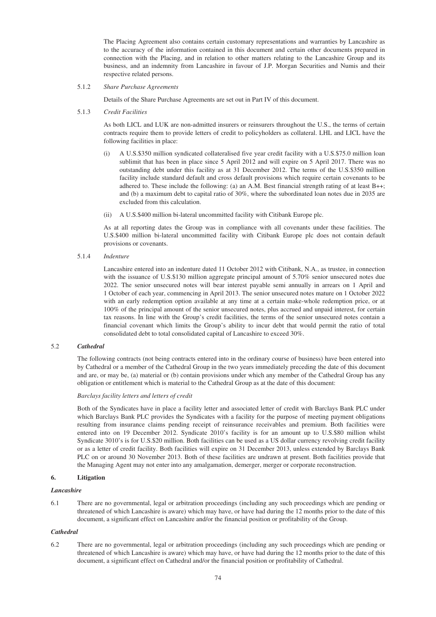The Placing Agreement also contains certain customary representations and warranties by Lancashire as to the accuracy of the information contained in this document and certain other documents prepared in connection with the Placing, and in relation to other matters relating to the Lancashire Group and its business, and an indemnity from Lancashire in favour of J.P. Morgan Securities and Numis and their respective related persons.

5.1.2 *Share Purchase Agreements*

Details of the Share Purchase Agreements are set out in Part IV of this document.

5.1.3 *Credit Facilities*

As both LICL and LUK are non-admitted insurers or reinsurers throughout the U.S., the terms of certain contracts require them to provide letters of credit to policyholders as collateral. LHL and LICL have the following facilities in place:

- (i) A U.S.\$350 million syndicated collateralised five year credit facility with a U.S.\$75.0 million loan sublimit that has been in place since 5 April 2012 and will expire on 5 April 2017. There was no outstanding debt under this facility as at 31 December 2012. The terms of the U.S.\$350 million facility include standard default and cross default provisions which require certain covenants to be adhered to. These include the following: (a) an A.M. Best financial strength rating of at least B++; and (b) a maximum debt to capital ratio of 30%, where the subordinated loan notes due in 2035 are excluded from this calculation.
- (ii) A U.S.\$400 million bi-lateral uncommitted facility with Citibank Europe plc.

As at all reporting dates the Group was in compliance with all covenants under these facilities. The U.S.\$400 million bi-lateral uncommitted facility with Citibank Europe plc does not contain default provisions or covenants.

5.1.4 *Indenture*

Lancashire entered into an indenture dated 11 October 2012 with Citibank, N.A., as trustee, in connection with the issuance of U.S.\$130 million aggregate principal amount of 5.70% senior unsecured notes due 2022. The senior unsecured notes will bear interest payable semi annually in arrears on 1 April and 1 October of each year, commencing in April 2013. The senior unsecured notes mature on 1 October 2022 with an early redemption option available at any time at a certain make-whole redemption price, or at 100% of the principal amount of the senior unsecured notes, plus accrued and unpaid interest, for certain tax reasons. In line with the Group's credit facilities, the terms of the senior unsecured notes contain a financial covenant which limits the Group's ability to incur debt that would permit the ratio of total consolidated debt to total consolidated capital of Lancashire to exceed 30%.

## 5.2 *Cathedral*

The following contracts (not being contracts entered into in the ordinary course of business) have been entered into by Cathedral or a member of the Cathedral Group in the two years immediately preceding the date of this document and are, or may be, (a) material or (b) contain provisions under which any member of the Cathedral Group has any obligation or entitlement which is material to the Cathedral Group as at the date of this document:

#### *Barclays facility letters and letters of credit*

Both of the Syndicates have in place a facility letter and associated letter of credit with Barclays Bank PLC under which Barclays Bank PLC provides the Syndicates with a facility for the purpose of meeting payment obligations resulting from insurance claims pending receipt of reinsurance receivables and premium. Both facilities were entered into on 19 December 2012. Syndicate 2010's facility is for an amount up to U.S.\$80 million whilst Syndicate 3010's is for U.S.\$20 million. Both facilities can be used as a US dollar currency revolving credit facility or as a letter of credit facility. Both facilities will expire on 31 December 2013, unless extended by Barclays Bank PLC on or around 30 November 2013. Both of these facilities are undrawn at present. Both facilities provide that the Managing Agent may not enter into any amalgamation, demerger, merger or corporate reconstruction.

# **6. Litigation**

### *Lancashire*

6.1 There are no governmental, legal or arbitration proceedings (including any such proceedings which are pending or threatened of which Lancashire is aware) which may have, or have had during the 12 months prior to the date of this document, a significant effect on Lancashire and/or the financial position or profitability of the Group.

### *Cathedral*

6.2 There are no governmental, legal or arbitration proceedings (including any such proceedings which are pending or threatened of which Lancashire is aware) which may have, or have had during the 12 months prior to the date of this document, a significant effect on Cathedral and/or the financial position or profitability of Cathedral.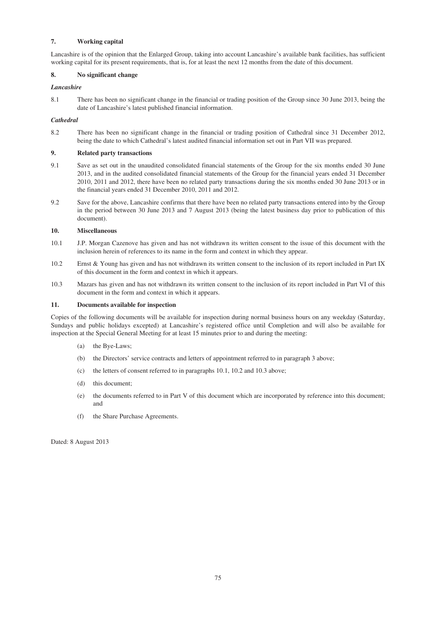# **7. Working capital**

Lancashire is of the opinion that the Enlarged Group, taking into account Lancashire's available bank facilities, has sufficient working capital for its present requirements, that is, for at least the next 12 months from the date of this document.

### **8. No significant change**

### *Lancashire*

8.1 There has been no significant change in the financial or trading position of the Group since 30 June 2013, being the date of Lancashire's latest published financial information.

# *Cathedral*

8.2 There has been no significant change in the financial or trading position of Cathedral since 31 December 2012, being the date to which Cathedral's latest audited financial information set out in Part VII was prepared.

### **9. Related party transactions**

- 9.1 Save as set out in the unaudited consolidated financial statements of the Group for the six months ended 30 June 2013, and in the audited consolidated financial statements of the Group for the financial years ended 31 December 2010, 2011 and 2012, there have been no related party transactions during the six months ended 30 June 2013 or in the financial years ended 31 December 2010, 2011 and 2012.
- 9.2 Save for the above, Lancashire confirms that there have been no related party transactions entered into by the Group in the period between 30 June 2013 and 7 August 2013 (being the latest business day prior to publication of this document).

### **10. Miscellaneous**

- 10.1 J.P. Morgan Cazenove has given and has not withdrawn its written consent to the issue of this document with the inclusion herein of references to its name in the form and context in which they appear.
- 10.2 Ernst & Young has given and has not withdrawn its written consent to the inclusion of its report included in Part IX of this document in the form and context in which it appears.
- 10.3 Mazars has given and has not withdrawn its written consent to the inclusion of its report included in Part VI of this document in the form and context in which it appears.

#### **11. Documents available for inspection**

Copies of the following documents will be available for inspection during normal business hours on any weekday (Saturday, Sundays and public holidays excepted) at Lancashire's registered office until Completion and will also be available for inspection at the Special General Meeting for at least 15 minutes prior to and during the meeting:

- (a) the Bye-Laws;
- (b) the Directors' service contracts and letters of appointment referred to in paragraph 3 above;
- (c) the letters of consent referred to in paragraphs 10.1, 10.2 and 10.3 above;
- (d) this document;
- (e) the documents referred to in Part V of this document which are incorporated by reference into this document; and
- (f) the Share Purchase Agreements.

Dated: 8 August 2013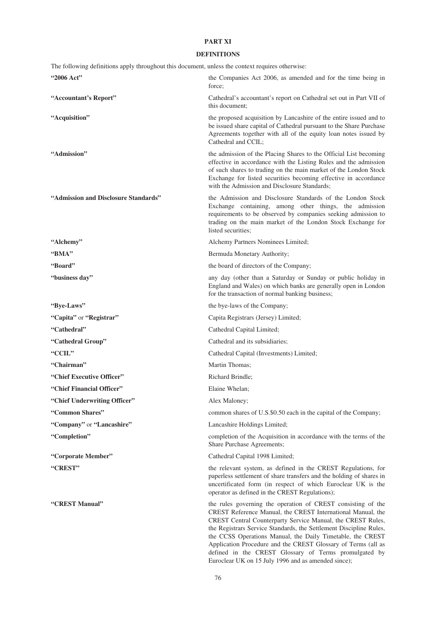# **PART XI**

# **DEFINITIONS**

| The following definitions apply throughout this document, unless the context requires otherwise: |                                                                                                                                                                                                                                                                                                                                                                                                                                                                                                                 |  |
|--------------------------------------------------------------------------------------------------|-----------------------------------------------------------------------------------------------------------------------------------------------------------------------------------------------------------------------------------------------------------------------------------------------------------------------------------------------------------------------------------------------------------------------------------------------------------------------------------------------------------------|--|
| "2006 Act"                                                                                       | the Companies Act 2006, as amended and for the time being in<br>force;                                                                                                                                                                                                                                                                                                                                                                                                                                          |  |
| "Accountant's Report"                                                                            | Cathedral's accountant's report on Cathedral set out in Part VII of<br>this document:                                                                                                                                                                                                                                                                                                                                                                                                                           |  |
| "Acquisition"                                                                                    | the proposed acquisition by Lancashire of the entire issued and to<br>be issued share capital of Cathedral pursuant to the Share Purchase<br>Agreements together with all of the equity loan notes issued by<br>Cathedral and CCIL;                                                                                                                                                                                                                                                                             |  |
| "Admission"                                                                                      | the admission of the Placing Shares to the Official List becoming<br>effective in accordance with the Listing Rules and the admission<br>of such shares to trading on the main market of the London Stock<br>Exchange for listed securities becoming effective in accordance<br>with the Admission and Disclosure Standards;                                                                                                                                                                                    |  |
| "Admission and Disclosure Standards"                                                             | the Admission and Disclosure Standards of the London Stock<br>Exchange containing, among other things, the admission<br>requirements to be observed by companies seeking admission to<br>trading on the main market of the London Stock Exchange for<br>listed securities:                                                                                                                                                                                                                                      |  |
| "Alchemy"                                                                                        | Alchemy Partners Nominees Limited;                                                                                                                                                                                                                                                                                                                                                                                                                                                                              |  |
| "BMA"                                                                                            | Bermuda Monetary Authority;                                                                                                                                                                                                                                                                                                                                                                                                                                                                                     |  |
| "Board"                                                                                          | the board of directors of the Company;                                                                                                                                                                                                                                                                                                                                                                                                                                                                          |  |
| "business day"                                                                                   | any day (other than a Saturday or Sunday or public holiday in<br>England and Wales) on which banks are generally open in London<br>for the transaction of normal banking business;                                                                                                                                                                                                                                                                                                                              |  |
| "Bye-Laws"                                                                                       | the bye-laws of the Company;                                                                                                                                                                                                                                                                                                                                                                                                                                                                                    |  |
| "Capita" or "Registrar"                                                                          | Capita Registrars (Jersey) Limited;                                                                                                                                                                                                                                                                                                                                                                                                                                                                             |  |
| "Cathedral"                                                                                      | Cathedral Capital Limited;                                                                                                                                                                                                                                                                                                                                                                                                                                                                                      |  |
| "Cathedral Group"                                                                                | Cathedral and its subsidiaries;                                                                                                                                                                                                                                                                                                                                                                                                                                                                                 |  |
| "CCIL"                                                                                           | Cathedral Capital (Investments) Limited;                                                                                                                                                                                                                                                                                                                                                                                                                                                                        |  |
| "Chairman"                                                                                       | Martin Thomas;                                                                                                                                                                                                                                                                                                                                                                                                                                                                                                  |  |
| "Chief Executive Officer"                                                                        | Richard Brindle;                                                                                                                                                                                                                                                                                                                                                                                                                                                                                                |  |
| "Chief Financial Officer"                                                                        | Elaine Whelan;                                                                                                                                                                                                                                                                                                                                                                                                                                                                                                  |  |
| "Chief Underwriting Officer"                                                                     | Alex Maloney;                                                                                                                                                                                                                                                                                                                                                                                                                                                                                                   |  |
| "Common Shares"                                                                                  | common shares of U.S.\$0.50 each in the capital of the Company;                                                                                                                                                                                                                                                                                                                                                                                                                                                 |  |
| "Company" or "Lancashire"                                                                        | Lancashire Holdings Limited;                                                                                                                                                                                                                                                                                                                                                                                                                                                                                    |  |
| "Completion"                                                                                     | completion of the Acquisition in accordance with the terms of the<br>Share Purchase Agreements;                                                                                                                                                                                                                                                                                                                                                                                                                 |  |
| "Corporate Member"                                                                               | Cathedral Capital 1998 Limited;                                                                                                                                                                                                                                                                                                                                                                                                                                                                                 |  |
| "CREST"                                                                                          | the relevant system, as defined in the CREST Regulations, for<br>paperless settlement of share transfers and the holding of shares in<br>uncertificated form (in respect of which Euroclear UK is the<br>operator as defined in the CREST Regulations);                                                                                                                                                                                                                                                         |  |
| "CREST Manual"                                                                                   | the rules governing the operation of CREST consisting of the<br>CREST Reference Manual, the CREST International Manual, the<br>CREST Central Counterparty Service Manual, the CREST Rules,<br>the Registrars Service Standards, the Settlement Discipline Rules,<br>the CCSS Operations Manual, the Daily Timetable, the CREST<br>Application Procedure and the CREST Glossary of Terms (all as<br>defined in the CREST Glossary of Terms promulgated by<br>Euroclear UK on 15 July 1996 and as amended since); |  |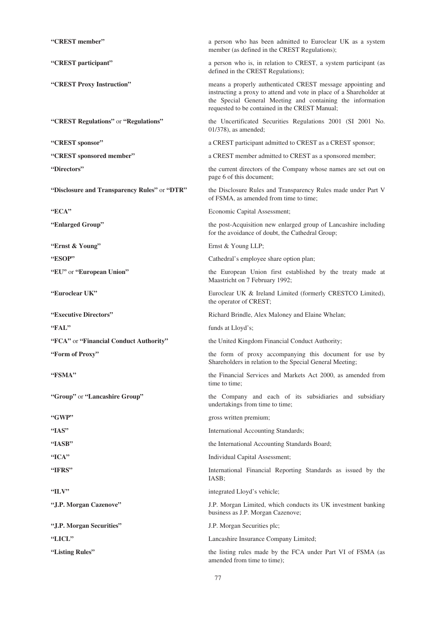| "CREST member"                               | a person who has been admitted to Euroclear UK as a system<br>member (as defined in the CREST Regulations);                                                                                                                                        |
|----------------------------------------------|----------------------------------------------------------------------------------------------------------------------------------------------------------------------------------------------------------------------------------------------------|
| "CREST participant"                          | a person who is, in relation to CREST, a system participant (as<br>defined in the CREST Regulations);                                                                                                                                              |
| "CREST Proxy Instruction"                    | means a properly authenticated CREST message appointing and<br>instructing a proxy to attend and vote in place of a Shareholder at<br>the Special General Meeting and containing the information<br>requested to be contained in the CREST Manual; |
| "CREST Regulations" or "Regulations"         | the Uncertificated Securities Regulations 2001 (SI 2001 No.<br>$01/378$ , as amended;                                                                                                                                                              |
| "CREST sponsor"                              | a CREST participant admitted to CREST as a CREST sponsor;                                                                                                                                                                                          |
| "CREST sponsored member"                     | a CREST member admitted to CREST as a sponsored member;                                                                                                                                                                                            |
| "Directors"                                  | the current directors of the Company whose names are set out on<br>page 6 of this document;                                                                                                                                                        |
| "Disclosure and Transparency Rules" or "DTR" | the Disclosure Rules and Transparency Rules made under Part V<br>of FSMA, as amended from time to time;                                                                                                                                            |
| "ECA"                                        | Economic Capital Assessment;                                                                                                                                                                                                                       |
| "Enlarged Group"                             | the post-Acquisition new enlarged group of Lancashire including<br>for the avoidance of doubt, the Cathedral Group;                                                                                                                                |
| "Ernst & Young"                              | Ernst & Young LLP;                                                                                                                                                                                                                                 |
| "ESOP"                                       | Cathedral's employee share option plan;                                                                                                                                                                                                            |
| "EU" or "European Union"                     | the European Union first established by the treaty made at<br>Maastricht on 7 February 1992;                                                                                                                                                       |
| "Euroclear UK"                               | Euroclear UK & Ireland Limited (formerly CRESTCO Limited),<br>the operator of CREST;                                                                                                                                                               |
| "Executive Directors"                        | Richard Brindle, Alex Maloney and Elaine Whelan;                                                                                                                                                                                                   |
| "FAL"                                        | funds at Lloyd's;                                                                                                                                                                                                                                  |
| "FCA" or "Financial Conduct Authority"       | the United Kingdom Financial Conduct Authority;                                                                                                                                                                                                    |
| "Form of Proxy"                              | the form of proxy accompanying this document for use by<br>Shareholders in relation to the Special General Meeting;                                                                                                                                |
| "FSMA"                                       | the Financial Services and Markets Act 2000, as amended from<br>time to time;                                                                                                                                                                      |
| "Group" or "Lancashire Group"                | the Company and each of its subsidiaries and subsidiary<br>undertakings from time to time;                                                                                                                                                         |
| "GWP"                                        | gross written premium;                                                                                                                                                                                                                             |
| "IAS"                                        | International Accounting Standards;                                                                                                                                                                                                                |
| "IASB"                                       | the International Accounting Standards Board;                                                                                                                                                                                                      |
| "ICA"                                        | Individual Capital Assessment;                                                                                                                                                                                                                     |
| "IFRS"                                       | International Financial Reporting Standards as issued by the<br>IASB;                                                                                                                                                                              |
| "ILV"                                        | integrated Lloyd's vehicle;                                                                                                                                                                                                                        |
| "J.P. Morgan Cazenove"                       | J.P. Morgan Limited, which conducts its UK investment banking<br>business as J.P. Morgan Cazenove;                                                                                                                                                 |
| "J.P. Morgan Securities"                     | J.P. Morgan Securities plc;                                                                                                                                                                                                                        |
| "LICL"                                       | Lancashire Insurance Company Limited;                                                                                                                                                                                                              |
| "Listing Rules"                              | the listing rules made by the FCA under Part VI of FSMA (as<br>amended from time to time);                                                                                                                                                         |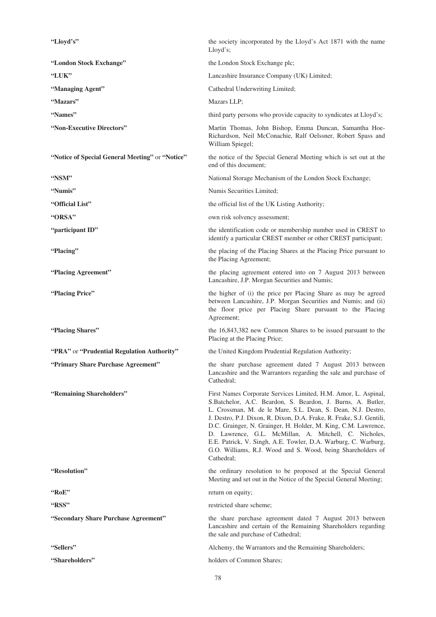| "Lloyd's"                                       | the society incorporated by the Lloyd's Act 1871 with the name<br>Lloyd's;                                                                                                                                                                                                                                                                                                                                                                                                                                                                      |
|-------------------------------------------------|-------------------------------------------------------------------------------------------------------------------------------------------------------------------------------------------------------------------------------------------------------------------------------------------------------------------------------------------------------------------------------------------------------------------------------------------------------------------------------------------------------------------------------------------------|
| "London Stock Exchange"                         | the London Stock Exchange plc;                                                                                                                                                                                                                                                                                                                                                                                                                                                                                                                  |
| "LUK"                                           | Lancashire Insurance Company (UK) Limited;                                                                                                                                                                                                                                                                                                                                                                                                                                                                                                      |
| "Managing Agent"                                | Cathedral Underwriting Limited;                                                                                                                                                                                                                                                                                                                                                                                                                                                                                                                 |
| "Mazars"                                        | Mazars LLP;                                                                                                                                                                                                                                                                                                                                                                                                                                                                                                                                     |
| "Names"                                         | third party persons who provide capacity to syndicates at Lloyd's;                                                                                                                                                                                                                                                                                                                                                                                                                                                                              |
| "Non-Executive Directors"                       | Martin Thomas, John Bishop, Emma Duncan, Samantha Hoe-<br>Richardson, Neil McConachie, Ralf Oelssner, Robert Spass and<br>William Spiegel;                                                                                                                                                                                                                                                                                                                                                                                                      |
| "Notice of Special General Meeting" or "Notice" | the notice of the Special General Meeting which is set out at the<br>end of this document;                                                                                                                                                                                                                                                                                                                                                                                                                                                      |
| "NSM"                                           | National Storage Mechanism of the London Stock Exchange;                                                                                                                                                                                                                                                                                                                                                                                                                                                                                        |
| "Numis"                                         | Numis Securities Limited;                                                                                                                                                                                                                                                                                                                                                                                                                                                                                                                       |
| "Official List"                                 | the official list of the UK Listing Authority;                                                                                                                                                                                                                                                                                                                                                                                                                                                                                                  |
| "ORSA"                                          | own risk solvency assessment;                                                                                                                                                                                                                                                                                                                                                                                                                                                                                                                   |
| "participant ID"                                | the identification code or membership number used in CREST to<br>identify a particular CREST member or other CREST participant;                                                                                                                                                                                                                                                                                                                                                                                                                 |
| "Placing"                                       | the placing of the Placing Shares at the Placing Price pursuant to<br>the Placing Agreement;                                                                                                                                                                                                                                                                                                                                                                                                                                                    |
| "Placing Agreement"                             | the placing agreement entered into on 7 August 2013 between<br>Lancashire, J.P. Morgan Securities and Numis;                                                                                                                                                                                                                                                                                                                                                                                                                                    |
| "Placing Price"                                 | the higher of (i) the price per Placing Share as may be agreed<br>between Lancashire, J.P. Morgan Securities and Numis; and (ii)<br>the floor price per Placing Share pursuant to the Placing<br>Agreement;                                                                                                                                                                                                                                                                                                                                     |
| "Placing Shares"                                | the 16,843,382 new Common Shares to be issued pursuant to the<br>Placing at the Placing Price;                                                                                                                                                                                                                                                                                                                                                                                                                                                  |
| "PRA" or "Prudential Regulation Authority"      | the United Kingdom Prudential Regulation Authority;                                                                                                                                                                                                                                                                                                                                                                                                                                                                                             |
| "Primary Share Purchase Agreement"              | the share purchase agreement dated 7 August 2013 between<br>Lancashire and the Warrantors regarding the sale and purchase of<br>Cathedral;                                                                                                                                                                                                                                                                                                                                                                                                      |
| "Remaining Shareholders"                        | First Names Corporate Services Limited, H.M. Amor, L. Aspinal,<br>S.Batchelor, A.C. Beardon, S. Beardon, J. Burns, A. Butler,<br>L. Crossman, M. de le Mare, S.L. Dean, S. Dean, N.J. Destro,<br>J. Destro, P.J. Dixon, R. Dixon, D.A. Frake, R. Frake, S.J. Gentili,<br>D.C. Grainger, N. Grainger, H. Holder, M. King, C.M. Lawrence,<br>D. Lawrence, G.L. McMillan, A. Mitchell, C. Nicholes,<br>E.E. Patrick, V. Singh, A.E. Towler, D.A. Warburg, C. Warburg,<br>G.O. Williams, R.J. Wood and S. Wood, being Shareholders of<br>Cathedral; |
| "Resolution"                                    | the ordinary resolution to be proposed at the Special General<br>Meeting and set out in the Notice of the Special General Meeting;                                                                                                                                                                                                                                                                                                                                                                                                              |
| "RoE"                                           | return on equity;                                                                                                                                                                                                                                                                                                                                                                                                                                                                                                                               |
| "RSS"                                           | restricted share scheme;                                                                                                                                                                                                                                                                                                                                                                                                                                                                                                                        |
| "Secondary Share Purchase Agreement"            | the share purchase agreement dated 7 August 2013 between<br>Lancashire and certain of the Remaining Shareholders regarding<br>the sale and purchase of Cathedral;                                                                                                                                                                                                                                                                                                                                                                               |
| "Sellers"                                       | Alchemy, the Warrantors and the Remaining Shareholders;                                                                                                                                                                                                                                                                                                                                                                                                                                                                                         |
| "Shareholders"                                  | holders of Common Shares;                                                                                                                                                                                                                                                                                                                                                                                                                                                                                                                       |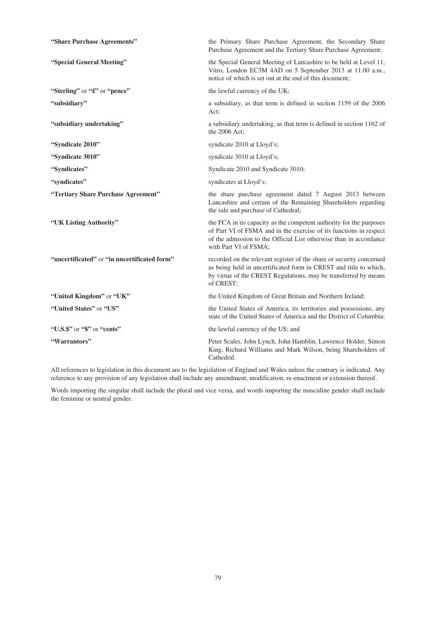| "Share Purchase Agreements"                  | the Primary Share Purchase Agreement, the Secondary Share<br>Purchase Agreement and the Tertiary Share Purchase Agreement;                                                                                                               |
|----------------------------------------------|------------------------------------------------------------------------------------------------------------------------------------------------------------------------------------------------------------------------------------------|
| "Special General Meeting"                    | the Special General Meeting of Lancashire to be held at Level 11,<br>Vitro, London EC3M 4AD on 5 September 2013 at 11.00 a.m.,<br>notice of which is set out at the end of this document;                                                |
| "Sterling" or "£" or "pence"                 | the lawful currency of the UK;                                                                                                                                                                                                           |
| "subsidiary"                                 | a subsidiary, as that term is defined in section 1159 of the 2006<br>Act:                                                                                                                                                                |
| "subsidiary undertaking"                     | a subsidiary undertaking, as that term is defined in section 1162 of<br>the $2006$ Act:                                                                                                                                                  |
| "Syndicate 2010"                             | syndicate 2010 at Lloyd's;                                                                                                                                                                                                               |
| "Syndicate 3010"                             | syndicate 3010 at Lloyd's;                                                                                                                                                                                                               |
| "Syndicates"                                 | Syndicate 2010 and Syndicate 3010;                                                                                                                                                                                                       |
| "syndicates"                                 | syndicates at Lloyd's;                                                                                                                                                                                                                   |
| "Tertiary Share Purchase Agreement"          | the share purchase agreement dated 7 August 2013 between<br>Lancashire and certain of the Remaining Shareholders regarding<br>the sale and purchase of Cathedral;                                                                        |
| "UK Listing Authority"                       | the FCA in its capacity as the competent authority for the purposes<br>of Part VI of FSMA and in the exercise of its functions in respect<br>of the admission to the Official List otherwise than in accordance<br>with Part VI of FSMA; |
| "uncertificated" or "in uncertificated form" | recorded on the relevant register of the share or security concerned<br>as being held in uncertificated form in CREST and title to which,<br>by virtue of the CREST Regulations, may be transferred by means<br>of CREST;                |
| "United Kingdom" or "UK"                     | the United Kingdom of Great Britain and Northern Ireland;                                                                                                                                                                                |
| "United States" or "US"                      | the United States of America, its territories and possessions, any<br>state of the United States of America and the District of Columbia;                                                                                                |
| "U.S.\$" or "\$" or "cents"                  | the lawful currency of the US; and                                                                                                                                                                                                       |
| "Warrantors"                                 | Peter Scales, John Lynch, John Hamblin, Lawrence Holder, Simon<br>King, Richard Williams and Mark Wilson, being Shareholders of<br>Cathedral.                                                                                            |

All references to legislation in this document are to the legislation of England and Wales unless the contrary is indicated. Any reference to any provision of any legislation shall include any amendment, modification, re-enactment or extension thereof.

Words importing the singular shall include the plural and vice versa, and words importing the masculine gender shall include the feminine or neutral gender.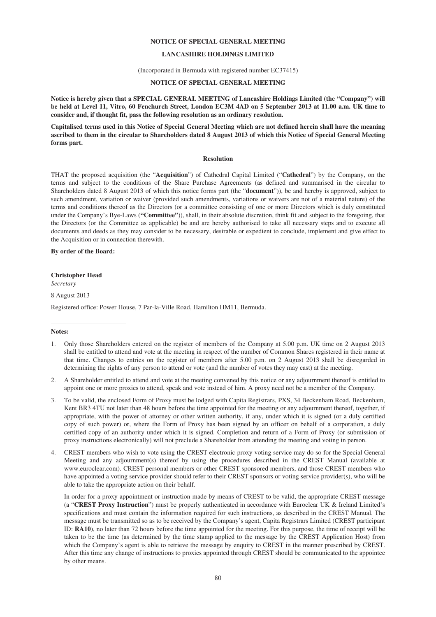#### **NOTICE OF SPECIAL GENERAL MEETING**

# **LANCASHIRE HOLDINGS LIMITED**

(Incorporated in Bermuda with registered number EC37415)

#### **NOTICE OF SPECIAL GENERAL MEETING**

**Notice is hereby given that a SPECIAL GENERAL MEETING of Lancashire Holdings Limited (the "Company") will be held at Level 11, Vitro, 60 Fenchurch Street, London EC3M 4AD on 5 September 2013 at 11.00 a.m. UK time to consider and, if thought fit, pass the following resolution as an ordinary resolution.**

**Capitalised terms used in this Notice of Special General Meeting which are not defined herein shall have the meaning ascribed to them in the circular to Shareholders dated 8 August 2013 of which this Notice of Special General Meeting forms part.**

#### **Resolution**

THAT the proposed acquisition (the "**Acquisition**") of Cathedral Capital Limited ("**Cathedral**") by the Company, on the terms and subject to the conditions of the Share Purchase Agreements (as defined and summarised in the circular to Shareholders dated 8 August 2013 of which this notice forms part (the "**document**")), be and hereby is approved, subject to such amendment, variation or waiver (provided such amendments, variations or waivers are not of a material nature) of the terms and conditions thereof as the Directors (or a committee consisting of one or more Directors which is duly constituted under the Company's Bye-Laws (**"Committee"**)), shall, in their absolute discretion, think fit and subject to the foregoing, that the Directors (or the Committee as applicable) be and are hereby authorised to take all necessary steps and to execute all documents and deeds as they may consider to be necessary, desirable or expedient to conclude, implement and give effect to the Acquisition or in connection therewith.

#### **By order of the Board:**

#### **Christopher Head**

*Secretary*

8 August 2013

Registered office: Power House, 7 Par-la-Ville Road, Hamilton HM11, Bermuda.

#### **Notes:**

- 2. A Shareholder entitled to attend and vote at the meeting convened by this notice or any adjournment thereof is entitled to appoint one or more proxies to attend, speak and vote instead of him. A proxy need not be a member of the Company.
- 3. To be valid, the enclosed Form of Proxy must be lodged with Capita Registrars, PXS, 34 Beckenham Road, Beckenham, Kent BR3 4TU not later than 48 hours before the time appointed for the meeting or any adjournment thereof, together, if appropriate, with the power of attorney or other written authority, if any, under which it is signed (or a duly certified copy of such power) or, where the Form of Proxy has been signed by an officer on behalf of a corporation, a duly certified copy of an authority under which it is signed. Completion and return of a Form of Proxy (or submission of proxy instructions electronically) will not preclude a Shareholder from attending the meeting and voting in person.
- 4. CREST members who wish to vote using the CREST electronic proxy voting service may do so for the Special General Meeting and any adjournment(s) thereof by using the procedures described in the CREST Manual (available at www.euroclear.com). CREST personal members or other CREST sponsored members, and those CREST members who have appointed a voting service provider should refer to their CREST sponsors or voting service provider(s), who will be able to take the appropriate action on their behalf.

In order for a proxy appointment or instruction made by means of CREST to be valid, the appropriate CREST message (a "**CREST Proxy Instruction**") must be properly authenticated in accordance with Euroclear UK & Ireland Limited's specifications and must contain the information required for such instructions, as described in the CREST Manual. The message must be transmitted so as to be received by the Company's agent, Capita Registrars Limited (CREST participant ID: **RA10**), no later than 72 hours before the time appointed for the meeting. For this purpose, the time of receipt will be taken to be the time (as determined by the time stamp applied to the message by the CREST Application Host) from which the Company's agent is able to retrieve the message by enquiry to CREST in the manner prescribed by CREST. After this time any change of instructions to proxies appointed through CREST should be communicated to the appointee by other means.

<sup>1.</sup> Only those Shareholders entered on the register of members of the Company at 5.00 p.m. UK time on 2 August 2013 shall be entitled to attend and vote at the meeting in respect of the number of Common Shares registered in their name at that time. Changes to entries on the register of members after 5.00 p.m. on 2 August 2013 shall be disregarded in determining the rights of any person to attend or vote (and the number of votes they may cast) at the meeting.